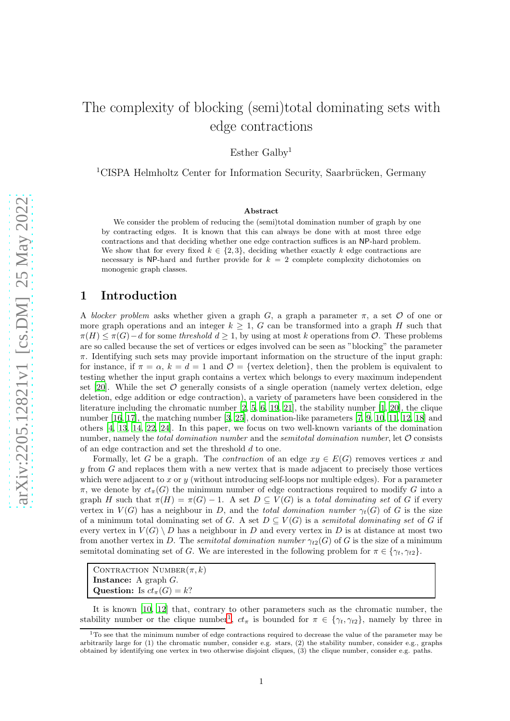# The complexity of blocking (semi)total dominating sets with edge contractions

Esther Galby<sup>1</sup>

 $1CISPA$  Helmholtz Center for Information Security, Saarbrücken, Germany

### Abstract

We consider the problem of reducing the (semi)total domination number of graph by one by contracting edges. It is known that this can always be done with at most three edge contractions and that deciding whether one edge contraction suffices is an NP-hard problem. We show that for every fixed  $k \in \{2,3\}$ , deciding whether exactly k edge contractions are necessary is NP-hard and further provide for  $k = 2$  complete complexity dichotomies on monogenic graph classes.

### 1 Introduction

A *blocker problem* asks whether given a graph G, a graph a parameter  $\pi$ , a set  $\mathcal O$  of one or more graph operations and an integer  $k \geq 1$ , G can be transformed into a graph H such that  $\pi(H) \leq \pi(G) - d$  for some *threshold*  $d \geq 1$ , by using at most k operations from  $\mathcal{O}$ . These problems are so called because the set of vertices or edges involved can be seen as "blocking" the parameter  $\pi$ . Identifying such sets may provide important information on the structure of the input graph: for instance, if  $\pi = \alpha$ ,  $k = d = 1$  and  $\mathcal{O} =$  {vertex deletion}, then the problem is equivalent to testing whether the input graph contains a vertex which belongs to every maximum independent set  $[20]$ . While the set  $\mathcal O$  generally consists of a single operation (namely vertex deletion, edge deletion, edge addition or edge contraction), a variety of parameters have been considered in the literature including the chromatic number [\[2](#page-36-0), [5](#page-36-1), [6](#page-36-2), [19](#page-37-1), [21\]](#page-37-2), the stability number [\[1](#page-36-3), [20](#page-37-0)], the clique number [\[16](#page-37-3), [17\]](#page-37-4), the matching number [\[3,](#page-36-4) [25\]](#page-37-5), domination-like parameters [\[7,](#page-36-5) [9](#page-36-6), [10,](#page-36-7) [11,](#page-36-8) [12](#page-36-9), [18\]](#page-37-6) and others [\[4,](#page-36-10) [13](#page-36-11), [14,](#page-36-12) [22](#page-37-7), [24\]](#page-37-8). In this paper, we focus on two well-known variants of the domination number, namely the *total domination number* and the *semitotal domination number*, let O consists of an edge contraction and set the threshold d to one.

Formally, let G be a graph. The *contraction* of an edge  $xy \in E(G)$  removes vertices x and  $y$  from  $G$  and replaces them with a new vertex that is made adjacent to precisely those vertices which were adjacent to x or y (without introducing self-loops nor multiple edges). For a parameter  $\pi$ , we denote by  $ct_{\pi}(G)$  the minimum number of edge contractions required to modify G into a graph H such that  $\pi(H) = \pi(G) - 1$ . A set  $D \subseteq V(G)$  is a *total dominating set* of G if every vertex in  $V(G)$  has a neighbour in D, and the *total domination number*  $\gamma_t(G)$  of G is the size of a minimum total dominating set of G. A set  $D \subseteq V(G)$  is a *semitotal dominating set* of G if every vertex in  $V(G) \setminus D$  has a neighbour in D and every vertex in D is at distance at most two from another vertex in D. The *semitotal domination number*  $\gamma_{t2}(G)$  of G is the size of a minimum semitotal dominating set of G. We are interested in the following problem for  $\pi \in \{ \gamma_t, \gamma_{t2} \}.$ 

It is known [\[10,](#page-36-7) [12\]](#page-36-9) that, contrary to other parameters such as the chromatic number, the stability number or the clique number<sup>[1](#page-0-0)</sup>,  $ct_\pi$  is bounded for  $\pi \in \{\gamma_t, \gamma_{t2}\}\$ , namely by three in

CONTRACTION NUMBER $(\pi, k)$ Instance: A graph G. Question: Is  $ct_{\pi}(G) = k$ ?

<span id="page-0-0"></span> $1$ To see that the minimum number of edge contractions required to decrease the value of the parameter may be arbitrarily large for (1) the chromatic number, consider e.g. stars, (2) the stability number, consider e.g., graphs obtained by identifying one vertex in two otherwise disjoint cliques, (3) the clique number, consider e.g. paths.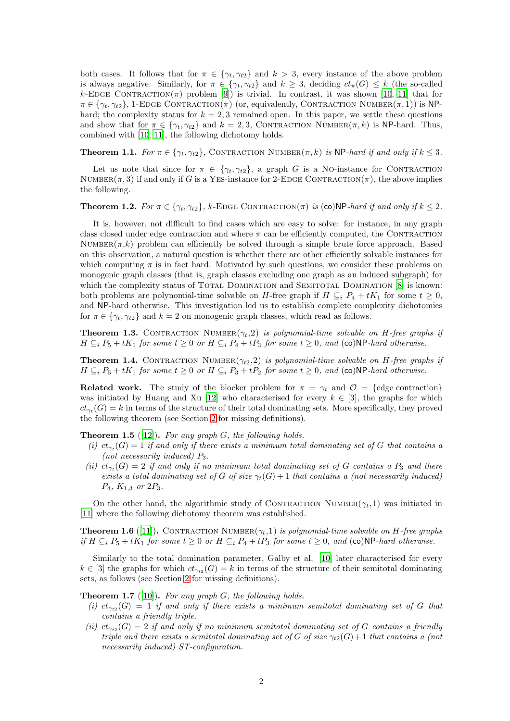both cases. It follows that for  $\pi \in \{\gamma_t, \gamma_{t2}\}\$ and  $k > 3$ , every instance of the above problem is always negative. Similarly, for  $\pi \in \{\gamma_t, \gamma_{t2}\}\$ and  $k \geq 3$ , deciding  $ct_\pi(G) \leq k$  (the so-called k-EDGE CONTRACTION( $\pi$ ) problem [\[9\]](#page-36-6)) is trivial. In contrast, it was shown [\[10,](#page-36-7) [11](#page-36-8)] that for  $\pi \in \{\gamma_t, \gamma_{t2}\}\$ , 1-EDGE CONTRACTION( $\pi$ ) (or, equivalently, CONTRACTION NUMBER( $\pi$ , 1)) is NPhard; the complexity status for  $k = 2, 3$  remained open. In this paper, we settle these questions and show that for  $\pi \in \{\gamma_t, \gamma_{t2}\}\$ and  $k = 2, 3$ , CONTRACTION NUMBER $(\pi, k)$  is NP-hard. Thus, combined with [\[10,](#page-36-7) [11\]](#page-36-8), the following dichotomy holds.

**Theorem 1.1.** *For*  $\pi \in \{\gamma_t, \gamma_{t2}\}\$ , CONTRACTION NUMBER $(\pi, k)$  *is* NP-*hard if and only if*  $k \leq 3$ *.* 

Let us note that since for  $\pi \in \{\gamma_t, \gamma_{t2}\}\$ , a graph G is a No-instance for CONTRACTION NUMBER $(\pi, 3)$  if and only if G is a YES-instance for 2-EDGE CONTRACTION $(\pi)$ , the above implies the following.

**Theorem 1.2.** *For*  $\pi \in \{\gamma_t, \gamma_{t2}\}\$ , k-EDGE CONTRACTION( $\pi$ ) *is* (co)NP*-hard if and only if*  $k \leq 2$ *.* 

It is, however, not difficult to find cases which are easy to solve: for instance, in any graph class closed under edge contraction and where  $\pi$  can be efficiently computed, the CONTRACTION NUMBER $(\pi, k)$  problem can efficiently be solved through a simple brute force approach. Based on this observation, a natural question is whether there are other efficiently solvable instances for which computing  $\pi$  is in fact hard. Motivated by such questions, we consider these problems on monogenic graph classes (that is, graph classes excluding one graph as an induced subgraph) for which the complexity status of TOTAL DOMINATION and SEMITOTAL DOMINATION [\[8\]](#page-36-13) is known: both problems are polynomial-time solvable on H-free graph if  $H \subseteq_i P_4 + tK_1$  for some  $t \geq 0$ , and NP-hard otherwise. This investigation led us to establish complete complexity dichotomies for  $\pi \in \{\gamma_t, \gamma_{t2}\}\$  and  $k = 2$  on monogenic graph classes, which read as follows.

<span id="page-1-0"></span>**Theorem 1.3.** CONTRACTION NUMBER $(\gamma_t, 2)$  is polynomial-time solvable on H-free graphs if  $H ⊆<sub>i</sub> P<sub>5</sub> + tK<sub>1</sub>$  *for some*  $t ≥ 0$  *or*  $H ⊆<sub>i</sub> P<sub>4</sub> + tP<sub>3</sub>$  *for some*  $t ≥ 0$ *, and* (co)NP-hard otherwise.

<span id="page-1-1"></span>**Theorem 1.4.** CONTRACTION NUMBER $(\gamma_{t2}, 2)$  *is polynomial-time solvable on H-free graphs if*  $H \subseteq_i P_5 + tK_1$  *for some*  $t \geq 0$  *or*  $H \subseteq_i P_3 + tP_2$  *for some*  $t \geq 0$ *, and* (co)NP-hard otherwise.

**Related work.** The study of the blocker problem for  $\pi = \gamma_t$  and  $\mathcal{O} = \{\text{edge contraction}\}\$ was initiated by Huang and Xu [\[12\]](#page-36-9) who characterised for every  $k \in [3]$ , the graphs for which  $ct_{\gamma_t}(G) = k$  in terms of the structure of their total dominating sets. More specifically, they proved the following theorem (see Section [2](#page-2-0) for missing definitions).

<span id="page-1-2"></span>Theorem 1.5 ([\[12](#page-36-9)]). *For any graph* G*, the following holds.*

- (*i*)  $ct_{\gamma_t}(G) = 1$  *if and only if there exists a minimum total dominating set of* G *that contains a (not necessarily induced)* P3*.*
- *(ii)*  $ct_{\gamma_t}(G) = 2$  *if and only if no minimum total dominating set of* G *contains a*  $P_3$  *and there exists a total dominating set of* G *of size*  $\gamma_t(G) + 1$  *that contains a (not necessarily induced)* P4*,* K1,<sup>3</sup> *or* 2P3*.*

<span id="page-1-4"></span>On the other hand, the algorithmic study of CONTRACTION NUMBER $(\gamma_t,1)$  was initiated in [\[11](#page-36-8)] where the following dichotomy theorem was established.

**Theorem 1.6** ([\[11\]](#page-36-8)). CONTRACTION NUMBER $(\gamma_t, 1)$  is polynomial-time solvable on H-free graphs *if*  $H \subseteq_i P_5 + tK_1$  *for some*  $t \geq 0$  *or*  $H \subseteq_i P_4 + tP_3$  *for some*  $t \geq 0$ *, and* (co)NP-hard otherwise.

Similarly to the total domination parameter, Galby et al. [\[10\]](#page-36-7) later characterised for every  $k \in [3]$  the graphs for which  $ct_{\gamma_{t2}}(G) = k$  in terms of the structure of their semitotal dominating sets, as follows (see Section [2](#page-2-0) for missing definitions).

<span id="page-1-3"></span>Theorem 1.7 ([\[10](#page-36-7)]). *For any graph* G*, the following holds.*

- $(i)$   $ct_{\gamma_{t2}}(G) = 1$  *if and only if there exists a minimum semitotal dominating set of* G *that contains a friendly triple.*
- (*ii*)  $ct_{\gamma_{t2}}(G) = 2$  *if and only if no minimum semitotal dominating set of* G *contains a friendly triple and there exists a semitotal dominating set of* G *of size*  $\gamma_{t2}(G) + 1$  *that contains a (not necessarily induced) ST-configuration.*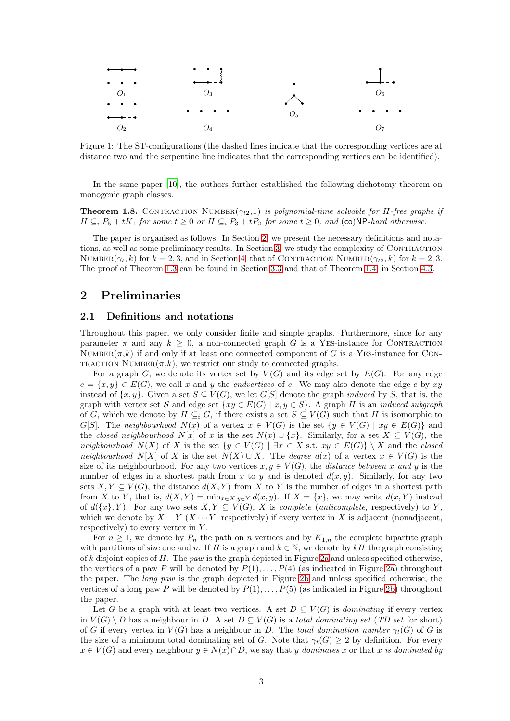

Figure 1: The ST-configurations (the dashed lines indicate that the corresponding vertices are at distance two and the serpentine line indicates that the corresponding vertices can be identified).

<span id="page-2-1"></span>In the same paper [\[10\]](#page-36-7), the authors further established the following dichotomy theorem on monogenic graph classes.

**Theorem 1.8.** CONTRACTION NUMBER $(\gamma_{t2}, 1)$  *is polynomial-time solvable for H-free graphs if*  $H \subseteq_i P_5 + tK_1$  *for some*  $t \geq 0$  *or*  $H \subseteq_i P_3 + tP_2$  *for some*  $t \geq 0$ *, and* (co)NP-hard otherwise.

The paper is organised as follows. In Section [2,](#page-2-0) we present the necessary definitions and notations, as well as some preliminary results. In Section [3,](#page-4-0) we study the complexity of Contraction NUMBER $(\gamma_t, k)$  for  $k = 2, 3$ , and in Section [4,](#page-18-0) that of CONTRACTION NUMBER $(\gamma_{t2}, k)$  for  $k = 2, 3$ . The proof of Theorem [1.3](#page-1-0) can be found in Section [3.3](#page-18-1) and that of Theorem [1.4,](#page-1-1) in Section [4.3.](#page-35-0)

# <span id="page-2-0"></span>2 Preliminaries

### 2.1 Definitions and notations

Throughout this paper, we only consider finite and simple graphs. Furthermore, since for any parameter  $\pi$  and any  $k > 0$ , a non-connected graph G is a YES-instance for CONTRACTION NUMBER $(\pi, k)$  if and only if at least one connected component of G is a YES-instance for CON-TRACTION NUMBER $(\pi, k)$ , we restrict our study to connected graphs.

For a graph G, we denote its vertex set by  $V(G)$  and its edge set by  $E(G)$ . For any edge  $e = \{x, y\} \in E(G)$ , we call x and y the *endvertices* of e. We may also denote the edge e by xy instead of  $\{x, y\}$ . Given a set  $S \subseteq V(G)$ , we let G[S] denote the graph *induced* by S, that is, the graph with vertex set S and edge set  $\{xy \in E(G) \mid x, y \in S\}$ . A graph H is an *induced subgraph* of G, which we denote by  $H \subseteq_i G$ , if there exists a set  $S \subseteq V(G)$  such that H is isomorphic to G[S]. The *neighbourhood*  $N(x)$  of a vertex  $x \in V(G)$  is the set  $\{y \in V(G) \mid xy \in E(G)\}\$  and the *closed neighbourhood*  $N[x]$  of x is the set  $N(x) \cup \{x\}$ . Similarly, for a set  $X \subseteq V(G)$ , the *neighbourhood*  $N(X)$  of X is the set  $\{y \in V(G) \mid \exists x \in X \text{ s.t. } xy \in E(G)\} \setminus X$  and the *closed neighbourhood* N[X] of X is the set  $N(X) \cup X$ . The *degree*  $d(x)$  of a vertex  $x \in V(G)$  is the size of its neighbourhood. For any two vertices  $x, y \in V(G)$ , the *distance between* x and y is the number of edges in a shortest path from x to y and is denoted  $d(x, y)$ . Similarly, for any two sets  $X, Y \subseteq V(G)$ , the distance  $d(X, Y)$  from X to Y is the number of edges in a shortest path from X to Y, that is,  $d(X, Y) = \min_{x \in X, y \in Y} d(x, y)$ . If  $X = \{x\}$ , we may write  $d(x, Y)$  instead of  $d({x}, Y)$ . For any two sets  $X, Y \subseteq V(G)$ , X is *complete* (*anticomplete*, respectively) to Y, which we denote by  $X - Y$  ( $X \cdots Y$ , respectively) if every vertex in X is adjacent (nonadjacent, respectively) to every vertex in  $Y$ .

For  $n \geq 1$ , we denote by  $P_n$  the path on n vertices and by  $K_{1,n}$  the complete bipartite graph with partitions of size one and n. If H is a graph and  $k \in \mathbb{N}$ , we denote by  $kH$  the graph consisting of k disjoint copies of H. The *paw* is the graph depicted in Figure [2a](#page-3-0) and unless specified otherwise, the vertices of a paw P will be denoted by  $P(1), \ldots, P(4)$  (as indicated in Figure [2a\)](#page-3-0) throughout the paper. The *long paw* is the graph depicted in Figure [2b](#page-3-0) and unless specified otherwise, the vertices of a long paw P will be denoted by  $P(1), \ldots, P(5)$  (as indicated in Figure [2b\)](#page-3-0) throughout the paper.

Let G be a graph with at least two vertices. A set  $D \subseteq V(G)$  is *dominating* if every vertex in  $V(G) \setminus D$  has a neighbour in D. A set  $D \subseteq V(G)$  is a *total dominating set* (*TD set* for short) of G if every vertex in  $V(G)$  has a neighbour in D. The *total domination number*  $\gamma_t(G)$  of G is the size of a minimum total dominating set of G. Note that  $\gamma_t(G) \geq 2$  by definition. For every  $x \in V(G)$  and every neighbour  $y \in N(x) \cap D$ , we say that y *dominates* x or that x *is dominated by*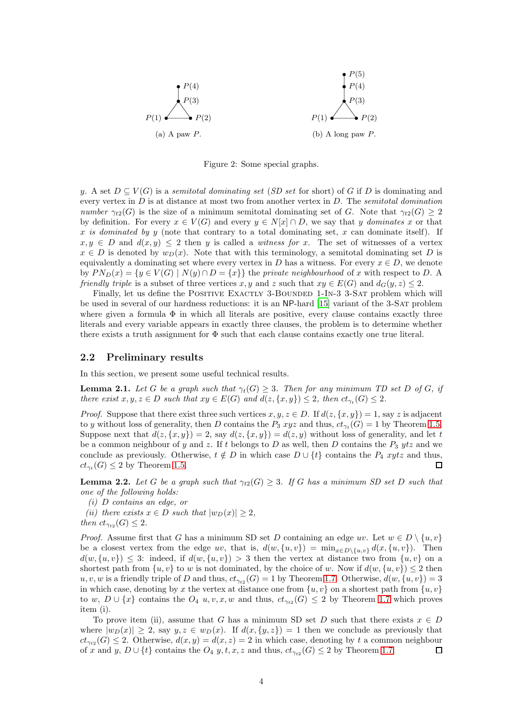<span id="page-3-0"></span>

Figure 2: Some special graphs.

y. A set  $D \subseteq V(G)$  is a *semitotal dominating set* (*SD set* for short) of G if D is dominating and every vertex in D is at distance at most two from another vertex in D. The *semitotal domination number*  $\gamma_{t2}(G)$  is the size of a minimum semitotal dominating set of G. Note that  $\gamma_{t2}(G) \geq 2$ by definition. For every  $x \in V(G)$  and every  $y \in N[x] \cap D$ , we say that y *dominates* x or that x *is dominated by* y (note that contrary to a total dominating set, x can dominate itself). If  $x, y \in D$  and  $d(x, y) \leq 2$  then y is called a *witness for* x. The set of witnesses of a vertex  $x \in D$  is denoted by  $w_D(x)$ . Note that with this terminology, a semitotal dominating set D is equivalently a dominating set where every vertex in D has a witness. For every  $x \in D$ , we denote by  $PN_D(x) = \{y \in V(G) \mid N(y) \cap D = \{x\}\}\$  the *private neighbourhood* of x with respect to D. A *friendly triple* is a subset of three vertices x, y and z such that  $xy \in E(G)$  and  $d_G(y, z) \leq 2$ .

Finally, let us define the POSITIVE EXACTLY 3-BOUNDED 1-IN-3 3-SAT problem which will be used in several of our hardness reductions: it is an NP-hard [\[15\]](#page-36-14) variant of the 3-SAT problem where given a formula  $\Phi$  in which all literals are positive, every clause contains exactly three literals and every variable appears in exactly three clauses, the problem is to determine whether there exists a truth assignment for  $\Phi$  such that each clause contains exactly one true literal.

### 2.2 Preliminary results

<span id="page-3-1"></span>In this section, we present some useful technical results.

**Lemma 2.1.** Let G be a graph such that  $\gamma_t(G) \geq 3$ . Then for any minimum TD set D of G, if *there exist*  $x, y, z \in D$  *such that*  $xy \in E(G)$  *and*  $d(z, \{x, y\}) \leq 2$ *, then*  $ct_{\gamma_t}(G) \leq 2$ *.* 

*Proof.* Suppose that there exist three such vertices  $x, y, z \in D$ . If  $d(z, \{x, y\}) = 1$ , say z is adjacent to y without loss of generality, then D contains the  $P_3$  xyz and thus,  $ct_{\gamma_t}(G) = 1$  by Theorem [1.5.](#page-1-2) Suppose next that  $d(z, \{x, y\}) = 2$ , say  $d(z, \{x, y\}) = d(z, y)$  without loss of generality, and let t be a common neighbour of y and z. If t belongs to D as well, then D contains the  $P_3$  ytz and we conclude as previously. Otherwise,  $t \notin D$  in which case  $D \cup \{t\}$  contains the  $P_4$  xytz and thus,  $ct_{\gamma_t}(G) \leq 2$  by Theorem [1.5.](#page-1-2)  $\Box$ 

<span id="page-3-2"></span>**Lemma 2.2.** Let G be a graph such that  $\gamma_{t2}(G) \geq 3$ . If G has a minimum SD set D such that *one of the following holds:*

*(i)* D *contains an edge, or*

*(ii)* there exists  $x \in D$  *such that*  $|w_D(x)| \geq 2$ *, then*  $ct_{\gamma_{t2}}(G) \leq 2$ *.* 

*Proof.* Assume first that G has a minimum SD set D containing an edge uv. Let  $w \in D \setminus \{u, v\}$ be a closest vertex from the edge uv, that is,  $d(w, \{u, v\}) = \min_{x \in D\setminus \{u, v\}} d(x, \{u, v\})$ . Then  $d(w, \{u, v\}) \leq 3$ : indeed, if  $d(w, \{u, v\}) > 3$  then the vertex at distance two from  $\{u, v\}$  on a shortest path from  $\{u, v\}$  to w is not dominated, by the choice of w. Now if  $d(w, \{u, v\}) \leq 2$  then  $u, v, w$  is a friendly triple of D and thus,  $ct_{\gamma_{t2}}(G) = 1$  by Theorem [1.7.](#page-1-3) Otherwise,  $d(w, \{u, v\}) = 3$ in which case, denoting by x the vertex at distance one from  $\{u, v\}$  on a shortest path from  $\{u, v\}$ to w,  $D \cup \{x\}$  contains the  $O_4$  u, v, x, w and thus,  $ct_{\gamma_{t2}}(G) \leq 2$  by Theorem [1.7](#page-1-3) which proves item (i).

<span id="page-3-3"></span>To prove item (ii), assume that G has a minimum SD set D such that there exists  $x \in D$ where  $|w_D(x)| \geq 2$ , say  $y, z \in w_D(x)$ . If  $d(x, \{y, z\}) = 1$  then we conclude as previously that  $ct_{\gamma_{t2}}(G) \leq 2$ . Otherwise,  $d(x, y) = d(x, z) = 2$  in which case, denoting by t a common neighbour of x and y,  $D \cup \{t\}$  contains the  $O_4$  y, t, x, z and thus,  $ct_{\gamma_{t2}}(G) \leq 2$  by Theorem [1.7.](#page-1-3)  $\Box$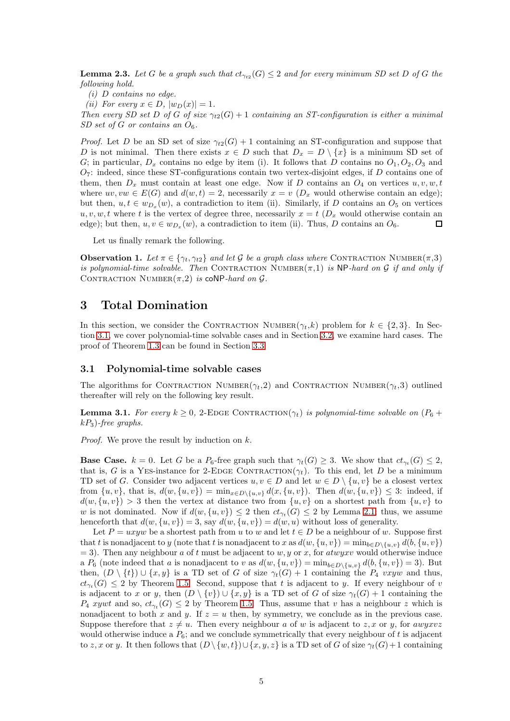**Lemma 2.3.** Let G be a graph such that  $ct_{\gamma_{t2}}(G) \leq 2$  and for every minimum SD set D of G the *following hold.*

*(i)* D *contains no edge.*

*(ii)* For every  $x \in D$ ,  $|w_D(x)| = 1$ .

*Then every SD set* D *of* G *of size*  $\gamma_{t2}(G) + 1$  *containing an ST-configuration is either a minimal SD set of G or contains an*  $O_6$ *.* 

*Proof.* Let D be an SD set of size  $\gamma_{t2}(G) + 1$  containing an ST-configuration and suppose that D is not minimal. Then there exists  $x \in D$  such that  $D_x = D \setminus \{x\}$  is a minimum SD set of G; in particular,  $D_x$  contains no edge by item (i). It follows that D contains no  $O_1, O_2, O_3$  and  $O_7$ : indeed, since these ST-configurations contain two vertex-disjoint edges, if D contains one of them, then  $D_x$  must contain at least one edge. Now if D contains an  $O_4$  on vertices  $u, v, w, t$ where  $uv, vw \in E(G)$  and  $d(w, t) = 2$ , necessarily  $x = v \ (D_x \text{ would otherwise contain an edge});$ but then,  $u, t \in w_{D_x}(w)$ , a contradiction to item (ii). Similarly, if D contains an  $O_5$  on vertices  $u, v, w, t$  where t is the vertex of degree three, necessarily  $x = t$  ( $D_x$  would otherwise contain an  $\Box$ edge); but then,  $u, v \in w_{D_x}(w)$ , a contradiction to item (ii). Thus, D contains an  $O_6$ .

<span id="page-4-3"></span>Let us finally remark the following.

**Observation 1.** Let  $\pi \in \{\gamma_t, \gamma_{t2}\}$  and let G be a graph class where CONTRACTION NUMBER( $\pi$ ,3) *is polynomial-time solvable. Then* CONTRACTION NUMBER $(\pi,1)$  *is* NP-hard on G *if and only if* CONTRACTION NUMBER $(\pi, 2)$  *is* coNP-hard on  $\mathcal{G}$ .

# <span id="page-4-0"></span>3 Total Domination

In this section, we consider the CONTRACTION NUMBER $(\gamma_t, k)$  problem for  $k \in \{2, 3\}$ . In Section [3.1,](#page-4-1) we cover polynomial-time solvable cases and in Section [3.2,](#page-10-0) we examine hard cases. The proof of Theorem [1.3](#page-1-0) can be found in Section [3.3.](#page-18-1)

### <span id="page-4-1"></span>3.1 Polynomial-time solvable cases

<span id="page-4-2"></span>The algorithms for CONTRACTION NUMBER( $\gamma_t$ , 2) and CONTRACTION NUMBER( $\gamma_t$ , 3) outlined thereafter will rely on the following key result.

**Lemma 3.1.** *For every*  $k \geq 0$ , 2-EDGE CONTRACTION $(\gamma_t)$  *is polynomial-time solvable on*  $(P_6 + P_5)$ kP3)*-free graphs.*

*Proof.* We prove the result by induction on k.

**Base Case.**  $k = 0$ . Let G be a  $P_6$ -free graph such that  $\gamma_t(G) \geq 3$ . We show that  $ct_{\gamma_t}(G) \leq 2$ , that is, G is a YES-instance for 2-EDGE CONTRACTION( $\gamma_t$ ). To this end, let D be a minimum TD set of G. Consider two adjacent vertices  $u, v \in D$  and let  $w \in D \setminus \{u, v\}$  be a closest vertex from  $\{u, v\}$ , that is,  $d(w, \{u, v\}) = \min_{x \in D \setminus \{u, v\}} d(x, \{u, v\})$ . Then  $d(w, \{u, v\}) \leq 3$ : indeed, if  $d(w, \{u, v\}) > 3$  then the vertex at distance two from  $\{u, v\}$  on a shortest path from  $\{u, v\}$  to w is not dominated. Now if  $d(w, \{u, v\}) \leq 2$  then  $ct_{\gamma_t}(G) \leq 2$  by Lemma [2.1;](#page-3-1) thus, we assume henceforth that  $d(w, \{u, v\}) = 3$ , say  $d(w, \{u, v\}) = d(w, u)$  without loss of generality.

Let  $P = uxyw$  be a shortest path from u to w and let  $t \in D$  be a neighbour of w. Suppose first that t is nonadjacent to y (note that t is nonadjacent to x as  $d(w, \{u, v\}) = \min_{b \in D\setminus\{u, v\}} d(b, \{u, v\})$  $=$  3). Then any neighbour a of t must be adjacent to w, y or x, for atwyxv would otherwise induce a  $P_6$  (note indeed that a is nonadjacent to v as  $d(w, \{u, v\}) = \min_{b \in D \setminus \{u, v\}} d(b, \{u, v\}) = 3$ ). But then,  $(D \setminus \{t\}) \cup \{x, y\}$  is a TD set of G of size  $\gamma_t(G) + 1$  containing the  $P_4$  vxyw and thus,  $ct_{\gamma_t}(G) \leq 2$  by Theorem [1.5.](#page-1-2) Second, suppose that t is adjacent to y. If every neighbour of v is adjacent to x or y, then  $(D \setminus \{v\}) \cup \{x, y\}$  is a TD set of G of size  $\gamma_t(G) + 1$  containing the  $P_4$  xywt and so,  $ct_{\gamma_t}(G) \leq 2$  by Theorem [1.5.](#page-1-2) Thus, assume that v has a neighbour z which is nonadjacent to both x and y. If  $z = u$  then, by symmetry, we conclude as in the previous case. Suppose therefore that  $z \neq u$ . Then every neighbour a of w is adjacent to z, x or y, for awyxvz would otherwise induce a  $P_6$ ; and we conclude symmetrically that every neighbour of t is adjacent to z, x or y. It then follows that  $(D \setminus \{w, t\}) \cup \{x, y, z\}$  is a TD set of G of size  $\gamma_t(G) + 1$  containing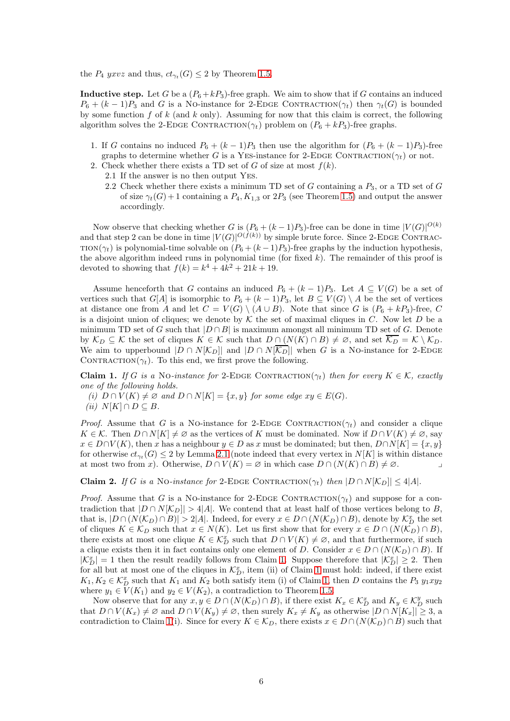the  $P_4$  yxvz and thus,  $ct_{\gamma_t}(G) \leq 2$  by Theorem [1.5.](#page-1-2)

**Inductive step.** Let G be a  $(P_6 + kP_3)$ -free graph. We aim to show that if G contains an induced  $P_6 + (k-1)P_3$  and G is a No-instance for 2-EDGE CONTRACTION( $\gamma_t$ ) then  $\gamma_t(G)$  is bounded by some function f of k (and k only). Assuming for now that this claim is correct, the following algorithm solves the 2-EDGE CONTRACTION( $\gamma_t$ ) problem on ( $P_6 + kP_3$ )-free graphs.

- 1. If G contains no induced  $P_6 + (k-1)P_3$  then use the algorithm for  $(P_6 + (k-1)P_3)$ -free graphs to determine whether G is a YES-instance for 2-EDGE CONTRACTION( $\gamma_t$ ) or not.
- 2. Check whether there exists a TD set of G of size at most  $f(k)$ .
	- 2.1 If the answer is no then output Yes.
	- 2.2 Check whether there exists a minimum TD set of G containing a  $P_3$ , or a TD set of G of size  $\gamma_t(G) + 1$  containing a  $P_4, K_{1,3}$  or  $2P_3$  (see Theorem [1.5\)](#page-1-2) and output the answer accordingly.

Now observe that checking whether G is  $(P_6 + (k-1)P_3)$ -free can be done in time  $|V(G)|^{O(k)}$ and that step 2 can be done in time  $|V(G)|^{O(f(k))}$  by simple brute force. Since 2-EDGE CONTRAC-TION( $\gamma_t$ ) is polynomial-time solvable on  $(P_6 + (k-1)P_3)$ -free graphs by the induction hypothesis, the above algorithm indeed runs in polynomial time (for fixed  $k$ ). The remainder of this proof is devoted to showing that  $f(k) = k^4 + 4k^2 + 21k + 19$ .

Assume henceforth that G contains an induced  $P_6 + (k-1)P_3$ . Let  $A \subseteq V(G)$  be a set of vertices such that  $G[A]$  is isomorphic to  $P_6 + (k-1)P_3$ , let  $B \subseteq V(G) \setminus A$  be the set of vertices at distance one from A and let  $C = V(G) \setminus (A \cup B)$ . Note that since G is  $(P_6 + kP_3)$ -free, C is a disjoint union of cliques; we denote by  $K$  the set of maximal cliques in C. Now let D be a minimum TD set of G such that  $|D \cap B|$  is maximum amongst all minimum TD set of G. Denote by  $\mathcal{K}_D \subseteq \mathcal{K}$  the set of cliques  $K \in \mathcal{K}$  such that  $D \cap (N(K) \cap B) \neq \emptyset$ , and set  $\overline{\mathcal{K}_D} = \mathcal{K} \setminus \mathcal{K}_D$ . We aim to upperbound  $|D \cap N[\mathcal{K}_D]|$  and  $|D \cap N[\overline{\mathcal{K}_D}]|$  when G is a No-instance for 2-EDGE CONTRACTION( $\gamma_t$ ). To this end, we first prove the following.

<span id="page-5-0"></span>Claim 1. *If* G is a No-instance for 2-EDGE CONTRACTION( $\gamma_t$ ) then for every  $K \in \mathcal{K}$ , exactly *one of the following holds.*

*(i)*  $D \cap V(K) \neq \emptyset$  and  $D \cap N[K] = \{x, y\}$  for some edge  $xy \in E(G)$ . *(ii)*  $N[K] ∩ D ⊂ B$ *.* 

*Proof.* Assume that G is a No-instance for 2-EDGE CONTRACTION( $\gamma_t$ ) and consider a clique  $K \in \mathcal{K}$ . Then  $D \cap N[K] \neq \emptyset$  as the vertices of K must be dominated. Now if  $D \cap V(K) \neq \emptyset$ , say  $x \in D \cap V(K)$ , then x has a neighbour  $y \in D$  as x must be dominated; but then,  $D \cap N[K] = \{x, y\}$ for otherwise  $ct_{\gamma_t}(G) \leq 2$  by Lemma [2.1](#page-3-1) (note indeed that every vertex in  $N[K]$  is within distance at most two from x). Otherwise,  $D \cap V(K) = \emptyset$  in which case  $D \cap (N(K) \cap B) \neq \emptyset$ .

<span id="page-5-1"></span>Claim 2. *If* G is a No-instance for 2-EDGE CONTRACTION( $\gamma_t$ ) then  $|D \cap N[\mathcal{K}_D]| \leq 4|A|$ .

*Proof.* Assume that G is a NO-instance for 2-EDGE CONTRACTION( $\gamma_t$ ) and suppose for a contradiction that  $|D \cap N[\mathcal{K}_D]| > 4|A|$ . We contend that at least half of those vertices belong to B, that is,  $|D \cap (N(\mathcal{K}_D) \cap B)| > 2|A|$ . Indeed, for every  $x \in D \cap (N(\mathcal{K}_D) \cap B)$ , denote by  $\mathcal{K}_D^x$  the set of cliques  $K \in \mathcal{K}_D$  such that  $x \in N(K)$ . Let us first show that for every  $x \in D \cap (N(\mathcal{K}_D) \cap B)$ , there exists at most one clique  $K \in \mathcal{K}_D^x$  such that  $D \cap V(K) \neq \emptyset$ , and that furthermore, if such a clique exists then it in fact contains only one element of D. Consider  $x \in D \cap (N(\mathcal{K}_D) \cap B)$ . If  $|K_D^x| = 1$  then the result readily follows from Claim [1.](#page-5-0) Suppose therefore that  $|K_D^x| \geq 2$ . Then for all but at most one of the cliques in  $\mathcal{K}_D^x$ , item (ii) of Claim [1](#page-5-0) must hold: indeed, if there exist  $K_1, K_2 \in \mathcal{K}_D^x$  such that  $K_1$  and  $K_2$  both satisfy item (i) of Claim [1,](#page-5-0) then D contains the  $P_3$   $y_1xy_2$ where  $y_1 \in V(K_1)$  and  $y_2 \in V(K_2)$ , a contradiction to Theorem [1.5.](#page-1-2)

Now observe that for any  $x, y \in D \cap (N(\mathcal{K}_D) \cap B)$ , if there exist  $K_x \in \mathcal{K}_D^x$  and  $K_y \in \mathcal{K}_D^y$  such that  $D \cap V(K_x) \neq \emptyset$  and  $D \cap V(K_y) \neq \emptyset$ , then surely  $K_x \neq K_y$  as otherwise  $|D \cap N[K_x]| \geq 3$ , a contradiction to Claim [1\(](#page-5-0)i). Since for every  $K \in \mathcal{K}_D$ , there exists  $x \in D \cap (N(\mathcal{K}_D) \cap B)$  such that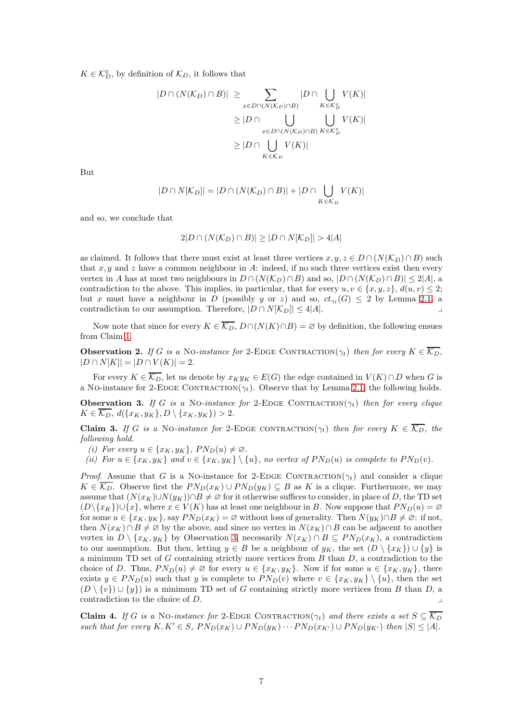$K \in \mathcal{K}_D^x$ , by definition of  $\mathcal{K}_D$ , it follows that

$$
|D \cap (N(\mathcal{K}_D) \cap B)| \ge \sum_{x \in D \cap (N(\mathcal{K}_D) \cap B)} |D \cap \bigcup_{K \in \mathcal{K}_D^x} V(K)|
$$
  

$$
\ge |D \cap \bigcup_{x \in D \cap (N(\mathcal{K}_D) \cap B)} \bigcup_{K \in \mathcal{K}_D^x} V(K)|
$$
  

$$
\ge |D \cap \bigcup_{K \in \mathcal{K}_D} V(K)|
$$

But

$$
|D \cap N[K_D]| = |D \cap (N(K_D) \cap B)| + |D \cap \bigcup_{K \in K_D} V(K)|
$$

and so, we conclude that

$$
2|D \cap (N(\mathcal{K}_D) \cap B)| \ge |D \cap N[\mathcal{K}_D]| > 4|A|
$$

as claimed. It follows that there must exist at least three vertices  $x, y, z \in D \cap (N(\mathcal{K}_D) \cap B)$  such that  $x, y$  and z have a common neighbour in A: indeed, if no such three vertices exist then every vertex in A has at most two neighbours in  $D \cap (N(\mathcal{K}_D) \cap B)$  and so,  $|D \cap (N(\mathcal{K}_D) \cap B)| \leq 2|A|$ , a contradiction to the above. This implies, in particular, that for every  $u, v \in \{x, y, z\}, d(u, v) \leq 2;$ but x must have a neighbour in D (possibly y or z) and so,  $ct_{\gamma_t}(G) \leq 2$  by Lemma [2.1,](#page-3-1) a contradiction to our assumption. Therefore,  $|D \cap N[\mathcal{K}_D]| \leq 4|A|$ .

<span id="page-6-3"></span>Now note that since for every  $K \in \overline{\mathcal{K}_D}$ ,  $D \cap (N(K) \cap B) = \emptyset$  by definition, the following ensues from Claim [1.](#page-5-0)

**Observation 2.** *If* G is a NO-instance for 2-EDGE CONTRACTION( $\gamma_t$ ) then for every  $K \in \overline{\mathcal{K}_D}$ ,  $|D \cap N[K]| = |D \cap V(K)| = 2.$ 

<span id="page-6-0"></span>For every  $K \in \overline{\mathcal{K}_D}$ , let us denote by  $x_K y_K \in E(G)$  the edge contained in  $V(K) \cap D$  when G is a No-instance for 2-EDGE CONTRACTION( $\gamma_t$ ). Observe that by Lemma [2.1,](#page-3-1) the following holds.

**Observation 3.** *If* G is a No-instance for 2-EDGE CONTRACTION( $\gamma_t$ ) then for every clique  $K \in \overline{\mathcal{K}_D}$ ,  $d({x_K, y_K}, D \setminus {x_K, y_K}) > 2$ .

<span id="page-6-1"></span>Claim 3. *If* G is a No-instance for 2-EDGE CONTRACTION( $\gamma_t$ ) then for every  $K \in \overline{\mathcal{K}_D}$ , the *following hold.*

*(i)* For every  $u \in \{x_K, y_K\}$ ,  $PN_D(u) \neq \emptyset$ .

*(ii)* For  $u \in \{x_K, y_K\}$  and  $v \in \{x_K, y_K\} \setminus \{u\}$ , no vertex of  $PN_D(u)$  is complete to  $PN_D(v)$ .

*Proof.* Assume that G is a NO-instance for 2-EDGE CONTRACTION( $\gamma_t$ ) and consider a clique  $K \in \overline{\mathcal{K}_{D}}$ . Observe first the  $PN_D(x_K) \cup PN_D(y_K) \subseteq B$  as K is a clique. Furthermore, we may assume that  $(N(x_K) \cup N(y_K)) \cap B \neq \emptyset$  for it otherwise suffices to consider, in place of D, the TD set  $(D\backslash \{x_K\})\cup \{x\}$ , where  $x \in V(K)$  has at least one neighbour in B. Now suppose that  $PN_D(u) = \emptyset$ for some  $u \in \{x_K, y_K\}$ , say  $PN_D(x_K) = \varnothing$  without loss of generality. Then  $N(y_K) \cap B \neq \varnothing$ : if not, then  $N(x_K) \cap B \neq \emptyset$  by the above, and since no vertex in  $N(x_K) \cap B$  can be adjacent to another vertex in  $D \setminus \{x_K, y_K\}$  by Observation [3,](#page-6-0) necessarily  $N(x_K) \cap B \subseteq PN_D(x_K)$ , a contradiction to our assumption. But then, letting  $y \in B$  be a neighbour of  $y_K$ , the set  $(D \setminus \{x_K\}) \cup \{y\}$  is a minimum TD set of  $G$  containing strictly more vertices from  $B$  than  $D$ , a contradiction to the choice of D. Thus,  $PN_D(u) \neq \emptyset$  for every  $u \in \{x_K, y_K\}$ . Now if for some  $u \in \{x_K, y_K\}$ , there exists  $y \in PN_D(u)$  such that y is complete to  $PN_D(v)$  where  $v \in \{x_K, y_K\} \setminus \{u\}$ , then the set  $(D \setminus \{v\}) \cup \{y\}$  is a minimum TD set of G containing strictly more vertices from B than D, a contradiction to the choice of  $D$ .

<span id="page-6-2"></span>Claim 4. *If* G is a No-instance for 2-EDGE CONTRACTION( $\gamma_t$ ) and there exists a set  $S \subseteq \overline{\mathcal{K}_D}$ *such that for every*  $K, K' \in S$ ,  $PN_D(x_K) \cup PN_D(y_K) \cdots PN_D(x_K) \cup PN_D(y_K)$  *then*  $|S| \leq |A|$ *.*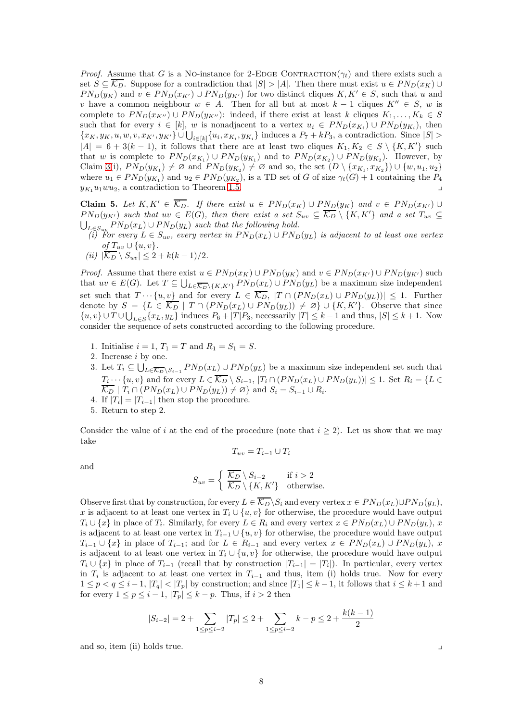*Proof.* Assume that G is a NO-instance for 2-EDGE CONTRACTION( $\gamma_t$ ) and there exists such a set  $S \subseteq \overline{\mathcal{K}_D}$ . Suppose for a contradiction that  $|S| > |A|$ . Then there must exist  $u \in PN_D(x_K) \cup$  $PN_D(y_K)$  and  $v \in PN_D(x_{K'}) \cup PN_D(y_{K'})$  for two distinct cliques  $K, K' \in S$ , such that u and v have a common neighbour  $w \in A$ . Then for all but at most  $k-1$  cliques  $K'' \in S$ , w is complete to  $PN_D(x_{K''}) \cup PN_D(y_{K''})$ : indeed, if there exist at least k cliques  $K_1, \ldots, K_k \in S$ such that for every  $i \in [k]$ , w is nonadjacent to a vertex  $u_i \in PN_D(x_{K_i}) \cup PN_D(y_{K_i})$ , then  ${x_K, y_K, u, w, v, x_{K'}}, y_{K'}\} \cup \bigcup_{i\in[k]} {u_i, x_{K_i}, y_{K_i}}$  induces a  $P_7 + kP_3$ , a contradiction. Since  $|S| >$  $|A| = 6 + 3(k-1)$ , it follows that there are at least two cliques  $K_1, K_2 \in S \setminus \{K, K'\}$  such that w is complete to  $PN_D(x_{K_1}) \cup PN_D(y_{K_1})$  and to  $PN_D(x_{K_2}) \cup PN_D(y_{K_2})$ . However, by Claim [3\(](#page-6-1)i),  $PN_D(y_{K_1}) \neq \emptyset$  and  $PN_D(y_{K_2}) \neq \emptyset$  and so, the set  $(D \setminus \{x_{K_1}, x_{K_2}\}) \cup \{w, u_1, u_2\}$ where  $u_1 \in PN_D(y_{K_1})$  and  $u_2 \in PN_D(y_{K_2})$ , is a TD set of G of size  $\gamma_t(G) + 1$  containing the  $P_4$  $y_{K_1}u_1wu_2$ , a contradiction to Theorem [1.5.](#page-1-2)

<span id="page-7-0"></span>Claim 5. Let  $K, K' \in \overline{\mathcal{K}_{D}}$ . If there exist  $u \in PN_D(x_K) \cup PN_D(y_K)$  and  $v \in PN_D(x_{K'}) \cup$  $PN_D(y_{K'})$  *such that*  $uv \in E(G)$ *, then there exist a set*  $S_{uv} \subseteq \overline{K_D} \setminus \{K, K'\}$  *and a set*  $T_{uv} \subseteq$  $\bigcup_{L\in S_{uv}} PN_D(x_L) \cup PN_D(y_L)$  such that the following hold.

*(i) For every*  $L \in S_{uv}$ , every vertex in  $PN_D(x_L) \cup PN_D(y_L)$  is adjacent to at least one vertex  $of T_{uv} \cup \{u, v\}.$ 

$$
(ii) |\overline{\mathcal{K}_D} \setminus S_{uv}| \leq 2 + k(k-1)/2.
$$

*Proof.* Assume that there exist  $u \in PN_D(x_K) \cup PN_D(y_K)$  and  $v \in PN_D(x_{K'}) \cup PN_D(y_{K'})$  such that  $uv \in E(G)$ . Let  $T \subseteq \bigcup_{L \in \overline{\mathcal{K}_D} \setminus \{K,K'\}} P N_D(x_L) \cup P N_D(y_L)$  be a maximum size independent set such that  $T \cdots \{u, v\}$  and for every  $L \in \overline{\mathcal{K}_D}$ ,  $|T \cap (PN_D(x_L) \cup PN_D(y_L))| \leq 1$ . Further denote by  $S = \{L \in \overline{\mathcal{K}_D} \mid T \cap (PN_D(x_L) \cup PN_D(y_L)) \neq \emptyset\} \cup \{K, K'\}.$  Observe that since  $\{u, v\} \cup T \cup \bigcup_{L \in S} \{x_L, y_L\}$  induces  $P_6 + |T|P_3$ , necessarily  $|T| \leq k - 1$  and thus,  $|S| \leq k + 1$ . Now consider the sequence of sets constructed according to the following procedure.

- 1. Initialise  $i = 1, T_1 = T$  and  $R_1 = S_1 = S$ .
- 2. Increase i by one.
- 3. Let  $T_i \subseteq \bigcup_{L \in \overline{\mathcal{K}_D} \backslash S_{i-1}} PN_D(x_L) \cup PN_D(y_L)$  be a maximum size independent set such that  $T_i \cdots \{u, v\}$  and for every  $L \in \mathcal{K}_D \setminus S_{i-1}$ ,  $|T_i \cap (PN_D(x_L) \cup PN_D(y_L))| \leq 1$ . Set  $R_i = \{L \in \mathcal{K}_D \setminus S_{i-1} \}$  $\overline{\mathcal{K}_D}$  |  $T_i \cap (PN_D(x_L) \cup PN_D(y_L)) \neq \varnothing$ } and  $S_i = S_{i-1} \cup R_i$ .
- 4. If  $|T_i| = |T_{i-1}|$  then stop the procedure.
- 5. Return to step 2.

Consider the value of i at the end of the procedure (note that  $i \geq 2$ ). Let us show that we may take

$$
T_{uv} = T_{i-1} \cup T_i
$$

and

$$
S_{uv} = \begin{cases} \n\overline{K_D} \setminus S_{i-2} & \text{if } i > 2\\ \n\overline{K_D} \setminus \{K, K'\} & \text{otherwise.}\n\end{cases}
$$

Observe first that by construction, for every  $L \in \overline{\mathcal{K}_D} \backslash S_i$  and every vertex  $x \in PN_D(x_L) \cup PN_D(y_L)$ , x is adjacent to at least one vertex in  $T_i \cup \{u, v\}$  for otherwise, the procedure would have output  $T_i \cup \{x\}$  in place of  $T_i$ . Similarly, for every  $L \in R_i$  and every vertex  $x \in PN_D(x_L) \cup PN_D(y_L)$ , x is adjacent to at least one vertex in  $T_{i-1} \cup \{u, v\}$  for otherwise, the procedure would have output  $T_{i-1} \cup \{x\}$  in place of  $T_{i-1}$ ; and for  $L \in R_{i-1}$  and every vertex  $x \in PN_D(x_L) \cup PN_D(y_L)$ , x is adjacent to at least one vertex in  $T_i \cup \{u, v\}$  for otherwise, the procedure would have output  $T_i \cup \{x\}$  in place of  $T_{i-1}$  (recall that by construction  $|T_{i-1}| = |T_i|$ ). In particular, every vertex in  $T_i$  is adjacent to at least one vertex in  $T_{i-1}$  and thus, item (i) holds true. Now for every  $1 \leq p < q \leq i-1$ ,  $|T_q| < |T_p|$  by construction; and since  $|T_1| \leq k-1$ , it follows that  $i \leq k+1$  and for every  $1 \leq p \leq i-1$ ,  $|T_p| \leq k-p$ . Thus, if  $i > 2$  then

$$
|S_{i-2}| = 2 + \sum_{1 \le p \le i-2} |T_p| \le 2 + \sum_{1 \le p \le i-2} k - p \le 2 + \frac{k(k-1)}{2}
$$

and so, item (ii) holds true.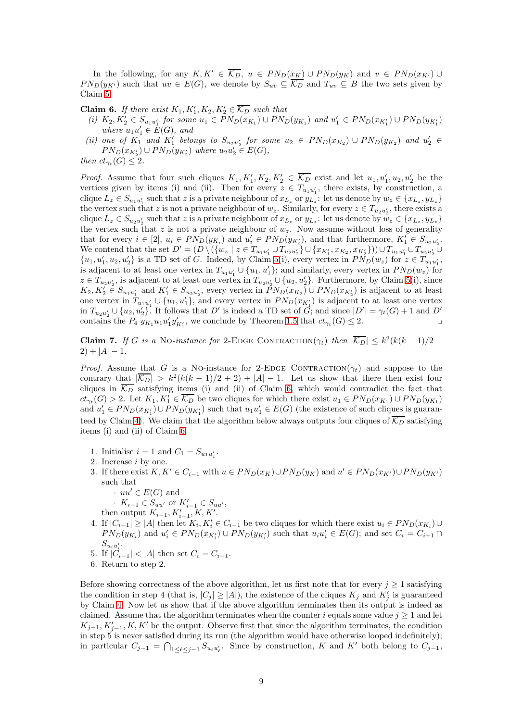In the following, for any  $K, K' \in \overline{\mathcal{K}_D}$ ,  $u \in PN_D(\underline{x_K}) \cup PN_D(y_K)$  and  $v \in PN_D(x_{K'}) \cup$  $PN_D(y_{K'})$  such that  $uv \in E(G)$ , we denote by  $S_{uv} \subseteq \overline{K_D}$  and  $T_{uv} \subseteq B$  the two sets given by Claim [5.](#page-7-0)

<span id="page-8-0"></span>**Claim 6.** If there exist  $K_1, K'_1, K_2, K'_2 \in \overline{\mathcal{K}_D}$  such that

- *(i)*  $K_2, K'_2 \in S_{u_1u'_1}$  *for some*  $u_1$  ∈  $PN_D(x_{K_1}) \cup PN_D(y_{K_1})$  *and*  $u'_1$  ∈  $PN_D(x_{K'_1}) \cup PN_D(y_{K'_1})$ where  $u_1u'_1 \in \dot{E}(G)$ , and
- (*ii*) one of  $K_1$  and  $K'_1$  belongs to  $S_{u_2u'_2}$  for some  $u_2 \in PN_D(x_{K_2}) \cup PN_D(y_{K_2})$  and  $u'_2 \in$  $PN_D(x_{K'_2}) \cup PN_D(y_{K'_2})$  where  $u_2u'_2 \in E(G)$ ,

*then*  $ct_{\gamma_t}(G) \leq 2$ *.* 

*Proof.* Assume that four such cliques  $K_1, K'_1, K_2, K'_2 \in \overline{\mathcal{K}_D}$  exist and let  $u_1, u'_1, u_2, u'_2$  be the vertices given by items (i) and (ii). Then for every  $z \in T_{u_1u'_1}$ , there exists, by construction, a clique  $L_z \in S_{u_1u'_1}$  such that z is a private neighbour of  $x_{L_z}$  or  $y_{L_z}$ : let us denote by  $w_z \in \{x_{L_z}, y_{L_z}\}$ the vertex such that z is not a private neighbour of  $w_z$ . Similarly, for every  $z \in T_{u_2u'_2}$ , there exists a clique  $L_z \in S_{u_2u'_2}$  such that z is a private neighbour of  $x_{L_z}$  or  $y_{L_z}$ : let us denote by  $w_z \in \{x_{L_z}, y_{L_z}\}$ the vertex such that z is not a private neighbour of  $w_z$ . Now assume without loss of generality that for every  $i \in [2]$ ,  $u_i \in PN_D(y_{K_i})$  and  $u'_i \in PN_D(y_{K'_i})$ , and that furthermore,  $K'_1 \in S_{u_2u'_2}$ . We contend that the set  $D' = (D \setminus (\{w_z \mid z \in T_{u_1u'_1} \cup T_{u_2u'_2}\} \cup \{x_{K'_1}, x_{K_2}, x_{K'_2}\})) \cup T_{u_1u'_1} \cup T_{u_2u'_2} \cup$  $\{u_1, u'_1, u_2, u'_2\}$  is a TD set of G. Indeed, by Claim [5\(](#page-7-0)i), every vertex in  $PN_D(w_z)$  for  $z \in T_{u_1u'_1}$ , is adjacent to at least one vertex in  $T_{u_1u'_1} \cup \{u_1, u'_1\}$ ; and similarly, every vertex in  $PN_D(w_z)$  for  $z \in T_{u_2u'_2}$ , is adjacent to at least one vertex in  $T_{u_2u'_2} \cup \{u_2, u'_2\}$ . Furthermore, by Claim [5\(](#page-7-0)i), since  $K_2, K'_2 \in S_{u_1u'_1}$  and  $K'_1 \in S_{u_2u'_2}$ , every vertex in  $\tilde{P}N_D(x_{K_2}) \cup PN_D(x_{K'_2})$  is adjacent to at least one vertex in  $T_{u_1u'_1} \cup \{u_1, u'_1\}$ , and every vertex in  $PN_D(x_{K'_1})$  is adjacent to at least one vertex in  $T_{u_2u'_2} \cup \{u_2, u'_2\}$ . It follows that D' is indeed a TD set of  $\hat{G}$ ; and since  $|D'| = \gamma_t(G) + 1$  and D' contains the  $P_4$   $y_{K_1}u_1u'_1y'_{K'_1}$ , we conclude by Theorem [1.5](#page-1-2) that  $ct_{\gamma_t}(G) \leq 2$ .

<span id="page-8-1"></span>Claim 7. If G is a No-instance for 2-EDGE CONTRACTION( $\gamma_t$ ) then  $|\overline{\mathcal{K}_D}| \leq k^2(k(k-1)/2 +$  $2) + |A| - 1.$ 

*Proof.* Assume that G is a NO-instance for 2-EDGE CONTRACTION( $\gamma_t$ ) and suppose to the contrary that  $|\overline{\mathcal{K}_{D}}| > k^2(k(k-1)/2+2) + |A|-1$ . Let us show that there then exist four cliques in  $\overline{\mathcal{K}_D}$  satisfying items (i) and (ii) of Claim [6,](#page-8-0) which would contradict the fact that  $ct_{\gamma_t}(G) > 2$ . Let  $K_1, K'_1 \in \overline{\mathcal{K}_D}$  be two cliques for which there exist  $u_1 \in PN_D(x_{K_1}) \cup PN_D(y_{K_1})$ and  $u'_1 \in PN_D(x_{K'_1}) \cup PN_D(y_{K'_1})$  such that  $u_1u'_1 \in E(G)$  (the existence of such cliques is guaran-teed by Claim [4\)](#page-6-2). We claim that the algorithm below always outputs four cliques of  $\overline{\mathcal{K}_D}$  satisfying items (i) and (ii) of Claim [6.](#page-8-0)

- 1. Initialise  $i = 1$  and  $C_1 = S_{u_1 u'_1}$ .
- 2. Increase i by one.
- 3. If there exist  $K, K' \in C_{i-1}$  with  $u \in PN_D(x_K) \cup PN_D(y_K)$  and  $u' \in PN_D(x_{K'}) \cup PN_D(y_{K'})$ such that
	- $uu' \in E(G)$  and
	- $\cdot K_{i-1} \in S_{uu'}$  or  $K'_{i-1} \in S_{uu'},$
	- then output  $K_{i-1}, K'_{i-1}, K, K'$ .
- 4. If  $|C_{i-1}| \geq |A|$  then let  $K_i, K'_i \in C_{i-1}$  be two cliques for which there exist  $u_i \in PN_D(x_{K_i}) \cup$  $PN_D(y_{K_i})$  and  $u'_i \in PN_D(x_{K'_i}) \cup PN_D(y_{K'_i})$  such that  $u_iu'_i \in E(G)$ ; and set  $C_i = C_{i-1} \cap$  $S_{u_iu_i'}$ .
- 5. If  $|\tilde{C}_{i-1}| < |A|$  then set  $C_i = C_{i-1}$ .
- 6. Return to step 2.

Before showing correctness of the above algorithm, let us first note that for every  $j \geq 1$  satisfying the condition in step 4 (that is,  $|C_j| \geq |A|$ ), the existence of the cliques  $K_j$  and  $K'_j$  is guaranteed by Claim [4.](#page-6-2) Now let us show that if the above algorithm terminates then its output is indeed as claimed. Assume that the algorithm terminates when the counter i equals some value  $j \geq 1$  and let  $K_{j-1}, K'_{j-1}, K, K'$  be the output. Observe first that since the algorithm terminates, the condition in step 5 is never satisfied during its run (the algorithm would have otherwise looped indefinitely); in particular  $C_{j-1} = \bigcap_{1 \leq \ell \leq j-1} S_{u_{\ell}u'_{\ell}}$ . Since by construction, K and K' both belong to  $C_{j-1}$ ,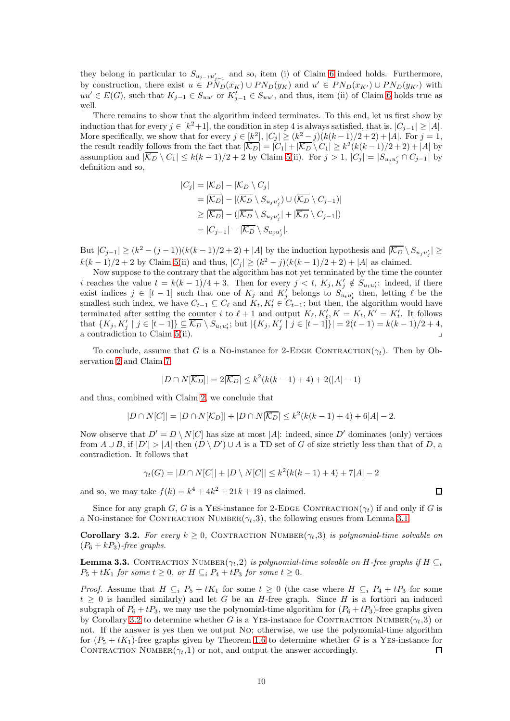they belong in particular to  $S_{u_{j-1}u'_{j-1}}$  and so, item (i) of Claim [6](#page-8-0) indeed holds. Furthermore, by construction, there exist  $u \in \tilde{PN}_D(x_K) \cup \tilde{PN}_D(y_K)$  and  $u' \in \tilde{PN}_D(x_{K'}) \cup \tilde{PN}_D(y_{K'})$  with  $uu' \in E(G)$ , such that  $K_{j-1} \in S_{uu'}$  or  $K'_{j-1} \in S_{uu'}$ , and thus, item (ii) of Claim [6](#page-8-0) holds true as well.

There remains to show that the algorithm indeed terminates. To this end, let us first show by induction that for every  $j \in [k^2+1]$ , the condition in step 4 is always satisfied, that is,  $|C_{j-1}| \geq |A|$ . More specifically, we show that for every  $j \in [k^2]$ ,  $|C_j| \ge (k^2 - j)(k(k-1)/2 + 2) + |A|$ . For  $j = 1$ , the result readily follows from the fact that  $|\overline{\mathcal{K}_D}| = |C_1| + |\overline{\mathcal{K}_D} \setminus C_1| \geq k^2(k(k-1)/2+2) + |A|$  by assumption and  $|K_D \setminus C_1| \leq k(k-1)/2 + 2$  by Claim [5\(](#page-7-0)ii). For  $j > 1$ ,  $|C_j| = |S_{u_j u'_j} \cap C_{j-1}|$  by definition and so,

$$
|C_j| = |\overline{K_D}| - |\overline{K_D} \setminus C_j|
$$
  
=  $|\overline{K_D}| - |(\overline{K_D} \setminus S_{u_j u'_j}) \cup (\overline{K_D} \setminus C_{j-1})|$   
 $\geq |\overline{K_D}| - (|\overline{K_D} \setminus S_{u_j u'_j}| + |\overline{K_D} \setminus C_{j-1}|)$   
=  $|C_{j-1}| - |\overline{K_D} \setminus S_{u_j u'_j}|.$ 

But  $|C_{j-1}| \ge (k^2 - (j-1))(k(k-1)/2 + 2) + |A|$  by the induction hypothesis and  $|\overline{\mathcal{K}_D} \setminus S_{u_j u'_j}| \ge$  $k(k-1)/2+2$  by Claim [5\(](#page-7-0)ii) and thus,  $|C_j| \geq (k^2 - j)(k(k-1)/2+2) + |A|$  as claimed.

Now suppose to the contrary that the algorithm has not yet terminated by the time the counter i reaches the value  $t = k(k-1)/4 + 3$ . Then for every  $j < t$ ,  $K_j, K'_j \notin S_{u_t u'_t}$ : indeed, if there exist indices  $j \in [t-1]$  such that one of  $K_j$  and  $K'_j$  belongs to  $S_{u_t u'_t}$  then, letting  $\ell$  be the smallest such index, we have  $C_{t-1} \subseteq C_{\ell}$  and  $K_t, K'_{t} \in C_{t-1}$ ; but then, the algorithm would have terminated after setting the <u>cou</u>nter i to  $\ell + 1$  and output  $K_{\ell}, K'_{\ell}, K = K_t, K' = K'_{t}$ . It follows that  $\{K_j, K'_j \mid j \in [t-1]\} \subseteq \overline{\mathcal{K}_D} \setminus S_{u_t u'_t}$ ; but  $|\{K_j, K'_j \mid j \in [t-1]\}| = 2(t-1) = k(k-1)/2 + 4$ , a contradiction to Claim  $5(ii)$ .

To conclude, assume that G is a No-instance for 2-EDGE CONTRACTION( $\gamma_t$ ). Then by Observation [2](#page-6-3) and Claim [7,](#page-8-1)

$$
|D \cap N[\overline{\mathcal{K}_D}]| = 2|\overline{\mathcal{K}_D}| \le k^2(k(k-1)+4) + 2(|A|-1)
$$

and thus, combined with Claim [2,](#page-5-1) we conclude that

$$
|D \cap N[C]| = |D \cap N[\mathcal{K}_D]| + |D \cap N[\overline{\mathcal{K}_D}] \le k^2(k(k-1)+4) + 6|A| - 2.
$$

Now observe that  $D' = D \setminus N[C]$  has size at most |A|: indeed, since D' dominates (only) vertices from  $A \cup B$ , if  $|D'| > |A|$  then  $(D \setminus D') \cup A$  is a TD set of G of size strictly less than that of D, a contradiction. It follows that

$$
\gamma_t(G) = |D \cap N[C]| + |D \setminus N[C]| \le k^2(k(k-1)+4) + 7|A| - 2
$$

and so, we may take  $f(k) = k^4 + 4k^2 + 21k + 19$  as claimed.

<span id="page-9-0"></span>Since for any graph G, G is a YES-instance for 2-EDGE CONTRACTION( $\gamma_t$ ) if and only if G is a No-instance for CONTRACTION NUMBER $(\gamma_t,3)$ , the following ensues from Lemma [3.1.](#page-4-2)

**Corollary 3.2.** For every  $k \geq 0$ , CONTRACTION NUMBER( $\gamma_t$ ,3) is polynomial-time solvable on  $(P_6 + kP_3)$ -free graphs.

<span id="page-9-1"></span>**Lemma 3.3.** CONTRACTION NUMBER( $\gamma_t$ ,2) *is polynomial-time solvable on* H-free graphs if H  $\subseteq$  $P_5 + tK_1$  *for some*  $t \geq 0$ *, or*  $H \subseteq_i P_4 + tP_3$  *for some*  $t \geq 0$ *.* 

*Proof.* Assume that  $H \subseteq_i P_5 + tK_1$  for some  $t \geq 0$  (the case where  $H \subseteq_i P_4 + tP_3$  for some  $t \geq 0$  is handled similarly) and let G be an H-free graph. Since H is a fortiori an induced subgraph of  $P_6 + tP_3$ , we may use the polynomial-time algorithm for  $(P_6 + tP_3)$ -free graphs given by Corollary [3.2](#page-9-0) to determine whether G is a YES-instance for CONTRACTION NUMBER( $\gamma_t$ , 3) or not. If the answer is yes then we output No; otherwise, we use the polynomial-time algorithm for  $(P_5 + tK_1)$ -free graphs given by Theorem [1.6](#page-1-4) to determine whether G is a YES-instance for CONTRACTION NUMBER $(\gamma_t, 1)$  or not, and output the answer accordingly.  $\Box$ 

 $\Box$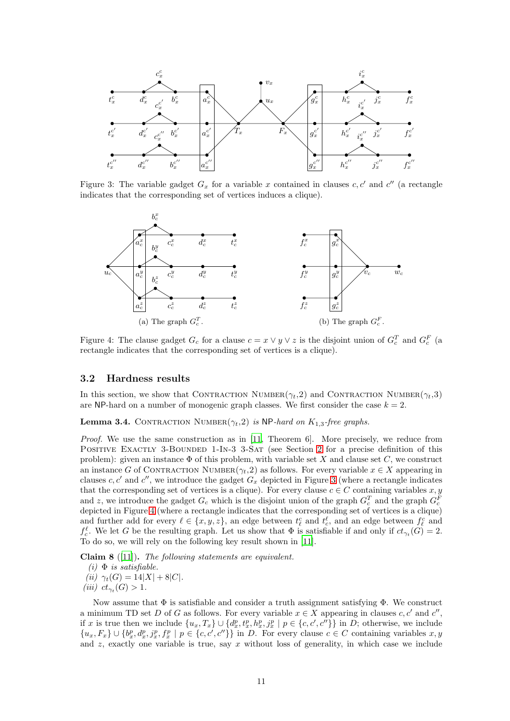<span id="page-10-1"></span>

Figure 3: The variable gadget  $G_x$  for a variable x contained in clauses  $c, c'$  and  $c''$  (a rectangle indicates that the corresponding set of vertices induces a clique).

<span id="page-10-2"></span>

Figure 4: The clause gadget  $G_c$  for a clause  $c = x \vee y \vee z$  is the disjoint union of  $G_c^T$  and  $G_c^F$  (a rectangle indicates that the corresponding set of vertices is a clique).

### <span id="page-10-0"></span>3.2 Hardness results

<span id="page-10-4"></span>In this section, we show that CONTRACTION NUMBER( $\gamma_t$ ,2) and CONTRACTION NUMBER( $\gamma_t$ ,3) are NP-hard on a number of monogenic graph classes. We first consider the case  $k = 2$ .

**Lemma 3.4.** CONTRACTION NUMBER $(\gamma_t, 2)$  is NP-hard on  $K_{1,3}$ -free graphs.

*Proof.* We use the same construction as in [\[11,](#page-36-8) Theorem 6]. More precisely, we reduce from POSITIVE EXACTLY 3-BOUNDED 1-IN-3 3-SAT (see Section [2](#page-2-0) for a precise definition of this problem): given an instance  $\Phi$  of this problem, with variable set X and clause set C, we construct an instance G of CONTRACTION NUMBER( $\gamma_t$ ,2) as follows. For every variable  $x \in X$  appearing in clauses c, c' and c'', we introduce the gadget  $G_x$  depicted in Figure [3](#page-10-1) (where a rectangle indicates that the corresponding set of vertices is a clique). For every clause  $c \in C$  containing variables  $x, y$ and z, we introduce the gadget  $G_c$  which is the disjoint union of the graph  $G_c^T$  and the graph  $G_c^F$ depicted in Figure [4](#page-10-2) (where a rectangle indicates that the corresponding set of vertices is a clique) and further add for every  $\ell \in \{x, y, z\}$ , an edge between  $t_{\ell}^c$  and  $t_c^{\ell}$ , and an edge between  $f_{\ell}^c$  and  $f_c^{\ell}$ . We let G be the resulting graph. Let us show that  $\Phi$  is satisfiable if and only if  $ct_{\gamma_t}(G) = 2$ . To do so, we will rely on the following key result shown in [\[11\]](#page-36-8).

<span id="page-10-3"></span>Claim 8 ([\[11](#page-36-8)]). *The following statements are equivalent.*

```
(i) \Phi is satisfiable.
```
- *(ii)*  $\gamma_t(G) = 14|X| + 8|C|$ *.*
- *(iii)*  $ct_{\gamma_t}(G) > 1$ *.*

Now assume that  $\Phi$  is satisfiable and consider a truth assignment satisfying  $\Phi$ . We construct a minimum TD set D of G as follows. For every variable  $x \in X$  appearing in clauses  $c, c'$  and  $c''$ , if x is true then we include  $\{u_x, T_x\} \cup \{d_x^p, t_x^p, h_x^p, j_x^p \mid p \in \{c, c', c''\}\}\$  in D; otherwise, we include  $\{u_x, F_x\} \cup \{b_x^p, d_x^p, j_x^p, f_x^p \mid p \in \{c, c', c''\}\}\$  in D. For every clause  $c \in C$  containing variables  $x, y$ and  $z$ , exactly one variable is true, say  $x$  without loss of generality, in which case we include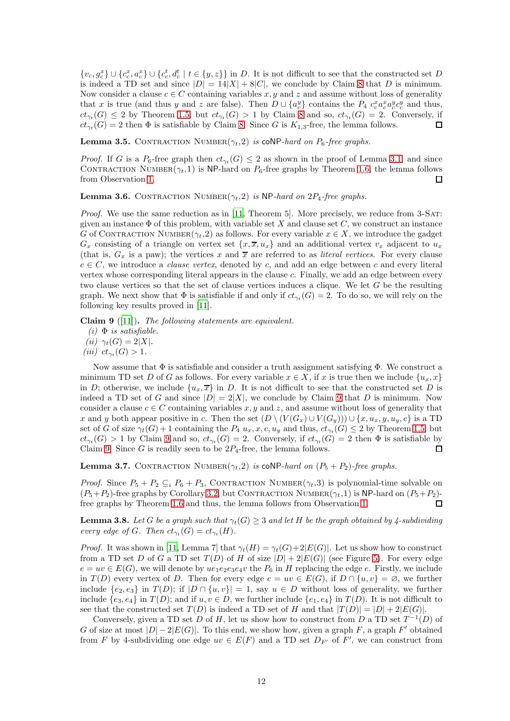$\{v_c, g_c^x\} \cup \{c_c^x, a_c^x\} \cup \{c_c^t, d_c^t \mid t \in \{y, z\}\}\$ in D. It is not difficult to see that the constructed set D is indeed a TD set and since  $|D| = 14|X| + 8|C|$  $|D| = 14|X| + 8|C|$  $|D| = 14|X| + 8|C|$ , we conclude by Claim 8 that D is minimum. Now consider a clause  $c \in C$  containing variables x, y and z and assume without loss of generality that x is true (and thus y and z are false). Then  $D \cup \{a_c^y\}$  contains the  $P_4$   $c_c^x a_c^x a_c^y c_c^y$  and thus,  $ct_{\gamma_t}(G) \leq 2$  by Theorem [1.5;](#page-1-2) but  $ct_{\gamma_t}(G) > 1$  by Claim [8](#page-10-3) and so,  $ct_{\gamma_t}(G) = 2$ . Conversely, if  $ct_{\gamma_t}(G) = 2$  then  $\Phi$  is satisfiable by Claim [8.](#page-10-3) Since G is  $K_{1,3}$ -free, the lemma follows.  $\Box$ 

<span id="page-11-2"></span>**Lemma 3.5.** CONTRACTION NUMBER $(\gamma_t, 2)$  is coNP-hard on  $P_6$ -free graphs.

*Proof.* If G is a  $P_6$ -free graph then  $ct_{\gamma_t}(G) \leq 2$  as shown in the proof of Lemma [3.1;](#page-4-2) and since CONTRACTION NUMBER( $\gamma_t$ ,1) is NP-hard on  $P_6$ -free graphs by Theorem [1.6,](#page-1-4) the lemma follows from Observation [1.](#page-4-3)  $\Box$ 

<span id="page-11-3"></span>Lemma 3.6. CONTRACTION NUMBER $(\gamma_t, 2)$  is NP-hard on  $2P_4$ -free graphs.

*Proof.* We use the same reduction as in [\[11,](#page-36-8) Theorem 5]. More precisely, we reduce from 3-SAT: given an instance  $\Phi$  of this problem, with variable set X and clause set C, we construct an instance G of CONTRACTION NUMBER $(\gamma_t, 2)$  as follows. For every variable  $x \in X$ , we introduce the gadget  $G_x$  consisting of a triangle on vertex set  $\{x, \overline{x}, u_x\}$  and an additional vertex  $v_x$  adjacent to  $u_x$ (that is,  $G_x$  is a paw); the vertices x and  $\overline{x}$  are referred to as *literal vertices*. For every clause  $c \in C$ , we introduce a *clause vertex*, denoted by c, and add an edge between c and every literal vertex whose corresponding literal appears in the clause c. Finally, we add an edge between every two clause vertices so that the set of clause vertices induces a clique. We let G be the resulting graph. We next show that  $\Phi$  is satisfiable if and only if  $ct_{\gamma_t}(G) = 2$ . To do so, we will rely on the following key results proved in [\[11](#page-36-8)].

<span id="page-11-0"></span>Claim 9 ([\[11](#page-36-8)]). *The following statements are equivalent.*

 $(i)$   $\Phi$  *is satisfiable.* 

*(ii)*  $\gamma_t(G) = 2|X|$ *.* 

*(iii)*  $ct_{\gamma_t}(G) > 1$ *.* 

Now assume that  $\Phi$  is satisfiable and consider a truth assignment satisfying  $\Phi$ . We construct a minimum TD set D of G as follows. For every variable  $x \in X$ , if x is true then we include  $\{u_x, x\}$ in D; otherwise, we include  $\{u_x, \overline{x}\}\$ in D. It is not difficult to see that the constructed set D is indeed a TD set of G and since  $|D| = 2|X|$ , we conclude by Claim [9](#page-11-0) that D is minimum. Now consider a clause  $c \in C$  containing variables x, y and z, and assume without loss of generality that x and y both appear positive in c. Then the set  $(D \setminus (V(G_x) \cup V(G_y))) \cup \{x, u_x, y, u_y, c\}$  is a TD set of G of size  $\gamma_t(G) + 1$  containing the  $P_4$   $u_x, x, c, u_y$  and thus,  $ct_{\gamma_t}(G) \leq 2$  by Theorem [1.5;](#page-1-2) but  $ct_{\gamma_t}(G) > 1$  by Claim [9](#page-11-0) and so,  $ct_{\gamma_t}(G) = 2$ . Conversely, if  $ct_{\gamma_t}(G) = 2$  then  $\Phi$  is satisfiable by Claim [9.](#page-11-0) Since G is readily seen to be  $2P_4$ -free, the lemma follows.  $\Box$ 

<span id="page-11-4"></span>**Lemma 3.7.** CONTRACTION NUMBER $(\gamma_t, 2)$  is coNP-hard on  $(P_5 + P_2)$ -free graphs.

*Proof.* Since  $P_5 + P_2 \subseteq_i P_6 + P_3$ , CONTRACTION NUMBER( $\gamma_t$ , 3) is polynomial-time solvable on  $(P_5+P_2)$ -free graphs by Corollary [3.2;](#page-9-0) but CONTRACTION NUMBER $(\gamma_t, 1)$  is NP-hard on  $(P_5+P_2)$ -free graphs by Theorem 1.6 and thus, the lemma follows from Observation 1. free graphs by Theorem [1.6](#page-1-4) and thus, the lemma follows from Observation [1.](#page-4-3)

<span id="page-11-1"></span>**Lemma 3.8.** Let G be a graph such that  $\gamma_t(G) > 3$  and let H be the graph obtained by 4-subdividing *every edge of G. Then*  $ct_{\gamma_t}(G) = ct_{\gamma_t}(H)$ *.* 

*Proof.* It was shown in [\[11,](#page-36-8) Lemma 7] that  $\gamma_t(H) = \gamma_t(G) + 2|E(G)|$ . Let us show how to construct from a TD set D of G a TD set  $T(D)$  of H of size  $|D|+2|E(G)|$  (see Figure [5\)](#page-12-0). For every edge  $e = uv \in E(G)$ , we will denote by  $ue_1e_2e_3e_4v$  the  $P_6$  in H replacing the edge e. Firstly, we include in  $T(D)$  every vertex of D. Then for every edge  $e = uv \in E(G)$ , if  $D \cap \{u, v\} = \emptyset$ , we further include  $\{e_2, e_3\}$  in  $T(D)$ ; if  $|D \cap \{u, v\}| = 1$ , say  $u \in D$  without loss of generality, we further include  $\{e_3, e_4\}$  in  $T(D)$ ; and if  $u, v \in D$ , we further include  $\{e_1, e_4\}$  in  $T(D)$ . It is not difficult to see that the constructed set  $T(D)$  is indeed a TD set of H and that  $|T(D)| = |D| + 2|E(G)|$ .

Conversely, given a TD set D of H, let us show how to construct from D a TD set  $T^{-1}(D)$  of G of size at most  $|D|-2|E(G)|$ . To this end, we show how, given a graph F, a graph F' obtained from F by 4-subdividing one edge  $uv \in E(F)$  and a TD set  $D_{F'}$  of F', we can construct from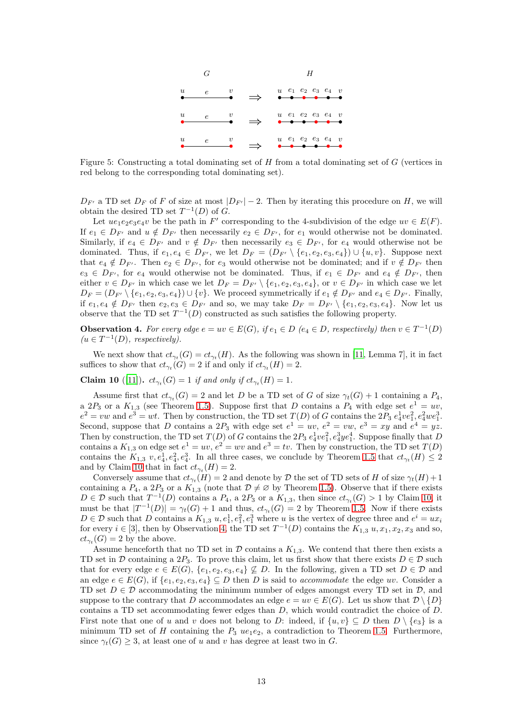<span id="page-12-0"></span>

Figure 5: Constructing a total dominating set of  $H$  from a total dominating set of  $G$  (vertices in red belong to the corresponding total dominating set).

 $D_{F'}$  a TD set  $D_F$  of F of size at most  $|D_{F'}| - 2$ . Then by iterating this procedure on H, we will obtain the desired TD set  $T^{-1}(D)$  of G.

Let  $ue_1e_2e_3e_4v$  be the path in F' corresponding to the 4-subdivision of the edge  $uv \in E(F)$ . If  $e_1 \in D_{F'}$  and  $u \notin D_{F'}$  then necessarily  $e_2 \in D_{F'}$ , for  $e_1$  would otherwise not be dominated. Similarly, if  $e_4 \in D_{F'}$  and  $v \notin D_{F'}$  then necessarily  $e_3 \in D_{F'}$ , for  $e_4$  would otherwise not be dominated. Thus, if  $e_1, e_4 \in D_{F'}$ , we let  $D_F = (D_{F'} \setminus \{e_1, e_2, e_3, e_4\}) \cup \{u, v\}$ . Suppose next that  $e_4 \notin D_{F'}$ . Then  $e_2 \in D_{F'}$ , for  $e_3$  would otherwise not be dominated; and if  $v \notin D_{F'}$  then  $e_3 \in D_{F'}$ , for  $e_4$  would otherwise not be dominated. Thus, if  $e_1 \in D_{F'}$  and  $e_4 \notin D_{F'}$ , then either  $v \in D_{F'}$  in which case we let  $D_F = D_{F'} \setminus \{e_1, e_2, e_3, e_4\}$ , or  $v \in D_{F'}$  in which case we let  $D_F = (D_{F'} \setminus \{e_1, e_2, e_3, e_4\}) \cup \{v\}.$  We proceed symmetrically if  $e_1 \notin D_{F'}$  and  $e_4 \in D_{F'}$ . Finally, if  $e_1, e_4 \notin D_{F'}$  then  $e_2, e_3 \in D_{F'}$  and so, we may take  $D_F = D_{F'} \setminus \{e_1, e_2, e_3, e_4\}$ . Now let us observe that the TD set  $T^{-1}(D)$  constructed as such satisfies the following property.

<span id="page-12-2"></span>**Observation 4.** For every edge  $e = uv \in E(G)$ , if  $e_1 \in D$  ( $e_4 \in D$ , respectively) then  $v \in T^{-1}(D)$  $(u \in T^{-1}(D),$  respectively).

<span id="page-12-1"></span>We next show that  $ct_{\gamma_t}(G) = ct_{\gamma_t}(H)$ . As the following was shown in [\[11,](#page-36-8) Lemma 7], it in fact suffices to show that  $ct_{\gamma_t}(G) = 2$  if and only if  $ct_{\gamma_t}(H) = 2$ .

**Claim 10** ([\[11\]](#page-36-8)).  $ct_{\gamma_t}(G) = 1$  *if and only if*  $ct_{\gamma_t}(H) = 1$ *.* 

Assume first that  $ct_{\gamma_t}(G) = 2$  and let D be a TD set of G of size  $\gamma_t(G) + 1$  containing a  $P_4$ , a  $2P_3$  or a  $K_{1,3}$  (see Theorem [1.5\)](#page-1-2). Suppose first that D contains a  $P_4$  with edge set  $e^1 = uv$ ,  $e^2 = vw$  and  $e^3 = wt$ . Then by construction, the TD set  $T(D)$  of G contains the  $2P_3 e_4^1 v e_1^2, e_4^2 w e_1^3$ . Second, suppose that D contains a  $2P_3$  with edge set  $e^1 = uv$ ,  $e^2 = vw$ ,  $e^3 = xy$  and  $e^4 = yz$ . Then by construction, the TD set  $T(D)$  of G contains the  $2P_3 e_4^1ve_1^2, e_4^3ye_1^4$ . Suppose finally that D contains a  $K_{1,3}$  on edge set  $e^1 = uv$ ,  $e^2 = wv$  and  $e^3 = tv$ . Then by construction, the TD set  $T(D)$ contains the  $K_{1,3}$   $v, e_4^1, e_4^2, e_4^3$ . In all three cases, we conclude by Theorem [1.5](#page-1-2) that  $ct_{\gamma_t}(H) \leq 2$ and by Claim [10](#page-12-1) that in fact  $ct_{\gamma_t}(H) = 2$ .

Conversely assume that  $ct_{\gamma_t}(H) = 2$  and denote by D the set of TD sets of H of size  $\gamma_t(H) + 1$ containing a  $P_4$ , a  $2P_3$  or a  $K_{1,3}$  (note that  $\mathcal{D} \neq \emptyset$  by Theorem [1.5\)](#page-1-2). Observe that if there exists  $D \in \mathcal{D}$  such that  $T^{-1}(D)$  contains a  $P_4$ , a  $2P_3$  or a  $K_{1,3}$ , then since  $ct_{\gamma_t}(G) > 1$  by Claim [10,](#page-12-1) it must be that  $|T^{-1}(D)| = \gamma_t(G) + 1$  and thus,  $ct_{\gamma_t}(G) = 2$  by Theorem [1.5.](#page-1-2) Now if there exists  $D \in \mathcal{D}$  such that D contains a  $K_{1,3}$   $u, e_1^1, e_1^2, e_1^3$  where u is the vertex of degree three and  $e^i = ux_i$ for every  $i \in [3]$ , then by Observation [4,](#page-12-2) the TD set  $T^{-1}(D)$  contains the  $K_{1,3} u, x_1, x_2, x_3$  and so,  $ct_{\gamma_t}(G) = 2$  by the above.

Assume henceforth that no TD set in  $\mathcal D$  contains a  $K_{1,3}$ . We contend that there then exists a TD set in D containing a  $2P_3$ . To prove this claim, let us first show that there exists  $D \in \mathcal{D}$  such that for every edge  $e \in E(G)$ ,  $\{e_1, e_2, e_3, e_4\} \not\subseteq D$ . In the following, given a TD set  $D \in \mathcal{D}$  and an edge  $e \in E(G)$ , if  $\{e_1, e_2, e_3, e_4\} \subseteq D$  then D is said to *accommodate* the edge uv. Consider a TD set  $D \in \mathcal{D}$  accommodating the minimum number of edges amongst every TD set in  $\mathcal{D}$ , and suppose to the contrary that D accommodates an edge  $e = uv \in E(G)$ . Let us show that  $\mathcal{D} \setminus \{D\}$ contains a TD set accommodating fewer edges than D, which would contradict the choice of D. First note that one of u and v does not belong to D: indeed, if  $\{u, v\} \subseteq D$  then  $D \setminus \{e_3\}$  is a minimum TD set of H containing the  $P_3$  ue<sub>1</sub>e<sub>2</sub>, a contradiction to Theorem [1.5.](#page-1-2) Furthermore, since  $\gamma_t(G) \geq 3$ , at least one of u and v has degree at least two in G.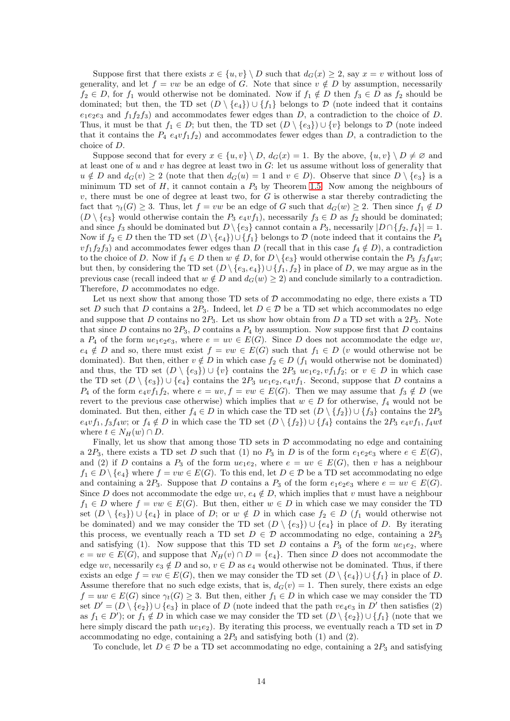Suppose first that there exists  $x \in \{u, v\} \setminus D$  such that  $d_G(x) \geq 2$ , say  $x = v$  without loss of generality, and let  $f = vw$  be an edge of G. Note that since  $v \notin D$  by assumption, necessarily  $f_2 \in D$ , for  $f_1$  would otherwise not be dominated. Now if  $f_1 \notin D$  then  $f_3 \in D$  as  $f_2$  should be dominated; but then, the TD set  $(D \setminus \{e_4\}) \cup \{f_1\}$  belongs to D (note indeed that it contains  $e_1e_2e_3$  and  $f_1f_2f_3$ ) and accommodates fewer edges than D, a contradiction to the choice of D. Thus, it must be that  $f_1 \in D$ ; but then, the TD set  $(D \setminus \{e_3\}) \cup \{v\}$  belongs to  $D$  (note indeed that it contains the  $P_4$  e<sub>4</sub>vf<sub>1</sub>f<sub>2</sub>) and accommodates fewer edges than D, a contradiction to the choice of D.

Suppose second that for every  $x \in \{u, v\} \setminus D$ ,  $d_G(x) = 1$ . By the above,  $\{u, v\} \setminus D \neq \emptyset$  and at least one of  $u$  and  $v$  has degree at least two in  $G$ : let us assume without loss of generality that  $u \notin D$  and  $d_G(v) \geq 2$  (note that then  $d_G(u) = 1$  and  $v \in D$ ). Observe that since  $D \setminus \{e_3\}$  is a minimum TD set of  $H$ , it cannot contain a  $P_3$  by Theorem [1.5.](#page-1-2) Now among the neighbours of  $v$ , there must be one of degree at least two, for  $G$  is otherwise a star thereby contradicting the fact that  $\gamma_t(G) \geq 3$ . Thus, let  $f = vw$  be an edge of G such that  $d_G(w) \geq 2$ . Then since  $f_1 \notin D$  $(D \setminus \{e_3\}$  would otherwise contain the  $P_3 e_4vf_1$ , necessarily  $f_3 \in D$  as  $f_2$  should be dominated; and since  $f_3$  should be dominated but  $D \setminus \{e_3\}$  cannot contain a  $P_3$ , necessarily  $|D \cap \{f_2, f_4\}| = 1$ . Now if  $f_2 \in D$  then the TD set  $(D \setminus \{e_4\}) \cup \{f_1\}$  belongs to D (note indeed that it contains the  $P_4$  $v f_1 f_2 f_3$ ) and accommodates fewer edges than D (recall that in this case  $f_4 \notin D$ ), a contradiction to the choice of D. Now if  $f_4 \in D$  then  $w \notin D$ , for  $D \setminus \{e_3\}$  would otherwise contain the  $P_3$   $f_3f_4w$ ; but then, by considering the TD set  $(D \setminus \{e_3, e_4\}) \cup \{f_1, f_2\}$  in place of D, we may argue as in the previous case (recall indeed that  $w \notin D$  and  $d_G(w) \geq 2$ ) and conclude similarly to a contradiction. Therefore, D accommodates no edge.

Let us next show that among those  $TD$  sets of  $D$  accommodating no edge, there exists a  $TD$ set D such that D contains a  $2P_3$ . Indeed, let  $D \in \mathcal{D}$  be a TD set which accommodates no edge and suppose that D contains no  $2P_3$ . Let us show how obtain from D a TD set with a  $2P_3$ . Note that since D contains no  $2P_3$ , D contains a  $P_4$  by assumption. Now suppose first that D contains a  $P_4$  of the form  $ue_1e_2e_3$ , where  $e = uv \in E(G)$ . Since D does not accommodate the edge uv,  $e_4 \notin D$  and so, there must exist  $f = vw \in E(G)$  such that  $f_1 \in D$  (v would otherwise not be dominated). But then, either  $v \notin D$  in which case  $f_2 \in D$  ( $f_1$  would otherwise not be dominated) and thus, the TD set  $(D \setminus \{e_3\}) \cup \{v\}$  contains the  $2P_3$  ue<sub>1</sub>e<sub>2</sub>,  $v f_1 f_2$ ; or  $v \in D$  in which case the TD set  $(D \setminus \{e_3\}) \cup \{e_4\}$  contains the  $2P_3$  ue<sub>1</sub> $e_2, e_4v_1$ . Second, suppose that D contains a  $P_4$  of the form  $e_4v f_1f_2$ , where  $e = uv$ ,  $f = vw \in E(G)$ . Then we may assume that  $f_3 \notin D$  (we revert to the previous case otherwise) which implies that  $w \in D$  for otherwise,  $f_4$  would not be dominated. But then, either  $f_4 \in D$  in which case the TD set  $(D \setminus \{f_2\}) \cup \{f_3\}$  contains the  $2P_3$  $e_4vf_1, f_3f_4w$ ; or  $f_4 \notin D$  in which case the TD set  $(D \setminus \{f_2\}) \cup \{f_4\}$  contains the  $2P_3$   $e_4vf_1, f_4wt$ where  $t \in N_H(w) \cap D$ .

Finally, let us show that among those TD sets in  $D$  accommodating no edge and containing a 2P<sub>3</sub>, there exists a TD set D such that (1) no P<sub>3</sub> in D is of the form  $e_1e_2e_3$  where  $e \in E(G)$ , and (2) if D contains a  $P_3$  of the form  $ue_1e_2$ , where  $e = uv \in E(G)$ , then v has a neighbour  $f_1 \in D \setminus \{e_4\}$  where  $f = vw \in E(G)$ . To this end, let  $D \in \mathcal{D}$  be a TD set accommodating no edge and containing a 2P<sub>3</sub>. Suppose that D contains a P<sub>3</sub> of the form  $e_1e_2e_3$  where  $e = uv \in E(G)$ . Since D does not accommodate the edge uv,  $e_4 \notin D$ , which implies that v must have a neighbour  $f_1 \in D$  where  $f = vw \in E(G)$ . But then, either  $w \in D$  in which case we may consider the TD set  $(D \setminus \{e_3\}) \cup \{e_4\}$  in place of D; or  $w \notin D$  in which case  $f_2 \in D$  ( $f_1$  would otherwise not be dominated) and we may consider the TD set  $(D \setminus \{e_3\}) \cup \{e_4\}$  in place of D. By iterating this process, we eventually reach a TD set  $D \in \mathcal{D}$  accommodating no edge, containing a  $2P_3$ and satisfying (1). Now suppose that this TD set D contains a  $P_3$  of the form  $ue_1e_2$ , where  $e = uv \in E(G)$ , and suppose that  $N_H(v) \cap D = \{e_4\}$ . Then since D does not accommodate the edge uv, necessarily  $e_3 \notin D$  and so,  $v \in D$  as  $e_4$  would otherwise not be dominated. Thus, if there exists an edge  $f = vw \in E(G)$ , then we may consider the TD set  $(D \setminus \{e_4\}) \cup \{f_1\}$  in place of D. Assume therefore that no such edge exists, that is,  $d_G(v) = 1$ . Then surely, there exists an edge  $f = uw \in E(G)$  since  $\gamma_t(G) \geq 3$ . But then, either  $f_1 \in D$  in which case we may consider the TD set  $D' = (D \setminus \{e_2\}) \cup \{e_3\}$  in place of D (note indeed that the path  $ve_4e_3$  in D' then satisfies (2) as  $f_1 \in D'$ ); or  $f_1 \notin D$  in which case we may consider the TD set  $(D \setminus \{e_2\}) \cup \{f_1\}$  (note that we here simply discard the path  $ue_1e_2$ ). By iterating this process, we eventually reach a TD set in  $\mathcal D$ accommodating no edge, containing a  $2P_3$  and satisfying both (1) and (2).

To conclude, let  $D \in \mathcal{D}$  be a TD set accommodating no edge, containing a 2 $P_3$  and satisfying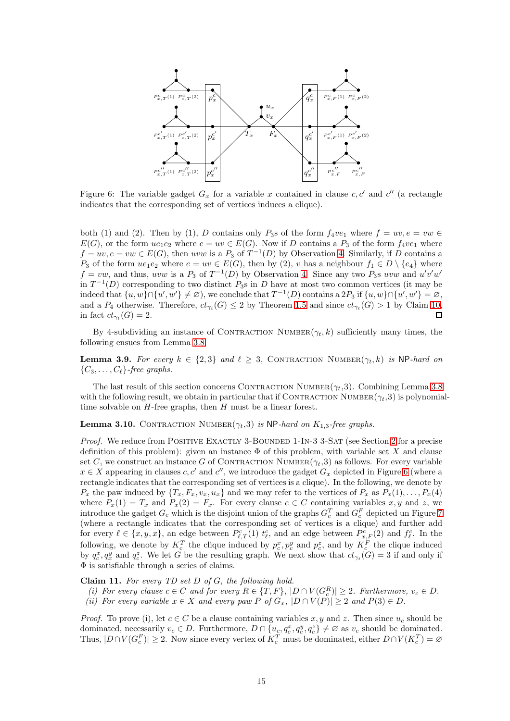<span id="page-14-0"></span>

Figure 6: The variable gadget  $G_x$  for a variable x contained in clause  $c, c'$  and  $c''$  (a rectangle indicates that the corresponding set of vertices induces a clique).

both (1) and (2). Then by (1), D contains only P<sub>3</sub>s of the form  $f_4v_{e_1}$  where  $f = uv, e = vw \in$  $E(G)$ , or the form  $ue_1e_2$  where  $e = uv \in E(G)$ . Now if D contains a  $P_3$  of the form  $f_4ve_1$  where  $f = uv, e = vw \in E(G)$ , then uvw is a  $P_3$  of  $T^{-1}(D)$  by Observation [4.](#page-12-2) Similarly, if D contains a P<sub>3</sub> of the form  $ue_1e_2$  where  $e = uv \in E(G)$ , then by (2), v has a neighbour  $f_1 \in D \setminus \{e_4\}$  where  $f = vw$ , and thus, uvw is a  $P_3$  of  $T^{-1}(D)$  by Observation [4.](#page-12-2) Since any two  $P_3$ s uvw and  $u'v'w'$ in  $T^{-1}(D)$  corresponding to two distinct  $P_3$ s in D have at most two common vertices (it may be indeed that  $\{u, w\} \cap \{u', w'\} \neq \emptyset$ , we conclude that  $T^{-1}(D)$  contains a  $2P_3$  if  $\{u, w\} \cap \{u', w'\} = \emptyset$ , and a  $P_4$  otherwise. Therefore,  $ct_{\gamma_t}(G) \leq 2$  by Theorem [1.5](#page-1-2) and since  $ct_{\gamma_t}(G) > 1$  by Claim [10,](#page-12-1)  $\Box$ in fact  $ct_{\gamma_t}(G) = 2$ .

<span id="page-14-2"></span>By 4-subdividing an instance of CONTRACTION NUMBER $(\gamma_t, k)$  sufficiently many times, the following ensues from Lemma [3.8.](#page-11-1)

**Lemma 3.9.** For every  $k \in \{2,3\}$  and  $\ell \geq 3$ , CONTRACTION NUMBER $(\gamma_t, k)$  is NP-hard on  ${C_3, \ldots, C_{\ell}}$ *-free graphs.* 

The last result of this section concerns CONTRACTION NUMBER( $\gamma_t$ ,3). Combining Lemma [3.8](#page-11-1) with the following result, we obtain in particular that if CONTRACTION NUMBER( $\gamma_t$ ,3) is polynomialtime solvable on  $H$ -free graphs, then  $H$  must be a linear forest.

**Lemma 3.10.** CONTRACTION NUMBER $(\gamma_t,3)$  is NP-hard on  $K_{1,3}$ -free graphs.

*Proof.* We reduce from POSITIVE EXACTLY 3-BOUNDED 1-IN-3 3-SAT (see Section [2](#page-2-0) for a precise definition of this problem): given an instance  $\Phi$  of this problem, with variable set X and clause set C, we construct an instance G of CONTRACTION NUMBER $(\gamma_t,3)$  as follows. For every variable  $x \in X$  appearing in clauses c, c' and c'', we introduce the gadget  $G_x$  depicted in Figure [6](#page-14-0) (where a rectangle indicates that the corresponding set of vertices is a clique). In the following, we denote by  $P_x$  the paw induced by  $\{T_x, F_x, v_x, u_x\}$  and we may refer to the vertices of  $P_x$  as  $P_x(1), \ldots, P_x(4)$ where  $P_x(1) = T_x$  and  $P_x(2) = F_x$ . For every clause  $c \in C$  containing variables x, y and z, we introduce the gadget  $G_c$  which is the disjoint union of the graphs  $G_c^T$  and  $G_c^F$  depicted un Figure [7](#page-15-0) (where a rectangle indicates that the corresponding set of vertices is a clique) and further add for every  $\ell \in \{x, y, x\}$ , an edge between  $P_{\ell,T}^c(1)$   $t_{\ell}^c$ , and an edge between  $P_{x,F}^c(2)$  and  $f_{\ell}^c$ . In the following, we denote by  $K_c^T$  the clique induced by  $p_c^x, p_c^y$  and  $p_c^z$ , and by  $K_c^F$  the clique induced by  $q_c^x, q_x^y$  and  $q_c^z$ . We let G be the resulting graph. We next show that  $ct_{\gamma_t}(G) = 3$  if and only if Φ is satisfiable through a series of claims.

<span id="page-14-1"></span>Claim 11. *For every TD set* D *of* G*, the following hold.*

*(i)* For every clause  $c \in C$  and for every  $R \in \{T, F\}$ ,  $|D \cap V(G_c^R)| \geq 2$ . Furthermore,  $v_c \in D$ . *(ii)* For every variable  $x \in X$  and every paw P of  $G_x$ ,  $|D \cap V(P)| \geq 2$  and  $P(3) \in D$ .

*Proof.* To prove (i), let  $c \in C$  be a clause containing variables x, y and z. Then since  $u_c$  should be dominated, necessarily  $v_c \in D$ . Furthermore,  $D \cap \{u_c, q_c^x, q_c^y, q_c^z\} \neq \emptyset$  as  $v_c$  should be dominated. Thus,  $|D \cap V(G_c^F)| \geq 2$ . Now since every vertex of  $K_c^T$  must be dominated, either  $D \cap V(K_c^T) = \emptyset$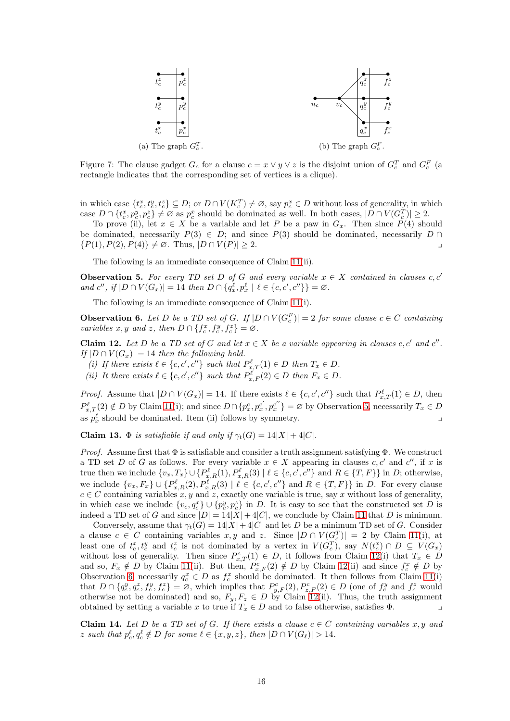<span id="page-15-0"></span>

Figure 7: The clause gadget  $G_c$  for a clause  $c = x \vee y \vee z$  is the disjoint union of  $G_c^T$  and  $G_c^F$  (a rectangle indicates that the corresponding set of vertices is a clique).

in which case  $\{t_c^x, t_c^y, t_c^z\} \subseteq D$ ; or  $D \cap V(K_c^T) \neq \emptyset$ , say  $p_c^x \in D$  without loss of generality, in which case  $D \cap \{t_c^x, p_c^y, p_c^z\} \neq \emptyset$  as  $p_c^x$  should be dominated as well. In both cases,  $|D \cap V(G_c^T)| \geq 2$ .

To prove (ii), let  $x \in X$  be a variable and let P be a paw in  $G_x$ . Then since  $P(4)$  should be dominated, necessarily  $P(3) \in D$ ; and since  $P(3)$  should be dominated, necessarily  $D \cap D$  ${P(1), P(2), P(4)} \neq \emptyset$ . Thus,  $|D \cap V(P)| > 2$ .

<span id="page-15-1"></span>The following is an immediate consequence of Claim [11\(](#page-14-1)ii).

**Observation 5.** For every TD set D of G and every variable  $x \in X$  contained in clauses c, c' *and*  $c''$ , if  $|D \cap V(G_x)| = 14$  *then*  $D \cap \{q_x^{\ell}, p_x^{\ell} \mid \ell \in \{c, c', c''\}\} = \emptyset$ .

<span id="page-15-3"></span>The following is an immediate consequence of Claim [11\(](#page-14-1)i).

**Observation 6.** Let D be a TD set of G. If  $|D \cap V(G_c^F)| = 2$  for some clause  $c \in C$  containing *variables*  $x, y$  *and*  $z$ *, then*  $D \cap \{f_c^x, f_c^y, f_c^z\} = \emptyset$ .

<span id="page-15-2"></span>Claim 12. Let D be a TD set of G and let  $x \in X$  be a variable appearing in clauses c, c' and c''. *If*  $|D \cap V(G_x)| = 14$  *then the following hold.* 

- (*i*) If there exists  $\ell \in \{c, c', c''\}$  such that  $P_{x,T}^{\ell}(1) \in D$  then  $T_x \in D$ .
- (*ii*) It there exists  $\ell \in \{c, c', c''\}$  such that  $P_{x,F}^{\ell}(2) \in D$  then  $F_x \in D$ .

*Proof.* Assume that  $|D \cap V(G_x)| = 14$ . If there exists  $\ell \in \{c, c', c''\}$  such that  $P_{x,T}^{\ell}(1) \in D$ , then  $P_{x,T}^{\ell}(2) \notin D$  by Claim [11\(](#page-14-1)i); and since  $D \cap \{p_x^c, p_x^{c'}\}$  $x'_{x}, p_{x}^{c''}\} = \varnothing$  by Observation [5,](#page-15-1) necessarily  $T_x \in D$ as  $p_x^{\ell}$  should be dominated. Item (ii) follows by symmetry.

<span id="page-15-5"></span>Claim 13.  $\Phi$  *is satisfiable if and only if*  $\gamma_t(G) = 14|X| + 4|C|$ *.* 

*Proof.* Assume first that  $\Phi$  is satisfiable and consider a truth assignment satisfying  $\Phi$ . We construct a TD set D of G as follows. For every variable  $x \in X$  appearing in clauses  $c, c'$  and  $c''$ , if x is true then we include  $\{v_x, T_x\} \cup \{P_{x,R}^{\ell}(1), P_{x,R}^{\ell}(3) \mid \ell \in \{c, c', c''\}$  and  $R \in \{T, F\}\}\$ in D; otherwise, we include  $\{v_x, F_x\} \cup \{P_{x,R}^{\ell}(2), P_{x,R}^{\ell}(3) \mid \ell \in \{c, c', c''\}$  and  $R \in \{T, F\}\}\$ in D. For every clause  $c \in C$  containing variables x, y and z, exactly one variable is true, say x without loss of generality, in which case we include  $\{v_c, q_c^x\} \cup \{p_c^y, p_c^z\}$  in D. It is easy to see that the constructed set D is indeed a TD set of G and since  $|D| = 14|X| + 4|C|$ , we conclude by Claim [11](#page-14-1) that D is minimum.

Conversely, assume that  $\gamma_t(G) = 14|X| + 4|C|$  and let D be a minimum TD set of G. Consider a clause  $c \in C$  containing variables  $x, y$  and  $z$ . Since  $|D \cap V(G_c^T)| = 2$  by Claim [11\(](#page-14-1)i), at least one of  $t_c^x, t_c^y$  and  $t_c^z$  is not dominated by a vertex in  $V(G_c^T)$ , say  $N(t_c^x) \cap D \subseteq V(G_x)$ without loss of generality. Then since  $P_{x,T}^c(1) \in D$ , it follows from Claim [12\(](#page-15-2)i) that  $T_x \in D$ and so,  $F_x \notin D$  by Claim [11\(](#page-14-1)ii). But then,  $P_{x,F}^c(2) \notin D$  by Claim [12\(](#page-15-2)ii) and since  $f_c^x \notin D$  by Observation [6,](#page-15-3) necessarily  $q_c^x \in D$  as  $f_c^x$  should be dominated. It then follows from Claim [11\(](#page-14-1)i) that  $D \cap \{q_c^y, q_c^z, f_c^y, f_c^z\} = \emptyset$ , which implies that  $P_{y,F}^c(2), P_{z,F}^c(2) \in D$  (one of  $f_c^y$  and  $f_c^z$  would otherwise not be dominated) and so,  $F_y, F_z \in D$  by Claim [12\(](#page-15-2)ii). Thus, the truth assignment obtained by setting a variable x to true if  $T_x \in D$  and to false otherwise, satisfies  $\Phi$ .

<span id="page-15-4"></span>**Claim 14.** Let D be a TD set of G. If there exists a clause  $c \in C$  containing variables x, y and z such that  $p_c^{\ell}, q_c^{\ell} \notin D$  for some  $\ell \in \{x, y, z\}$ , then  $|D \cap V(G_{\ell})| > 14$ .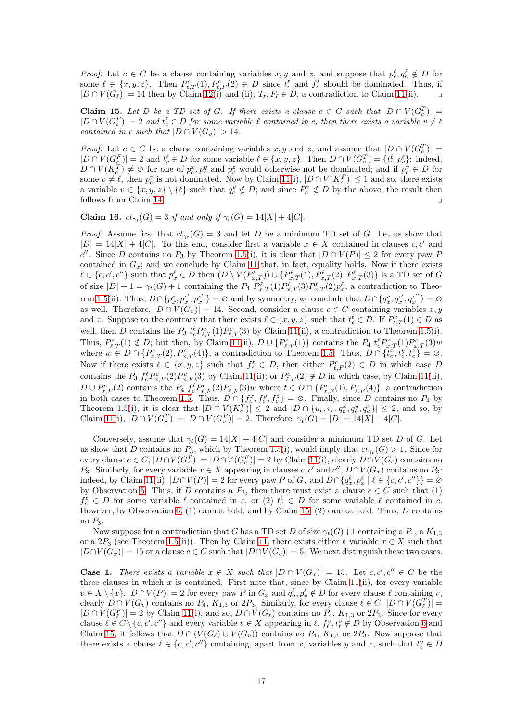*Proof.* Let  $c \in C$  be a clause containing variables x, y and z, and suppose that  $p_c^{\ell}, q_c^{\ell} \notin D$  for some  $\ell \in \{x, y, z\}$ . Then  $P_{\ell, T}^c(1), P_{\ell, F}^c(2) \in D$  since  $t_c^{\ell}$  and  $f_c^{\ell}$  should be dominated. Thus, if  $|D \cap V(G_{\ell})| = 14$  then by Claim [12\(](#page-15-2)i) and (ii),  $T_{\ell}, F_{\ell} \in D$ , a contradiction to Claim [11\(](#page-14-1)ii).

<span id="page-16-0"></span>Claim 15. Let D be a TD set of G. If there exists a clause  $c \in C$  such that  $|D \cap V(G_c^T)| =$  $|D \cap V(G_c^F)| = 2$  and  $t_c^{\ell} \in D$  for some variable  $\ell$  contained in c, then there exists a variable  $v \neq \ell$ *contained in c such that*  $|D \cap V(G_v)| > 14$ *.* 

*Proof.* Let  $c \in C$  be a clause containing variables  $x, y$  and  $z$ , and assume that  $|D \cap V(G_c^T)| =$  $|D \cap V(G_{\mathcal{C}}^F)| = 2$  and  $t_c^{\ell} \in D$  for some variable  $\ell \in \{x, y, z\}$ . Then  $D \cap V(G_{\mathcal{C}}^T) = \{t_c^{\ell}, p_c^{\ell}\}$ : indeed,  $D \cap V(K_c^T) \neq \emptyset$  for one of  $p_c^x, p_c^y$  and  $p_c^z$  would otherwise not be dominated; and if  $p_c^v \in D$  for some  $v \neq \ell$ , then  $p_c^v$  is not dominated. Now by Claim [11\(](#page-14-1)i),  $|D \cap V(K_c^F)| \leq 1$  and so, there exists a variable  $v \in \{x, y, z\} \setminus \{\ell\}$  such that  $q_c^v \notin D$ ; and since  $P_c^v \notin D$  by the above, the result then follows from Claim [14.](#page-15-4)

<span id="page-16-1"></span>**Claim 16.**  $ct_{\gamma_t}(G) = 3$  *if and only if*  $\gamma_t(G) = 14|X| + 4|C|$ *.* 

*Proof.* Assume first that  $ct_{\gamma_t}(G) = 3$  and let D be a minimum TD set of G. Let us show that  $|D| = 14|X| + 4|C|$ . To this end, consider first a variable  $x \in X$  contained in clauses c, c' and c''. Since D contains no  $P_3$  by Theorem [1.5\(](#page-1-2)i), it is clear that  $|D \cap V(P)| \leq 2$  for every paw P contained in  $G_x$ ; and we conclude by Claim [11](#page-14-1) that, in fact, equality holds. Now if there exists  $\ell \in \{c, c', c''\}$  such that  $p_x^{\ell} \in D$  then  $(D \setminus V(P_{x,T}^{\ell})) \cup \{P_{x,T}^{\ell}(1), P_{x,T}^{\ell}(2), P_{x,T}^{\ell}(3)\}$  is a TD set of G of size  $|D|+1 = \gamma_t(G) + 1$  containing the  $P_4 P_{x,T}^{\ell}(1) P_{x,T}^{\ell}(3) P_{x,T}^{\ell}(2) p_x^{\ell}$ , a contradiction to Theo-rem [1.5\(](#page-1-2)ii). Thus,  $D \cap \{p_x^c, p_x^{c'}\}$  $x^{c^{\prime}},p_{x}^{c^{\prime\prime}}$  $\langle c''_x \rangle = \varnothing$  and by symmetry, we conclude that  $D \cap \{q_x^c, q_x^{c'}\}$  $x^{c'}, q_x^{c''}$  $x^{c''}$ } =  $\varnothing$ as well. Therefore,  $|D \cap V(G_x)| = 14$ . Second, consider a clause  $c \in C$  containing variables x, y and z. Suppose to the contrary that there exists  $\ell \in \{x, y, z\}$  such that  $t_c^{\ell} \in D$ . If  $P_{\ell,T}^c(1) \in D$  as well, then D contains the  $P_3 t_c^{\ell} P_{\ell,T}^c(1) P_{\ell,T}^c(3)$  by Claim [11\(](#page-14-1)ii), a contradiction to Theorem [1.5\(](#page-1-2)i). Thus,  $P_{\ell,T}^c(1) \notin D$ ; but then, by Claim [11\(](#page-14-1)ii),  $D \cup \{P_{\ell,T}^c(1)\}$  contains the  $P_4 t_c^{\ell} P_{x,T}^c(1) P_{x,T}^c(3) w$ where  $w \in D \cap \{P_{x,T}^c(2), P_{x,T}^c(4)\}\$ , a contradiction to Theorem [1.5.](#page-1-2) Thus,  $D \cap \{\tilde{t}_c^x, t_c^y, t_c^z\} = \emptyset$ . Now if there exists  $\ell \in \{x, y, z\}$  such that  $f_c^{\ell} \in D$ , then either  $P_{\ell, F}^c(2) \in D$  in which case D contains the  $P_3 f_c^{\ell} P_{x,F}^c(2) P_{x,F}^c(3)$  by Claim [11\(](#page-14-1)ii); or  $P_{\ell,F}^c(2) \notin D$  in which case, by Claim 11(ii),  $D \cup P_{\ell,F}^c(2)$  contains the  $P_4 f_c^{\ell} P_{\ell,F}^c(2) P_{\ell,F}^c(3) w$  where  $t \in D \cap \{P_{\ell,F}^c(1), P_{\ell,F}^c(4)\}$ , a contradiction in both cases to Theorem [1.5.](#page-1-2) Thus,  $D \cap \{f_c^x, f_c^y, f_c^z\} = \emptyset$ . Finally, since D contains no  $P_3$  by Theorem [1.5\(](#page-1-2)i), it is clear that  $|D \cap V(K_c^T)| \leq 2$  and  $|D \cap \{u_c, v_c, q_c^x, q_c^y, q_c^x\}| \leq 2$ , and so, by Claim [11\(](#page-14-1)i),  $|D \cap V(G_c^T)| = |D \cap V(G_c^F)| = 2$ . Therefore,  $\gamma_t(G) = |D| = 14|X| + 4|C|$ .

Conversely, assume that  $\gamma_t(G) = 14|X| + 4|C|$  and consider a minimum TD set D of G. Let us show that D contains no  $P_3$ , which by Theorem [1.5\(](#page-1-2)i), would imply that  $ct_{\gamma_t}(G) > 1$ . Since for every clause  $c \in C$ ,  $|D \cap V(G_c^T)| = |D \cap V(G_c^F)| = 2$  by Claim [11\(](#page-14-1)i), clearly  $D \cap V(G_c)$  contains no P<sub>3</sub>. Similarly, for every variable  $x \in X$  appearing in clauses  $c, c'$  and  $c''$ ,  $D \cap V(G_x)$  contains no P<sub>3</sub>: indeed, by Claim [11\(](#page-14-1)ii),  $|D \cap V(P)| = 2$  for every paw P of  $G_x$  and  $D \cap \{q_x^{\ell}, p_x^{\ell} \mid \ell \in \{c, c', c''\}\} = \emptyset$ by Observation [5.](#page-15-1) Thus, if D contains a  $P_3$ , then there must exist a clause  $c \in C$  such that (1)  $f_c^{\ell} \in D$  for some variable  $\ell$  contained in c, or (2)  $t_c^{\ell} \in D$  for some variable  $\ell$  contained in c. However, by Observation [6,](#page-15-3) (1) cannot hold; and by Claim [15,](#page-16-0) (2) cannot hold. Thus, D contains no  $P_3$ .

Now suppose for a contradiction that G has a TD set D of size  $\gamma_t(G) + 1$  containing a  $P_4$ , a  $K_{1,3}$ or a  $2P_3$  (see Theorem [1.5\(](#page-1-2)ii)). Then by Claim [11,](#page-14-1) there exists either a variable  $x \in X$  such that  $|D\cap V(G_x)| = 15$  or a clause  $c \in C$  such that  $|D\cap V(G_c)| = 5$ . We next distinguish these two cases.

**Case 1.** There exists a variable  $x \in X$  such that  $|D \cap V(G_x)| = 15$ . Let  $c, c', c'' \in C$  be the three clauses in which x is contained. First note that, since by Claim  $11(ii)$ , for every variable  $v \in X \setminus \{x\}, |D \cap V(P)| = 2$  for every paw P in  $G_x$  and  $q_v^{\ell}, p_v^{\ell} \notin D$  for every clause  $\ell$  containing v, clearly  $D \cap V(G_v)$  contains no  $P_4$ ,  $K_{1,3}$  or  $2P_3$ . Similarly, for every clause  $\ell \in C$ ,  $|D \cap V(G_{\ell}^T)| =$  $|D \cap V(G_{\ell}^F)| = 2$  by Claim [11\(](#page-14-1)i), and so,  $D \cap V(G_{\ell})$  contains no  $P_4$ ,  $K_{1,3}$  or  $2P_3$ . Since for every clause  $\ell \in C \setminus \{c, c', c''\}$  and every variable  $v \in X$  appearing in  $\ell, f_{\ell}^v, t_{\ell}^v \notin D$  by Observation [6](#page-15-3) and Claim [15,](#page-16-0) it follows that  $D \cap (V(G_{\ell}) \cup V(G_{v}))$  contains no  $P_4$ ,  $K_{1,3}$  or  $2P_3$ . Now suppose that there exists a clause  $\ell \in \{c, c', c''\}$  containing, apart from x, variables y and z, such that  $t_{\ell}^v \in D$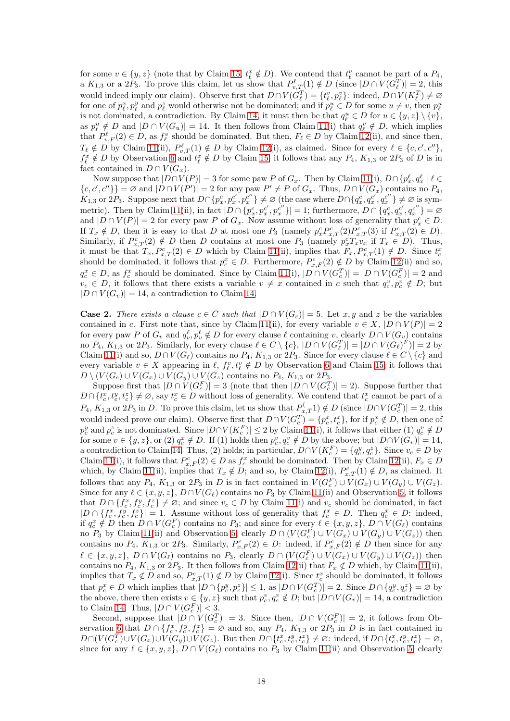for some  $v \in \{y, z\}$  (note that by Claim [15,](#page-16-0)  $t_{\ell}^x \notin D$ ). We contend that  $t_{\ell}^v$  cannot be part of a  $P_4$ , a  $K_{1,3}$  or a  $2P_3$ . To prove this claim, let us show that  $P_{v,T}^{\ell}(1) \notin D$  (since  $|D \cap V(G_{\ell}^T)| = 2$ , this would indeed imply our claim). Observe first that  $D \cap V(G_{\ell}^T) = \{t_{\ell}^v, p_{\ell}^v\}$ : indeed,  $D \cap V(K_{\ell}^T) \neq \emptyset$ for one of  $p_\ell^x, p_\ell^y$  and  $p_\ell^z$  would otherwise not be dominated; and if  $p_\ell^u \in D$  for some  $u \neq v$ , then  $p_\ell^u$ is not dominated, a contradiction. By Claim [14,](#page-15-4) it must then be that  $q_{\ell}^u \in D$  for  $u \in \{y, z\} \setminus \{v\}$ , as  $p_{\ell}^u \notin D$  and  $|D \cap V(G_u)| = 14$ . It then follows from Claim [11\(](#page-14-1)i) that  $q_{\ell}^v \notin D$ , which implies that  $P_{v,F}^{\ell}(2) \in D$ , as  $f_{\ell}^{v}$  should be dominated. But then,  $F_{\ell} \in D$  by Claim [12\(](#page-15-2)ii), and since then,  $T_{\ell} \notin D$  by Claim [11\(](#page-14-1)ii),  $P_{v,T}^{\ell}(1) \notin D$  by Claim [12\(](#page-15-2)i), as claimed. Since for every  $\ell \in \{c, c', c''\},$  $f_{\ell}^x \notin D$  by Observation [6](#page-15-3) and  $t_{\ell}^x \notin D$  by Claim [15,](#page-16-0) it follows that any  $P_4$ ,  $K_{1,3}$  or  $2P_3$  of D is in fact contained in  $D \cap V(G_x)$ .

Now suppose that  $|D \cap V(P)| = 3$  for some paw P of  $G_x$ . Then by Claim [11\(](#page-14-1)i),  $D \cap \{p_x^{\ell}, q_x^{\ell} \mid \ell \in$  ${c, c', c''}$ } =  $\emptyset$  and  $|D \cap V(P')|$  = 2 for any paw  $P' \neq P$  of  $G_x$ . Thus,  $D \cap V(G_x)$  contains no  $P_4$ ,  $K_{1,3}$  or  $2P_3$ . Suppose next that  $D \cap \{p_x^c, p_x^{c'}, p_x^{c''}\} \neq \varnothing$  (the case where  $D \cap \{q_x^c, q_x^{c'}, q_x^{c''}\} \neq \varnothing$  is sym-metric). Then by Claim [11\(](#page-14-1)ii), in fact  $|D \cap \{p_x^c, p_x^{c'}\}$  $\{x', p_{x}^{c''}\}\vert = 1$ ; furthermore,  $D \cap \{q_x^c, q_{x}^{c'}\}$  $x^c, q_x^{c''}\} = \varnothing$ and  $|D \cap V(P)| = 2$  for every paw P of  $G_x$ . Now assume without loss of generality that  $p_x^c \in D$ . If  $T_x \notin D$ , then it is easy to that D at most one  $P_3$  (namely  $p_x^c P_{x,T}^c(2) P_{x,T}^c(3)$  if  $P_{x,T}^c(2) \in D$ ). Similarly, if  $P_{x,T}^c(2) \notin D$  then D contains at most one  $P_3$  (namely  $p_x^c T_x v_x$  if  $T_x \in D$ ). Thus, it must be that  $T_x, P_{x,T}^c(2) \in D$  which by Claim [11\(](#page-14-1)ii), implies that  $F_x, P_{x,T}^c(1) \notin D$ . Since  $t_c^x$ should be dominated, it follows that  $p_c^x \in D$ . Furthermore,  $P_{x,F}^c(2) \notin D$  by Claim [12\(](#page-15-2)ii) and so,  $q_c^x \in D$ , as  $f_c^x$  should be dominated. Since by Claim [11\(](#page-14-1)i),  $|D \cap V(G_c^T)| = |D \cap V(G_c^F)| = 2$  and  $v_c \in D$ , it follows that there exists a variable  $v \neq x$  contained in c such that  $q_c^v, p_c^v \notin D$ ; but  $|D \cap V(G_v)| = 14$ , a contradiction to Claim [14.](#page-15-4)

**Case 2.** There exists a clause  $c \in C$  such that  $|D \cap V(G_c)| = 5$ . Let x, y and z be the variables contained in c. First note that, since by Claim [11\(](#page-14-1)ii), for every variable  $v \in X$ ,  $|D \cap V(P)| = 2$ for every paw P of  $G_v$  and  $q_v^{\ell}, p_v^{\ell} \notin D$  for every clause  $\ell$  containing v, clearly  $D \cap V(G_v)$  contains no  $P_4$ ,  $K_{1,3}$  or  $2P_3$ . Similarly, for every clause  $\ell \in C \setminus \{c\}$ ,  $|D \cap V(G_{\ell}^T)| = |D \cap V(G_{\ell})^F)| = 2$  by Claim [11\(](#page-14-1)i) and so,  $D \cap V(G_{\ell})$  contains no  $P_4$ ,  $K_{1,3}$  or  $2P_3$ . Since for every clause  $\ell \in C \setminus \{c\}$  and every variable  $v \in X$  appearing in  $\ell$ ,  $f_{\ell}^v, t_{\ell}^v \notin D$  by Observation [6](#page-15-3) and Claim [15,](#page-16-0) it follows that  $D \setminus (V(G_c) \cup V(G_x) \cup V(G_y) \cup V(G_z)$  contains no  $P_4$ ,  $K_{1,3}$  or  $2P_3$ .

Suppose first that  $|D \cap V(G_c^F)| = 3$  (note that then  $|D \cap V(G_c^T)| = 2$ ). Suppose further that  $D \cap \{t_c^x, t_c^y, t_c^z\} \neq \emptyset$ , say  $t_c^x \in D$  without loss of generality. We contend that  $t_c^x$  cannot be part of a  $P_4, K_{1,3}$  or  $2P_3$  in D. To prove this claim, let us show that  $P_{x,T}^{\left(\right)}(I) \notin D$  (since  $|D \cap V(G_c^T)| = 2$ , this would indeed prove our claim). Observe first that  $D \cap V(G_c^T) = \{p_c^x, t_c^x\}$ , for if  $p_c^x \notin D$ , then one of  $p_c^y$  and  $p_c^z$  is not dominated. Since  $|D \cap V(K_c^F)| \leq 2$  by Claim [11\(](#page-14-1)i), it follows that either (1)  $q_c^v \notin D$ for some  $v \in \{y, z\}$ , or  $(2)$   $q_c^x \notin D$ . If  $(1)$  holds then  $p_c^v, q_c^v \notin D$  by the above; but  $|D \cap V(G_v)| = 14$ , a contradiction to Claim [14.](#page-15-4) Thus, (2) holds; in particular,  $D \cap V(K_c^F) = \{q_c^y, q_c^z\}$ . Since  $v_c \in D$  by Claim [11\(](#page-14-1)i), it follows that  $P_{x,F}^c(2) \in D$  as  $f_c^x$  should be dominated. Then by Claim [12\(](#page-15-2)ii),  $F_x \in D$ which, by Claim [11\(](#page-14-1)ii), implies that  $T_x \notin D$ ; and so, by Claim [12\(](#page-15-2)i),  $P_{x,T}^c(1) \notin D$ , as claimed. It follows that any  $P_4$ ,  $K_{1,3}$  or  $2P_3$  in D is in fact contained in  $V(G_c^F) \cup V(G_x) \cup V(G_y) \cup V(G_z)$ . Since for any  $\ell \in \{x, y, z\}$ ,  $D \cap V(G_{\ell})$  contains no  $P_3$  by Claim [11\(](#page-14-1)ii) and Observation [5,](#page-15-1) it follows that  $D \cap \{f_c^x, f_c^y, f_c^z\} \neq \emptyset$ ; and since  $v_c \in D$  by Claim [11\(](#page-14-1)i) and  $v_c$  should be dominated, in fact  $|D \cap \{f_c^x, f_c^y, f_c^z\}| = 1.$  Assume without loss of generality that  $f_c^x \in D$ . Then  $q_c^x \in D$ : indeed, if  $q_c^x \notin D$  then  $D \cap V(G_c^F)$  contains no  $P_3$ ; and since for every  $\ell \in \{x, y, z\}$ ,  $D \cap V(G_{\ell})$  contains no  $P_3$  by Claim [11\(](#page-14-1)ii) and Observation [5,](#page-15-1) clearly  $D \cap (V(G_c^F) \cup V(G_x) \cup V(G_y) \cup V(G_z))$  then contains no  $P_4$ ,  $K_{1,3}$  or  $2P_3$ . Similarly,  $P_{x,F}^c(2) \in D$ : indeed, if  $P_{x,F}^c(2) \notin D$  then since for any  $\ell \in \{x, y, z\}, D \cap V(G_{\ell})$  contains no  $P_3$ , clearly  $D \cap (V(G_{c}^{F}) \cup V(G_{x}) \cup V(G_{y}) \cup V(G_{z}))$  then contains no  $P_4$ ,  $K_{1,3}$  or  $2P_3$ . It then follows from Claim [12\(](#page-15-2)ii) that  $F_x \notin D$  which, by Claim [11\(](#page-14-1)ii), implies that  $T_x \notin D$  and so,  $P_{x,T}^c(1) \notin D$  by Claim [12\(](#page-15-2)i). Since  $t_c^x$  should be dominated, it follows that  $p_c^x \in D$  which implies that  $|D \cap \{p_c^y, p_c^z\}| \leq 1$ , as  $|D \cap V(G_c^T)| = 2$ . Since  $D \cap \{q_c^y, q_c^z\} = \emptyset$  by the above, there then exists  $v \in \{y, z\}$  such that  $p_c^v, q_c^v \notin D$ ; but  $|D \cap V(G_v)| = 14$ , a contradiction to Claim [14.](#page-15-4) Thus,  $|D \cap V(G_c^F)| < 3$ .

Second, suppose that  $|D \cap V(G_c^T)| = 3$ . Since then,  $|D \cap V(G_c^F)| = 2$ , it follows from Ob-servation [6](#page-15-3) that  $D \cap \{f_c^x, f_c^y, f_c^z\} = \emptyset$  and so, any  $P_4$ ,  $K_{1,3}$  or  $2P_3$  in D is in fact contained in  $D \cap (V(G_c^T) \cup V(G_x) \cup V(G_y) \cup V(G_z)$ . But then  $D \cap \{t_c^x, t_c^y, t_c^z\} \neq \varnothing$ : indeed, if  $D \cap \{t_c^x, t_c^y, t_c^z\} = \varnothing$ , since for any  $\ell \in \{x, y, z\}$ ,  $D \cap V(G_{\ell})$  contains no  $P_3$  by Claim [11\(](#page-14-1)ii) and Observation [5,](#page-15-1) clearly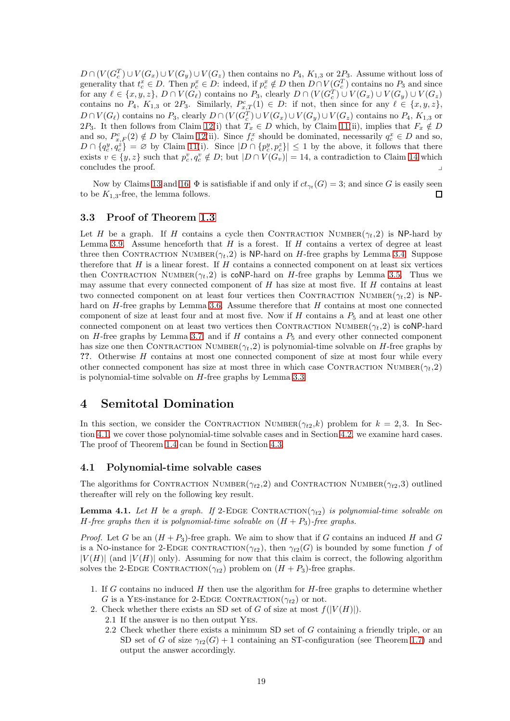$D \cap (V(G_{c}^{T}) \cup V(G_{x}) \cup V(G_{y}) \cup V(G_{z})$  then contains no  $P_{4}$ ,  $K_{1,3}$  or  $2P_{3}$ . Assume without loss of generality that  $t_c^x \in D$ . Then  $p_c^x \in D$ : indeed, if  $p_c^x \notin D$  then  $D \cap V(G_c^T)$  contains no  $P_3$  and since for any  $\ell \in \{x, y, z\}$ ,  $D \cap V(G_{\ell})$  contains no  $P_3$ , clearly  $D \cap (V(G_{c}^{T}) \cup V(G_{x}) \cup V(G_{y}) \cup V(G_{z}))$ contains no  $P_4$ ,  $K_{1,3}$  or  $2P_3$ . Similarly,  $P_{x,T}^c(1) \in D$ : if not, then since for any  $\ell \in \{x, y, z\}$ ,  $D \cap V(G_{\ell})$  contains no  $P_3$ , clearly  $D \cap (V(G_{c}^T) \cup V(G_x) \cup V(G_y) \cup V(G_z)$  contains no  $P_4$ ,  $K_{1,3}$  or 2P<sub>3</sub>. It then follows from Claim [12\(](#page-15-2)i) that  $T_x \in D$  which, by Claim [11\(](#page-14-1)ii), implies that  $F_x \notin D$ and so,  $P_{x,F}^c(2) \notin D$  by Claim [12\(](#page-15-2)ii). Since  $f_c^x$  should be dominated, necessarily  $q_c^x \in D$  and so,  $D \cap \{q_c^y, q_c^z\} = \emptyset$  by Claim [11\(](#page-14-1)i). Since  $|D \cap \{p_c^y, p_c^z\}| \leq 1$  by the above, it follows that there exists  $v \in \{y, z\}$  such that  $p_c^v, q_c^v \notin D$ ; but  $|D \cap V(G_v)| = 14$  $|D \cap V(G_v)| = 14$ , a contradiction to Claim 14 which concludes the proof.

Now by Claims [13](#page-15-5) and [16,](#page-16-1)  $\Phi$  is satisfiable if and only if  $ct_{\gamma_t}(G) = 3$ ; and since G is easily seen to be  $K_{1,3}$ -free, the lemma follows.  $\Box$ 

### <span id="page-18-1"></span>3.3 Proof of Theorem [1.3](#page-1-0)

Let H be a graph. If H contains a cycle then CONTRACTION NUMBER $(\gamma_t, 2)$  is NP-hard by Lemma [3.9.](#page-14-2) Assume henceforth that  $H$  is a forest. If  $H$  contains a vertex of degree at least three then CONTRACTION NUMBER( $\gamma_t$ , 2) is NP-hard on H-free graphs by Lemma [3.4.](#page-10-4) Suppose therefore that  $H$  is a linear forest. If  $H$  contains a connected component on at least six vertices then CONTRACTION NUMBER( $\gamma_t$ , 2) is coNP-hard on H-free graphs by Lemma [3.5.](#page-11-2) Thus we may assume that every connected component of  $H$  has size at most five. If  $H$  contains at least two connected component on at least four vertices then CONTRACTION NUMBER( $\gamma_t$ , 2) is NP-hard on H-free graphs by Lemma [3.6.](#page-11-3) Assume therefore that H contains at most one connected component of size at least four and at most five. Now if H contains a  $P_5$  and at least one other connected component on at least two vertices then CONTRACTION NUMBER $(\gamma_t, 2)$  is coNP-hard on  $H$ -free graphs by Lemma [3.7;](#page-11-4) and if  $H$  contains a  $P_5$  and every other connected component has size one then CONTRACTION NUMBER $(\gamma_t, 2)$  is polynomial-time solvable on H-free graphs by ??. Otherwise H contains at most one connected component of size at most four while every other connected component has size at most three in which case CONTRACTION NUMBER( $\gamma_t$ ,2) is polynomial-time solvable on H-free graphs by Lemma [3.3.](#page-9-1)

### <span id="page-18-0"></span>4 Semitotal Domination

In this section, we consider the CONTRACTION NUMBER( $\gamma_{t2}, k$ ) problem for  $k = 2, 3$ . In Section [4.1,](#page-18-2) we cover those polynomial-time solvable cases and in Section [4.2,](#page-21-0) we examine hard cases. The proof of Theorem [1.4](#page-1-1) can be found in Section [4.3.](#page-35-0)

### <span id="page-18-2"></span>4.1 Polynomial-time solvable cases

<span id="page-18-3"></span>The algorithms for CONTRACTION NUMBER( $\gamma_{t2}$ ,2) and CONTRACTION NUMBER( $\gamma_{t2}$ ,3) outlined thereafter will rely on the following key result.

**Lemma 4.1.** Let H be a graph. If 2-EDGE CONTRACTION( $\gamma_{t2}$ ) is polynomial-time solvable on *H*-free graphs then it is polynomial-time solvable on  $(H + P_3)$ -free graphs.

*Proof.* Let G be an  $(H + P_3)$ -free graph. We aim to show that if G contains an induced H and G is a No-instance for 2-EDGE CONTRACTION( $\gamma_{t2}$ ), then  $\gamma_{t2}(G)$  is bounded by some function f of  $|V(H)|$  (and  $|V(H)|$  only). Assuming for now that this claim is correct, the following algorithm solves the 2-EDGE CONTRACTION( $\gamma_{t2}$ ) problem on  $(H + P_3)$ -free graphs.

- 1. If  $G$  contains no induced  $H$  then use the algorithm for  $H$ -free graphs to determine whether G is a YES-instance for 2-EDGE CONTRACTION( $\gamma_{t2}$ ) or not.
- 2. Check whether there exists an SD set of G of size at most  $f(|V(H)|)$ .
	- 2.1 If the answer is no then output Yes.
	- 2.2 Check whether there exists a minimum SD set of G containing a friendly triple, or an SD set of G of size  $\gamma_{t2}(G) + 1$  containing an ST-configuration (see Theorem [1.7\)](#page-1-3) and output the answer accordingly.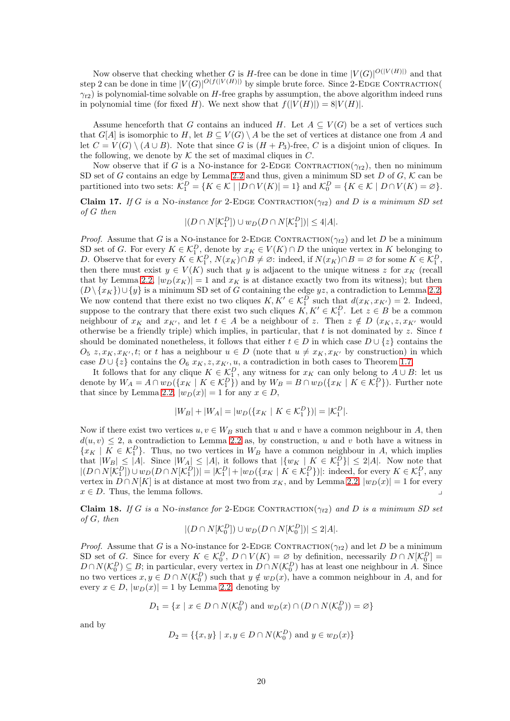Now observe that checking whether G is H-free can be done in time  $|V(G)|^{O(|V(H)|)}$  and that step 2 can be done in time  $|V(G)|^{O(f(|V(H)|))}$  by simple brute force. Since 2-EDGE CONTRACTION(  $\gamma_{t2}$ ) is polynomial-time solvable on H-free graphs by assumption, the above algorithm indeed runs in polynomial time (for fixed H). We next show that  $f(|V(H)|) = 8|V(H)|$ .

Assume henceforth that G contains an induced H. Let  $A \subseteq V(G)$  be a set of vertices such that  $G[A]$  is isomorphic to H, let  $B \subseteq V(G) \setminus A$  be the set of vertices at distance one from A and let  $C = V(G) \setminus (A \cup B)$ . Note that since G is  $(H + P_3)$ -free, C is a disjoint union of cliques. In the following, we denote by  $K$  the set of maximal cliques in  $C$ .

Now observe that if G is a NO-instance for 2-EDGE CONTRACTION( $\gamma_{t2}$ ), then no minimum SD set of G contains an edge by Lemma [2.2](#page-3-2) and thus, given a minimum SD set  $D$  of  $G, K$  can be partitioned into two sets:  $\mathcal{K}_1^D = \{ K \in \mathcal{K} \mid |D \cap V(K)| = 1 \}$  and  $\mathcal{K}_0^D = \{ K \in \mathcal{K} \mid D \cap V(K) = \varnothing \}.$ 

<span id="page-19-0"></span>Claim 17. *If* G is a No-instance for 2-EDGE CONTRACTION( $\gamma_{t2}$ ) and D is a minimum SD set *of* G *then*

$$
|(D \cap N[\mathcal{K}_1^D]) \cup w_D(D \cap N[\mathcal{K}_1^D])| \le 4|A|.
$$

*Proof.* Assume that G is a NO-instance for 2-EDGE CONTRACTION( $\gamma_{t2}$ ) and let D be a minimum SD set of G. For every  $K \in \mathcal{K}_1^D$ , denote by  $x_K \in V(K) \cap D$  the unique vertex in K belonging to D. Observe that for every  $K \in \mathcal{K}_1^D$ ,  $N(x_K) \cap B \neq \emptyset$ : indeed, if  $N(x_K) \cap B = \emptyset$  for some  $K \in \mathcal{K}_1^D$ , then there must exist  $y \in V(K)$  such that y is adjacent to the unique witness z for  $x_K$  (recall that by Lemma [2.2,](#page-3-2)  $|w_D(x_K)| = 1$  and  $x_K$  is at distance exactly two from its witness); but then  $(D \setminus \{x_K\}) \cup \{y\}$  is a minimum SD set of G containing the edge yz, a contradiction to Lemma [2.2.](#page-3-2) We now contend that there exist no two cliques  $K, K' \in \mathcal{K}_1^D$  such that  $d(x_K, x_{K'}) = 2$ . Indeed, suppose to the contrary that there exist two such cliques  $K, K' \in \mathcal{K}_1^D$ . Let  $z \in B$  be a common neighbour of  $x_K$  and  $x_{K'}$ , and let  $t \in A$  be a neighbour of z. Then  $z \notin D$   $(x_K, z, x_{K'}$  would otherwise be a friendly triple) which implies, in particular, that  $t$  is not dominated by  $z$ . Since  $t$ should be dominated nonetheless, it follows that either  $t \in D$  in which case  $D \cup \{z\}$  contains the  $O_5 z, x_K, x_{K'}$ , t; or t has a neighbour  $u \in D$  (note that  $u \neq x_K, x_{K'}$  by construction) in which case  $D \cup \{z\}$  contains the  $O_6$   $x_K, z, x_{K'}$ , u, a contradiction in both cases to Theorem [1.7.](#page-1-3)

It follows that for any clique  $K \in \mathcal{K}_1^D$ , any witness for  $x_K$  can only belong to  $A \cup B$ : let us denote by  $W_A = A \cap w_D(\lbrace x_K \mid K \in \mathcal{K}_1^D \rbrace)$  and by  $W_B = B \cap w_D(\lbrace x_K \mid K \in \mathcal{K}_1^D \rbrace)$ . Further note that since by Lemma [2.2,](#page-3-2)  $|w_D(x)| = 1$  for any  $x \in D$ ,

$$
|W_B| + |W_A| = |w_D(\{x_K \mid K \in \mathcal{K}_1^D\})| = |\mathcal{K}_1^D|.
$$

Now if there exist two vertices  $u, v \in W_B$  such that u and v have a common neighbour in A, then  $d(u, v) \leq 2$ , a contradiction to Lemma [2.2](#page-3-2) as, by construction, u and v both have a witness in  ${x_K | K \in \mathcal{K}_1^D}$ . Thus, no two vertices in  $W_B$  have a common neighbour in A, which implies that  $|W_B| \leq |A|$ . Since  $|W_A| \leq |A|$ , it follows that  $|\{w_K \mid K \in \mathcal{K}_1^D\}| \leq 2|A|$ . Now note that  $|(D \cap N[\mathcal{K}_1^D]) \cup w_D(D \cap N[\mathcal{K}_1^D])| = |\mathcal{K}_1^D| + |w_D(\lbrace x_K | K \in \mathcal{K}_1^D \rbrace)|$ : indeed, for every  $K \in \mathcal{K}_1^D$ , any vertex in  $D \cap N[K]$  is at distance at most two from  $x_K$ , and by Lemma [2.2,](#page-3-2)  $|w_D(x)| = 1$  for every  $x \in D$ . Thus, the lemma follows.

<span id="page-19-1"></span>Claim 18. *If* G is a No-instance for 2-EDGE CONTRACTION( $\gamma_{t2}$ ) and D is a minimum SD set *of* G*, then*

$$
|(D \cap N[\mathcal{K}_0^D]) \cup w_D(D \cap N[\mathcal{K}_0^D])| \le 2|A|.
$$

*Proof.* Assume that G is a No-instance for 2-EDGE CONTRACTION( $\gamma_{t2}$ ) and let D be a minimum SD set of G. Since for every  $K \in \mathcal{K}_0^D$ ,  $D \cap V(K) = \emptyset$  by definition, necessarily  $D \cap N[\mathcal{K}_0^D] =$  $D \cap N(\mathcal{K}_0^D) \subseteq B$ ; in particular, every vertex in  $D \cap N(\mathcal{K}_0^D)$  has at least one neighbour in A. Since no two vertices  $x, y \in D \cap N(\mathcal{K}_0^D)$  such that  $y \notin w_D(x)$ , have a common neighbour in A, and for every  $x \in D$ ,  $|w_D(x)| = 1$  by Lemma [2.2,](#page-3-2) denoting by

$$
D_1 = \{x \mid x \in D \cap N(\mathcal{K}_0^D) \text{ and } w_D(x) \cap (D \cap N(\mathcal{K}_0^D)) = \varnothing\}
$$

and by

$$
D_2 = \{\{x, y\} \mid x, y \in D \cap N(\mathcal{K}_0^D) \text{ and } y \in w_D(x)\}\
$$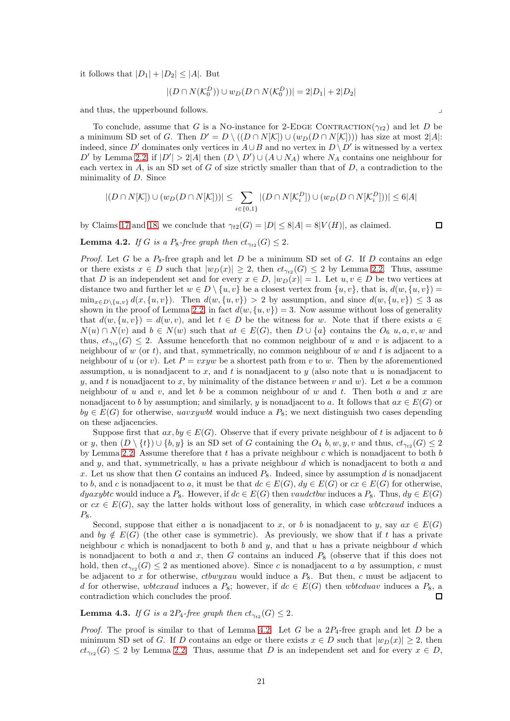it follows that  $|D_1| + |D_2| \leq |A|$ . But

$$
|(D \cap N(\mathcal{K}_0^D)) \cup w_D(D \cap N(\mathcal{K}_0^D))| = 2|D_1| + 2|D_2|
$$

and thus, the upperbound follows.

To conclude, assume that G is a No-instance for 2-EDGE CONTRACTION( $\gamma_{t2}$ ) and let D be a minimum SD set of G. Then  $D' = D \setminus ((D \cap N[K]) \cup (w_D(D \cap N[K])))$  has size at most 2|A|: indeed, since D' dominates only vertices in  $A \cup B$  and no vertex in  $D \setminus D'$  is witnessed by a vertex D' by Lemma [2.2,](#page-3-2) if  $|D'| > 2|A|$  then  $(D \setminus D') \cup (A \cup N_A)$  where  $N_A$  contains one neighbour for each vertex in  $A$ , is an SD set of G of size strictly smaller than that of  $D$ , a contradiction to the minimality of D. Since

$$
|(D \cap N[K]) \cup (w_D(D \cap N[K]))| \le \sum_{i \in \{0,1\}} |(D \cap N[K_i^D]) \cup (w_D(D \cap N[K_i^D]))| \le 6|A|
$$

<span id="page-20-0"></span>by Claims [17](#page-19-0) and [18,](#page-19-1) we conclude that  $\gamma_{t2}(G) = |D| \leq 8|A| = 8|V(H)|$ , as claimed.

 $\Box$ 

**Lemma 4.2.** *If* G *is a*  $P_8$ -free graph then  $ct_{\gamma_{t2}}(G) \leq 2$ .

*Proof.* Let G be a  $P_8$ -free graph and let D be a minimum SD set of G. If D contains an edge or there exists  $x \in D$  such that  $|w_D(x)| \geq 2$ , then  $ct_{\gamma_{t2}}(G) \leq 2$  by Lemma [2.2.](#page-3-2) Thus, assume that D is an independent set and for every  $x \in D$ ,  $|w_D(x)| = 1$ . Let  $u, v \in D$  be two vertices at distance two and further let  $w \in D \setminus \{u, v\}$  be a closest vertex from  $\{u, v\}$ , that is,  $d(w, \{u, v\}) =$  $\min_{x \in D \setminus \{u, v\}} d(x, \{u, v\})$ . Then  $d(w, \{u, v\}) > 2$  by assumption, and since  $d(w, \{u, v\}) \leq 3$  as shown in the proof of Lemma [2.2,](#page-3-2) in fact  $d(w, \{u, v\}) = 3$ . Now assume without loss of generality that  $d(w, \{u, v\}) = d(w, v)$ , and let  $t \in D$  be the witness for w. Note that if there exists  $a \in$  $N(u) \cap N(v)$  and  $b \in N(w)$  such that  $at \in E(G)$ , then  $D \cup \{a\}$  contains the  $O_6$  u, a, v, w and thus,  $ct_{\gamma_{t2}}(G) \leq 2$ . Assume henceforth that no common neighbour of u and v is adjacent to a neighbour of  $w$  (or  $t$ ), and that, symmetrically, no common neighbour of  $w$  and  $t$  is adjacent to a neighbour of u (or v). Let  $P = vxyw$  be a shortest path from v to w. Then by the aforementioned assumption, u is nonadjacent to x, and t is nonadjacent to y (also note that u is nonadjacent to y, and t is nonadjacent to x, by minimality of the distance between v and w). Let a be a common neighbour of u and v, and let b be a common neighbour of w and t. Then both a and x are nonadjacent to b by assumption; and similarly, y is nonadjacent to a. It follows that  $ax \in E(G)$  or  $by \in E(G)$  for otherwise, *uavxywbt* would induce a  $P_8$ ; we next distinguish two cases depending on these adjacencies.

Suppose first that  $ax, by \in E(G)$ . Observe that if every private neighbour of t is adjacent to b or y, then  $(D \setminus \{t\}) \cup \{b, y\}$  is an SD set of G containing the  $O_4$  b, w, y, v and thus,  $ct_{\gamma_{t2}}(G) \leq 2$ by Lemma [2.2.](#page-3-2) Assume therefore that  $t$  has a private neighbour  $c$  which is nonadjacent to both  $b$ and y, and that, symmetrically,  $u$  has a private neighbour  $d$  which is nonadjacent to both  $a$  and x. Let us show that then G contains an induced  $P_8$ . Indeed, since by assumption d is nonadjacent to b, and c is nonadjacent to a, it must be that  $dc \in E(G)$ ,  $dy \in E(G)$  or  $cx \in E(G)$  for otherwise, dyaxybtc would induce a  $P_8$ . However, if  $dc \in E(G)$  then vaudctbw induces a  $P_8$ . Thus,  $dy \in E(G)$ or  $cx \in E(G)$ , say the latter holds without loss of generality, in which case wbtcxaud induces a  $P_8$ .

Second, suppose that either a is nonadjacent to x, or b is nonadjacent to y, say  $ax \in E(G)$ and by  $\notin E(G)$  (the other case is symmetric). As previously, we show that if t has a private neighbour c which is nonadjacent to both b and y, and that u has a private neighbour d which is nonadjacent to both a and x, then G contains an induced  $P_8$  (observe that if this does not hold, then  $ct_{\gamma_{t2}}(G) \leq 2$  as mentioned above). Since c is nonadjacent to a by assumption, c must be adjacent to x for otherwise, ctbwyxau would induce a  $P_8$ . But then, c must be adjacent to d for otherwise, wbtcxaud induces a  $P_8$ ; however, if  $dc \in E(G)$  then wbtcduav induces a  $P_8$ , a contradiction which concludes the proof.  $\Box$ 

### <span id="page-20-1"></span>**Lemma 4.3.** *If* G *is a*  $2P_4$ -free graph then  $ct_{\gamma_{t2}}(G) \leq 2$ .

*Proof.* The proof is similar to that of Lemma [4.2.](#page-20-0) Let G be a  $2P_4$ -free graph and let D be a minimum SD set of G. If D contains an edge or there exists  $x \in D$  such that  $|w_D(x)| \geq 2$ , then  $ct_{\gamma_{t2}}(G) \leq 2$  by Lemma [2.2.](#page-3-2) Thus, assume that D is an independent set and for every  $x \in D$ ,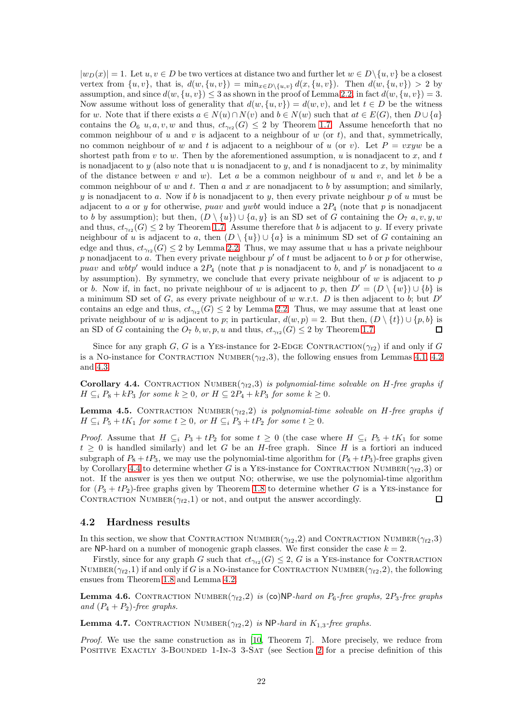$|w_D(x)| = 1$ . Let  $u, v \in D$  be two vertices at distance two and further let  $w \in D \setminus \{u, v\}$  be a closest vertex from  $\{u, v\}$ , that is,  $d(w, \{u, v\}) = \min_{x \in D\setminus\{u, v\}} d(x, \{u, v\})$ . Then  $d(w, \{u, v\}) > 2$  by assumption, and since  $d(w, \{u, v\}) \leq 3$  as shown in the proof of Lemma [2.2,](#page-3-2) in fact  $d(w, \{u, v\}) = 3$ . Now assume without loss of generality that  $d(w, \{u, v\}) = d(w, v)$ , and let  $t \in D$  be the witness for w. Note that if there exists  $a \in N(u) \cap N(v)$  and  $b \in N(w)$  such that  $at \in E(G)$ , then  $D \cup \{a\}$ contains the  $O_6$  u, a, v, w and thus,  $ct_{\gamma_{t2}}(G) \leq 2$  by Theorem [1.7.](#page-1-3) Assume henceforth that no common neighbour of  $u$  and  $v$  is adjacent to a neighbour of  $w$  (or  $t$ ), and that, symmetrically, no common neighbour of w and t is adjacent to a neighbour of u (or v). Let  $P = vxyw$  be a shortest path from v to w. Then by the aforementioned assumption, u is nonadjacent to x, and t is nonadjacent to  $y$  (also note that  $u$  is nonadjacent to  $y$ , and  $t$  is nonadjacent to  $x$ , by minimality of the distance between v and w). Let a be a common neighbour of u and v, and let b be a common neighbour of w and t. Then a and x are nonadjacent to b by assumption; and similarly, y is nonadjacent to a. Now if b is nonadjacent to y, then every private neighbour p of u must be adjacent to a or y for otherwise, puav and ywbt would induce a  $2P_4$  (note that p is nonadjacent to b by assumption); but then,  $(D \setminus \{u\}) \cup \{a, y\}$  is an SD set of G containing the  $O_7$  a, v, y, w and thus,  $ct_{\gamma_{t2}}(G) \leq 2$  by Theorem [1.7.](#page-1-3) Assume therefore that b is adjacent to y. If every private neighbour of u is adjacent to a, then  $(D \setminus \{u\}) \cup \{a\}$  is a minimum SD set of G containing an edge and thus,  $ct_{\gamma_{t2}}(G) \leq 2$  by Lemma [2.2.](#page-3-2) Thus, we may assume that u has a private neighbour p nonadjacent to a. Then every private neighbour  $p'$  of t must be adjacent to b or p for otherwise, puav and wbtp' would induce a  $2P_4$  (note that p is nonadjacent to b, and p' is nonadjacent to a by assumption). By symmetry, we conclude that every private neighbour of w is adjacent to  $p$ or b. Now if, in fact, no private neighbour of w is adjacent to p, then  $D' = (D \setminus \{w\}) \cup \{b\}$  is a minimum SD set of G, as every private neighbour of w w.r.t. D is then adjacent to b; but  $D'$ contains an edge and thus,  $ct_{\gamma_{t2}}(G) \leq 2$  by Lemma [2.2.](#page-3-2) Thus, we may assume that at least one private neighbour of w is adjacent to p; in particular,  $d(w, p) = 2$ . But then,  $(D \setminus \{t\}) \cup \{p, b\}$  is  $\Box$ an SD of G containing the  $O_7$  b, w, p, u and thus,  $ct_{\gamma_{t2}}(G) \leq 2$  by Theorem [1.7.](#page-1-3)

Since for any graph G, G is a YES-instance for 2-EDGE CONTRACTION( $\gamma_{t2}$ ) if and only if G is a No-instance for CONTRACTION NUMBER( $\gamma_{t2}$ ,3), the following ensues from Lemmas [4.1,](#page-18-3) [4.2](#page-20-0) and [4.3.](#page-20-1)

<span id="page-21-1"></span>Corollary 4.4. CONTRACTION NUMBER( $\gamma_{t2}$ ,3) *is polynomial-time solvable on H-free graphs if*  $H \subseteq_i P_8 + kP_3$  *for some*  $k \geq 0$ *, or*  $H \subseteq 2P_4 + kP_3$  *for some*  $k \geq 0$ *.* 

<span id="page-21-4"></span>**Lemma 4.5.** CONTRACTION NUMBER $(\gamma_{t2}, 2)$  *is polynomial-time solvable on H-free graphs if*  $H \subseteq_i P_5 + tK_1$  *for some*  $t \geq 0$ *, or*  $H \subseteq_i P_3 + tP_2$  *for some*  $t \geq 0$ *.* 

*Proof.* Assume that  $H \subseteq_i P_3 + tP_2$  for some  $t \geq 0$  (the case where  $H \subseteq_i P_5 + tK_1$  for some  $t \geq 0$  is handled similarly) and let G be an H-free graph. Since H is a fortiori an induced subgraph of  $P_8 + tP_3$ , we may use the polynomial-time algorithm for  $(P_8 + tP_3)$ -free graphs given by Corollary [4.4](#page-21-1) to determine whether G is a YES-instance for CONTRACTION NUMBER( $\gamma_{t2}$ ,3) or not. If the answer is yes then we output No; otherwise, we use the polynomial-time algorithm for  $(P_3 + tP_2)$ -free graphs given by Theorem [1.8](#page-2-1) to determine whether G is a YES-instance for CONTRACTION NUMBER $(\gamma_{t2},1)$  or not, and output the answer accordingly.  $\Box$ 

### <span id="page-21-0"></span>4.2 Hardness results

In this section, we show that CONTRACTION NUMBER( $\gamma_{t2}$ , 2) and CONTRACTION NUMBER( $\gamma_{t2}$ , 3) are NP-hard on a number of monogenic graph classes. We first consider the case  $k = 2$ .

Firstly, since for any graph G such that  $ct_{\gamma_{t2}}(G) \leq 2$ , G is a YES-instance for CONTRACTION NUMBER( $\gamma_{t2},1$ ) if and only if G is a NO-instance for CONTRACTION NUMBER( $\gamma_{t2},2$ ), the following ensues from Theorem [1.8](#page-2-1) and Lemma [4.2.](#page-20-0)

<span id="page-21-3"></span>**Lemma 4.6.** CONTRACTION NUMBER $(\gamma_{t2}, 2)$  is (co)NP-hard on  $P_6$ -free graphs,  $2P_3$ -free graphs *and*  $(P_4 + P_2)$ *-free graphs.* 

<span id="page-21-2"></span>**Lemma 4.7.** CONTRACTION NUMBER $(\gamma_{t2}, 2)$  *is* NP-hard in  $K_{1,3}$ -free graphs.

*Proof.* We use the same construction as in [\[10,](#page-36-7) Theorem 7]. More precisely, we reduce from POSITIVE EXACTLY 3-BOUNDED 1-IN-3 3-SAT (see Section [2](#page-2-0) for a precise definition of this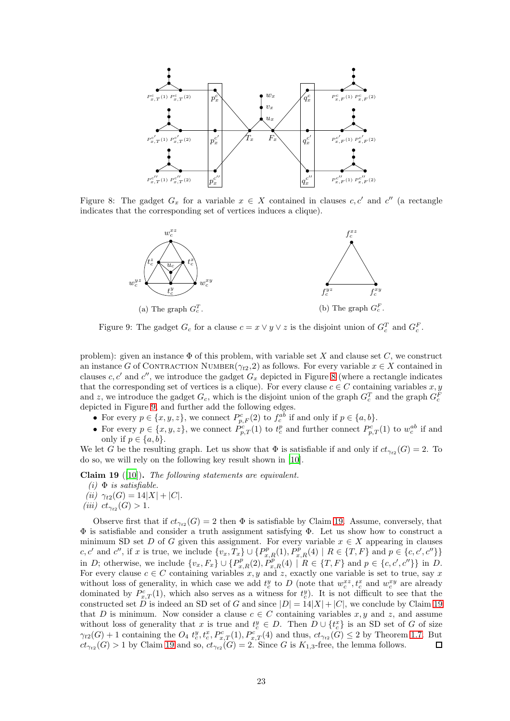<span id="page-22-0"></span>

<span id="page-22-1"></span>Figure 8: The gadget  $G_x$  for a variable  $x \in X$  contained in clauses  $c, c'$  and  $c''$  (a rectangle indicates that the corresponding set of vertices induces a clique).



Figure 9: The gadget  $G_c$  for a clause  $c = x \vee y \vee z$  is the disjoint union of  $G_c^T$  and  $G_c^F$ .

problem): given an instance  $\Phi$  of this problem, with variable set X and clause set C, we construct an instance G of CONTRACTION NUMBER( $\gamma_{t2}$ , 2) as follows. For every variable  $x \in X$  contained in clauses c, c' and c'', we introduce the gadget  $G_x$  depicted in Figure [8](#page-22-0) (where a rectangle indicates that the corresponding set of vertices is a clique). For every clause  $c \in C$  containing variables  $x, y$ and z, we introduce the gadget  $G_c$ , which is the disjoint union of the graph  $G_c^T$  and the graph  $G_c^F$ depicted in Figure [9,](#page-22-1) and further add the following edges.

- For every  $p \in \{x, y, z\}$ , we connect  $P_{p,F}^c(2)$  to  $f_c^{ab}$  if and only if  $p \in \{a, b\}$ .
- For every  $p \in \{x, y, z\}$ , we connect  $\hat{P}_{p,T}^c(1)$  to  $t_c^p$  and further connect  $P_{p,T}^c(1)$  to  $w_c^{ab}$  if and only if  $p \in \{a, b\}$ .

<span id="page-22-2"></span>We let G be the resulting graph. Let us show that  $\Phi$  is satisfiable if and only if  $ct_{\gamma_{t2}}(G) = 2$ . To do so, we will rely on the following key result shown in [\[10\]](#page-36-7).

Claim 19 ([\[10](#page-36-7)]). *The following statements are equivalent.*

- $(i)$   $\Phi$  *is satisfiable.*
- *(ii)*  $\gamma_{t2}(G) = 14|X| + |C|$ *.*
- $(iii)$   $ct_{\gamma_{t2}}(G) > 1.$

<span id="page-22-3"></span>Observe first that if  $ct_{\gamma_{t2}}(G) = 2$  then  $\Phi$  is satisfiable by Claim [19.](#page-22-2) Assume, conversely, that Φ is satisfiable and consider a truth assignment satisfying Φ. Let us show how to construct a minimum SD set D of G given this assignment. For every variable  $x \in X$  appearing in clauses c, c' and c'', if x is true, we include  $\{v_x, T_x\} \cup \{P_{x,R}^p(1), P_{x,R}^p(4) \mid R \in \{T, F\} \text{ and } p \in \{c, c', c''\}\}\$ in D; otherwise, we include  $\{v_x, F_x\} \cup \{P_{x,R}^p(2), P_{x,R}^p(4) \mid R \in \{T, F\} \text{ and } p \in \{c, c', c''\}\}\$ in D. For every clause  $c \in C$  containing variables x, y and z, exactly one variable is set to true, say x without loss of generality, in which case we add  $t_c^y$  to D (note that  $w_c^{xz}, t_c^x$  and  $w_c^{xy}$  are already dominated by  $P_{x,T}^c(1)$ , which also serves as a witness for  $t_c^y$ ). It is not difficult to see that the constructed set D is indeed an SD set of G and since  $|D| = 14|X| + |C|$ , we conclude by Claim [19](#page-22-2) that D is minimum. Now consider a clause  $c \in C$  containing variables x, y and z, and assume without loss of generality that x is true and  $t_c^y \in D$ . Then  $D \cup \{t_c^x\}$  is an SD set of G of size  $\gamma_{t2}(G) + 1$  containing the  $O_4$   $t_c^y, t_c^x, P_{x,T}^c(1), P_{x,T}^c(4)$  and thus,  $ct_{\gamma_{t2}}(G) \leq 2$  by Theorem [1.7.](#page-1-3) But  $ct_{\gamma_{t2}}(G) > 1$  by Claim [19](#page-22-2) and so,  $ct_{\gamma_{t2}}(G) = 2$ . Since G is  $K_{1,3}$ -free, the lemma follows.  $\Box$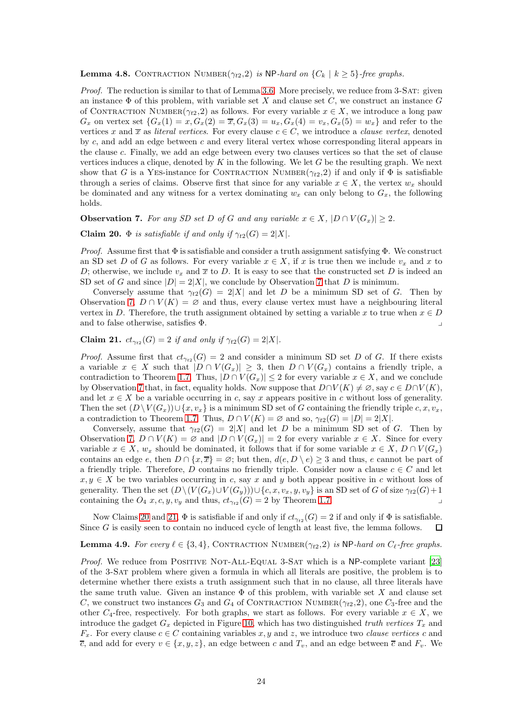#### **Lemma 4.8.** CONTRACTION NUMBER $(\gamma_{t2}, 2)$  is NP-hard on  $\{C_k | k \geq 5\}$ -free graphs.

*Proof.* The reduction is similar to that of Lemma [3.6.](#page-11-3) More precisely, we reduce from 3-SAT: given an instance  $\Phi$  of this problem, with variable set X and clause set C, we construct an instance G of CONTRACTION NUMBER( $\gamma_{t2}$ , 2) as follows. For every variable  $x \in X$ , we introduce a long paw  $G_x$  on vertex set  $\{G_x(1) = x, G_x(2) = \overline{x}, G_x(3) = u_x, G_x(4) = v_x, G_x(5) = w_x\}$  and refer to the vertices x and  $\overline{x}$  as *literal vertices*. For every clause  $c \in C$ , we introduce a *clause vertex*, denoted by c, and add an edge between c and every literal vertex whose corresponding literal appears in the clause c. Finally, we add an edge between every two clauses vertices so that the set of clause vertices induces a clique, denoted by  $K$  in the following. We let  $G$  be the resulting graph. We next show that G is a YES-instance for CONTRACTION NUMBER( $\gamma_{t2}$ , 2) if and only if  $\Phi$  is satisfiable through a series of claims. Observe first that since for any variable  $x \in X$ , the vertex  $w_x$  should be dominated and any witness for a vertex dominating  $w_x$  can only belong to  $G_x$ , the following holds.

<span id="page-23-1"></span><span id="page-23-0"></span>Observation 7. *For any SD set* D of G and any variable  $x \in X$ ,  $|D \cap V(G_x)| \geq 2$ .

Claim 20.  $\Phi$  *is satisfiable if and only if*  $\gamma_{t2}(G) = 2|X|$ *.* 

*Proof.* Assume first that  $\Phi$  is satisfiable and consider a truth assignment satisfying  $\Phi$ . We construct an SD set D of G as follows. For every variable  $x \in X$ , if x is true then we include  $v_x$  and x to D; otherwise, we include  $v_x$  and  $\overline{x}$  to D. It is easy to see that the constructed set D is indeed an SD set of G and since  $|D| = 2|X|$ , we conclude by Observation [7](#page-23-0) that D is minimum.

Conversely assume that  $\gamma_{t2}(G) = 2|X|$  and let D be a minimum SD set of G. Then by Observation [7,](#page-23-0)  $D \cap V(K) = \emptyset$  and thus, every clause vertex must have a neighbouring literal vertex in D. Therefore, the truth assignment obtained by setting a variable x to true when  $x \in D$ and to false otherwise, satisfies Φ. y

<span id="page-23-2"></span>**Claim 21.**  $ct_{\gamma_{t2}}(G) = 2$  *if and only if*  $\gamma_{t2}(G) = 2|X|$ *.* 

*Proof.* Assume first that  $ct_{\gamma_{t2}}(G) = 2$  and consider a minimum SD set D of G. If there exists a variable  $x \in X$  such that  $|D \cap V(G_x)| \geq 3$ , then  $D \cap V(G_x)$  contains a friendly triple, a contradiction to Theorem [1.7.](#page-1-3) Thus,  $|D \cap V(G_x)| \leq 2$  for every variable  $x \in X$ , and we conclude by Observation [7](#page-23-0) that, in fact, equality holds. Now suppose that  $D \cap V(K) \neq \emptyset$ , say  $c \in D \cap V(K)$ , and let  $x \in X$  be a variable occurring in c, say x appears positive in c without loss of generality. Then the set  $(D \setminus V(G_x)) \cup \{x, v_x\}$  is a minimum SD set of G containing the friendly triple c, x,  $v_x$ , a contradiction to Theorem [1.7.](#page-1-3) Thus,  $D \cap V(K) = \emptyset$  and so,  $\gamma_{t2}(G) = |D| = 2|X|$ .

Conversely, assume that  $\gamma_{t2}(G) = 2|X|$  and let D be a minimum SD set of G. Then by Observation [7,](#page-23-0)  $D \cap V(K) = \emptyset$  and  $|D \cap V(G_x)| = 2$  for every variable  $x \in X$ . Since for every variable  $x \in X$ ,  $w_x$  should be dominated, it follows that if for some variable  $x \in X$ ,  $D \cap V(G_x)$ contains an edge e, then  $D \cap \{x, \overline{x}\} = \emptyset$ ; but then,  $d(e, D \setminus e) \geq 3$  and thus, e cannot be part of a friendly triple. Therefore, D contains no friendly triple. Consider now a clause  $c \in C$  and let  $x, y \in X$  be two variables occurring in c, say x and y both appear positive in c without loss of generality. Then the set  $(D\setminus (V(G_x)\cup V(G_y)))\cup \{c,x,v_x,y,v_y\}$  is an SD set of G of size  $\gamma_{t2}(G)+1$ containing the  $O_4$  x, c, y, v<sub>y</sub> and thus,  $ct_{\gamma_{t2}}(G) = 2$  by Theorem [1.7.](#page-1-3)

Now Claims [20](#page-23-1) and [21,](#page-23-2)  $\Phi$  is satisfiable if and only if  $ct_{\gamma_{t2}}(G) = 2$  if and only if  $\Phi$  is satisfiable. Since G is easily seen to contain no induced cycle of length at least five, the lemma follows.  $\Box$ 

#### <span id="page-23-3"></span>**Lemma 4.9.** *For every*  $\ell \in \{3, 4\}$ , CONTRACTION NUMBER $(\gamma_{t2}, 2)$  *is* NP*-hard on*  $C_{\ell}$ *-free graphs.*

*Proof.* We reduce from POSITIVE NOT-ALL-EQUAL 3-SAT which is a NP-complete variant [\[23](#page-37-9)] of the 3-Sat problem where given a formula in which all literals are positive, the problem is to determine whether there exists a truth assignment such that in no clause, all three literals have the same truth value. Given an instance  $\Phi$  of this problem, with variable set X and clause set C, we construct two instances  $G_3$  and  $G_4$  of CONTRACTION NUMBER $(\gamma_{t2}, 2)$ , one  $C_3$ -free and the other  $C_4$ -free, respectively. For both graphs, we start as follows. For every variable  $x \in X$ , we introduce the gadget  $G_x$  depicted in Figure [10,](#page-24-0) which has two distinguished *truth vertices*  $T_x$  and  $F_x$ . For every clause  $c \in C$  containing variables x, y and z, we introduce two *clause vertices* c and  $\overline{c}$ , and add for every  $v \in \{x, y, z\}$ , an edge between c and  $T_v$ , and an edge between  $\overline{c}$  and  $F_v$ . We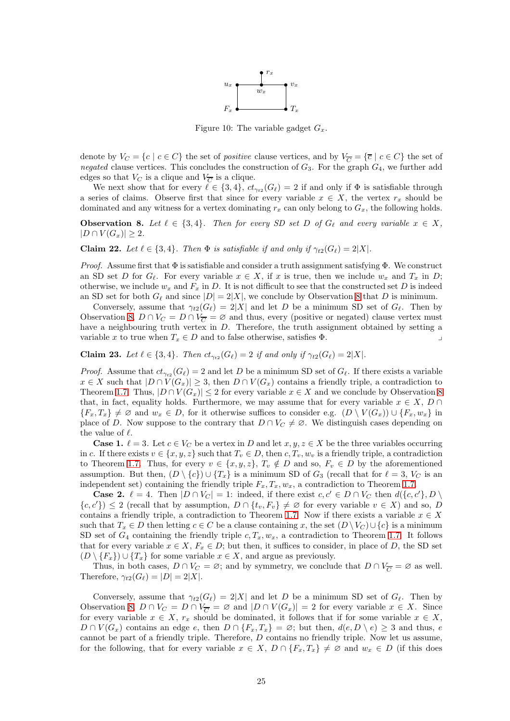

Figure 10: The variable gadget  $G_x$ .

<span id="page-24-0"></span>denote by  $V_C = \{c \mid c \in C\}$  the set of *positive* clause vertices, and by  $V_{\overline{C}} = \{\overline{c} \mid c \in C\}$  the set of *negated* clause vertices. This concludes the construction of  $G_3$ . For the graph  $G_4$ , we further add edges so that  $V_C$  is a clique and  $V_{\overline{C}}$  is a clique.

We next show that for every  $\ell \in \{3,4\}$ ,  $ct_{\gamma_{t2}}(G_{\ell}) = 2$  if and only if  $\Phi$  is satisfiable through a series of claims. Observe first that since for every variable  $x \in X$ , the vertex  $r_x$  should be dominated and any witness for a vertex dominating  $r_x$  can only belong to  $G_x$ , the following holds.

<span id="page-24-1"></span>**Observation 8.** Let  $\ell \in \{3, 4\}$ . Then for every SD set D of  $G_{\ell}$  and every variable  $x \in X$ ,  $|D \cap V(G_x)| \geq 2.$ 

<span id="page-24-2"></span>**Claim 22.** Let  $\ell \in \{3, 4\}$ . Then  $\Phi$  is satisfiable if and only if  $\gamma_{t2}(G_{\ell}) = 2|X|$ .

*Proof.* Assume first that  $\Phi$  is satisfiable and consider a truth assignment satisfying  $\Phi$ . We construct an SD set D for  $G_\ell$ . For every variable  $x \in X$ , if x is true, then we include  $w_x$  and  $T_x$  in D; otherwise, we include  $w_x$  and  $F_x$  in D. It is not difficult to see that the constructed set D is indeed an SD set for both  $G_{\ell}$  and since  $|D| = 2|X|$ , we conclude by Observation [8](#page-24-1) that D is minimum.

Conversely, assume that  $\gamma_{t2}(G_{\ell}) = 2|X|$  and let D be a minimum SD set of  $G_{\ell}$ . Then by Observation [8,](#page-24-1)  $D \cap V_C = D \cap V_{\overline{C}} = \emptyset$  and thus, every (positive or negated) clause vertex must have a neighbouring truth vertex in D. Therefore, the truth assignment obtained by setting a variable x to true when  $T_x \in D$  and to false otherwise, satisfies  $\Phi$ .

<span id="page-24-3"></span>**Claim 23.** Let  $\ell \in \{3, 4\}$ . Then  $ct_{\gamma_{t2}}(G_{\ell}) = 2$  if and only if  $\gamma_{t2}(G_{\ell}) = 2|X|$ .

*Proof.* Assume that  $ct_{\gamma_{t2}}(G_{\ell}) = 2$  and let D be a minimum SD set of  $G_{\ell}$ . If there exists a variable  $x \in X$  such that  $|D \cap V(G_x)| \geq 3$ , then  $D \cap V(G_x)$  contains a friendly triple, a contradiction to Theorem [1.7.](#page-1-3) Thus,  $|D \cap V(G_x)| \leq 2$  for every variable  $x \in X$  and we conclude by Observation [8](#page-24-1) that, in fact, equality holds. Furthermore, we may assume that for every variable  $x \in X$ , D ∩  ${F_x, T_x} \neq \emptyset$  and  $w_x \in D$ , for it otherwise suffices to consider e.g.  $(D \setminus V(G_x)) \cup {F_x, w_x}$  in place of D. Now suppose to the contrary that  $D \cap V_C \neq \emptyset$ . We distinguish cases depending on the value of  $\ell$ .

**Case 1.**  $\ell = 3$ . Let  $c \in V_C$  be a vertex in D and let  $x, y, z \in X$  be the three variables occurring in c. If there exists  $v \in \{x, y, z\}$  such that  $T_v \in D$ , then  $c, T_v, w_v$  is a friendly triple, a contradiction to Theorem [1.7.](#page-1-3) Thus, for every  $v \in \{x, y, z\}$ ,  $T_v \notin D$  and so,  $F_v \in D$  by the aforementioned assumption. But then,  $(D \setminus \{c\}) \cup \{T_x\}$  is a minimum SD of  $G_3$  (recall that for  $\ell = 3$ ,  $V_C$  is an independent set) containing the friendly triple  $F_x, T_x, w_x$ , a contradiction to Theorem [1.7.](#page-1-3)

**Case 2.**  $\ell = 4$ . Then  $|D \cap V_C| = 1$ : indeed, if there exist  $c, c' \in D \cap V_C$  then  $d(\lbrace c, c' \rbrace, D \setminus D)$  ${c, c'}$   $\geq 2$  (recall that by assumption,  $D \cap {t_v, F_v} \neq \emptyset$  for every variable  $v \in X$ ) and so, D contains a friendly triple, a contradiction to Theorem [1.7.](#page-1-3) Now if there exists a variable  $x \in X$ such that  $T_x \in D$  then letting  $c \in C$  be a clause containing x, the set  $(D \setminus V_C) \cup \{c\}$  is a minimum SD set of  $G_4$  containing the friendly triple  $c, T_x, w_x$ , a contradiction to Theorem [1.7.](#page-1-3) It follows that for every variable  $x \in X$ ,  $F_x \in D$ ; but then, it suffices to consider, in place of D, the SD set  $(D \setminus \{F_x\}) \cup \{T_x\}$  for some variable  $x \in X$ , and argue as previously.

Thus, in both cases,  $D \cap V_C = \emptyset$ ; and by symmetry, we conclude that  $D \cap V_{\overline{C}} = \emptyset$  as well. Therefore,  $\gamma_{t2}(G_{\ell}) = |D| = 2|X|$ .

Conversely, assume that  $\gamma_{t2}(G_{\ell}) = 2|X|$  and let D be a minimum SD set of  $G_{\ell}$ . Then by Observation [8,](#page-24-1)  $D \cap V_C = D \cap V_{\overline{C}} = \emptyset$  and  $|D \cap V(G_x)| = 2$  for every variable  $x \in X$ . Since for every variable  $x \in X$ ,  $r_x$  should be dominated, it follows that if for some variable  $x \in X$ ,  $D \cap V(G_x)$  contains an edge e, then  $D \cap \{F_x, T_x\} = \emptyset$ ; but then,  $d(e, D \setminus e) \geq 3$  and thus, e cannot be part of a friendly triple. Therefore, D contains no friendly triple. Now let us assume, for the following, that for every variable  $x \in X$ ,  $D \cap \{F_x, T_x\} \neq \emptyset$  and  $w_x \in D$  (if this does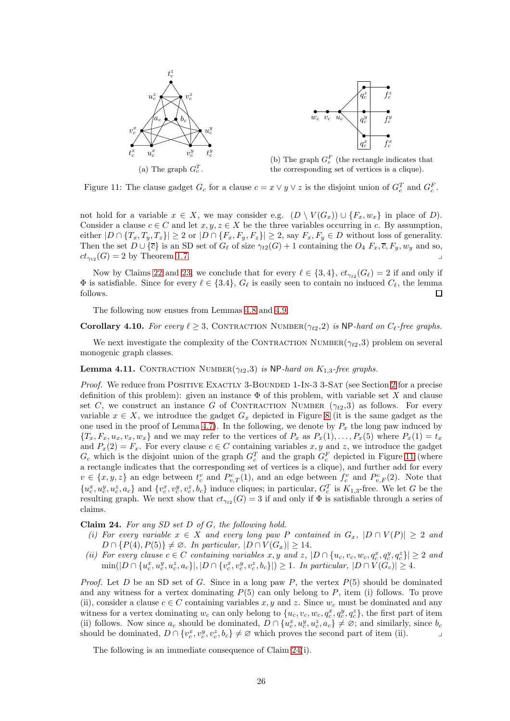<span id="page-25-0"></span>



(b) The graph  $G_c^F$  (the rectangle indicates that the corresponding set of vertices is a clique).

Figure 11: The clause gadget  $G_c$  for a clause  $c = x \vee y \vee z$  is the disjoint union of  $G_c^T$  and  $G_c^F$ .

not hold for a variable  $x \in X$ , we may consider e.g.  $(D \setminus V(G_x)) \cup \{F_x, w_x\}$  in place of D). Consider a clause  $c \in C$  and let  $x, y, z \in X$  be the three variables occurring in c. By assumption, either  $|D \cap \{T_x, T_y, T_z\}| \geq 2$  or  $|D \cap \{F_x, F_y, F_z\}| \geq 2$ , say  $F_x, F_y \in D$  without loss of generality. Then the set  $D \cup {\overline{c}}$  is an SD set of  $G_{\ell}$  of size  $\gamma_{t2}(G) + 1$  containing the  $O_4$   $F_x$ ,  $\overline{c}$ ,  $F_y$ ,  $w_y$  and so,  $ct_{\gamma_{t2}}(G) = 2$  by Theorem [1.7.](#page-1-3)

Now by Claims [22](#page-24-2) and [23,](#page-24-3) we conclude that for every  $\ell \in \{3,4\}$ ,  $ct_{\gamma_{t2}}(G_{\ell}) = 2$  if and only if  $\Phi$  is satisfiable. Since for every  $\ell \in \{3.4\}$ ,  $G_{\ell}$  is easily seen to contain no induced  $C_{\ell}$ , the lemma follows.  $\Box$ 

<span id="page-25-3"></span>The following now ensues from Lemmas [4.8](#page-22-3) and [4.9.](#page-23-3)

**Corollary 4.10.** For every  $\ell \geq 3$ , CONTRACTION NUMBER( $\gamma_{t2}, 2$ ) is NP-hard on C<sub>l</sub>-free graphs.

We next investigate the complexity of the CONTRACTION NUMBER( $\gamma_{t2}$ ,3) problem on several monogenic graph classes.

Lemma 4.11. CONTRACTION NUMBER( $\gamma_{t2}$ ,3) *is* NP-hard on K<sub>1,3</sub>-free graphs.

*Proof.* We reduce from POSITIVE EXACTLY 3-BOUNDED 1-IN-3 3-SAT (see Section [2](#page-2-0) for a precise definition of this problem): given an instance  $\Phi$  of this problem, with variable set X and clause set C, we construct an instance G of CONTRACTION NUMBER  $(\gamma_{t2},3)$  as follows. For every variable  $x \in X$ , we introduce the gadget  $G_x$  depicted in Figure [8](#page-22-0) (it is the same gadget as the one used in the proof of Lemma [4.7\)](#page-21-2). In the following, we denote by  $P_x$  the long paw induced by  ${T_x, F_x, u_x, v_x, w_x}$  and we may refer to the vertices of  $P_x$  as  $P_x(1), \ldots, P_x(5)$  where  $P_x(1) = t_x$ and  $P_x(2) = F_x$ . For every clause  $c \in C$  containing variables x, y and z, we introduce the gadget  $G_c$  which is the disjoint union of the graph  $G_c^T$  and the graph  $G_c^F$  depicted in Figure [11](#page-25-0) (where a rectangle indicates that the corresponding set of vertices is a clique), and further add for every  $v \in \{x, y, z\}$  an edge between  $t_c^v$  and  $P_{v,T}^c(1)$ , and an edge between  $f_c^v$  and  $P_{v,F}^c(2)$ . Note that  $\{u_c^x, u_c^y, u_c^z, a_c\}$  and  $\{v_c^x, v_c^y, v_c^z, b_c\}$  induce cliques; in particular,  $G_c^T$  is  $K_{1,3}$ -free. We let G be the resulting graph. We next show that  $ct_{\gamma_{t2}}(G) = 3$  if and only if  $\Phi$  is satisfiable through a series of claims.

<span id="page-25-1"></span>Claim 24. *For any SD set* D *of* G*, the following hold.*

- *(i)* For every variable  $x \in X$  and every long paw P contained in  $G_x$ ,  $|D \cap V(P)| \geq 2$  and  $D \cap \{P(4), P(5)\} \neq \emptyset$ . In particular,  $|D \cap V(G_x)| \geq 14$ .
- *(ii) For every clause*  $c \in C$  *containing variables*  $x, y$  *and*  $z$ ,  $|D \cap \{u_c, v_c, w_c, q_c^x, q_c^y, q_c^z\}| \ge 2$  *and*  $\min(|D \cap \{u_c^x, u_c^y, u_c^z, a_c\}|, |D \cap \{v_c^x, v_c^y, v_c^z, b_c\}|) \ge 1$ *. In particular,*  $|D \cap V(G_c)| \ge 4$ *.*

*Proof.* Let D be an SD set of G. Since in a long paw P, the vertex  $P(5)$  should be dominated and any witness for a vertex dominating  $P(5)$  can only belong to P, item (i) follows. To prove (ii), consider a clause  $c \in C$  containing variables x, y and z. Since  $w_c$  must be dominated and any witness for a vertex dominating  $w_c$  can only belong to  $\{u_c, v_c, w_c, q_c^x, q_c^y, q_c^z\}$ , the first part of item (ii) follows. Now since  $a_c$  should be dominated,  $D \cap \{u_c^x, u_c^y, u_c^z, a_c\} \neq \emptyset$ ; and similarly, since  $b_c$ should be dominated,  $D \cap \{v_c^x, v_c^y, v_c^z, b_c\} \neq \emptyset$  which proves the second part of item (ii).

<span id="page-25-2"></span>The following is an immediate consequence of Claim [24\(](#page-25-1)i).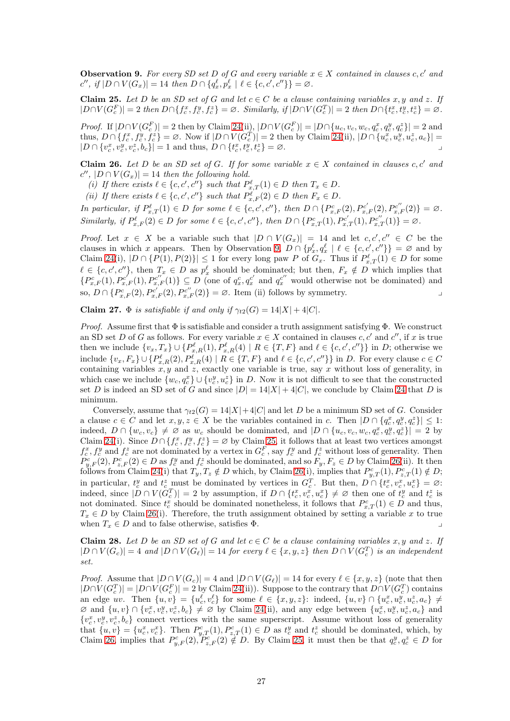**Observation 9.** For every SD set D of G and every variable  $x \in X$  contained in clauses c, c' and  $c'', \text{ if } |D \cap V(G_x)| = 14 \text{ then } D \cap \{q_x^{\ell}, p_x^{\ell} \mid \ell \in \{c, c', c''\}\} = \varnothing.$ 

<span id="page-26-0"></span>Claim 25. Let D be an SD set of G and let  $c \in C$  be a clause containing variables x, y and z. If  $|D \cap V(G_c^F)| = 2$  then  $D \cap \{f_c^x, f_c^y, f_c^z\} = \emptyset$ . Similarly, if  $|D \cap V(G_c^T)| = 2$  then  $D \cap \{t_c^x, t_c^y, t_c^z\} = \emptyset$ .

*Proof.* If  $|D \cap V(G_c^F)| = 2$  then by Claim [24\(](#page-25-1)ii),  $|D \cap V(G_c^F)| = |D \cap \{u_c, v_c, w_c, q_c^x, q_c^y, q_c^z\}| = 2$  and thus,  $D \cap \{f_c^x, f_c^y, f_c^z\} = \emptyset$ . Now if  $|D \cap V(G_c^T)| = 2$  then by Claim [24\(](#page-25-1)ii),  $|D \cap \{u_c^x, u_c^y, u_c^z, a_c\}| =$  $|D \cap \{v_c^x, v_c^y, v_c^z, b_c\}| = 1$  and thus,  $D \cap \{t_c^x, t_c^y, t_c^z\} = \emptyset$ .

<span id="page-26-1"></span>**Claim 26.** Let D be an SD set of G. If for some variable  $x \in X$  contained in clauses c, c' and  $c''$ ,  $|D \cap V(G_x)| = 14$  *then the following hold.* 

(*i*) If there exists  $\ell \in \{c, c', c''\}$  such that  $P_{x,T}^{\ell}(1) \in D$  then  $T_x \in D$ .

(*ii*) If there exists  $\ell \in \{c, c', c''\}$  such that  $P_{x,F}^{\ell}(2) \in D$  then  $F_x \in D$ .

*In particular, if*  $P_{x,T}^{\ell}(1) \in D$  *for some*  $\ell \in \{c, c', c''\}$ *, then*  $D \cap \{P_{x,F}^c(2), P_{x,F}^{c'}(2), P_{x,F}^{c''}(2)\} = \emptyset$ *.*  $Similarly, if P_{x,F}^{\ell}(2) \in D \text{ for some } \ell \in \{c, c', c''\}, \text{ then } D \cap \{P_{x,T}^c(1), P_{x,T}^{c'}(1), P_{x,T}^{c''}(1)\} = \varnothing.$ 

*Proof.* Let  $x \in X$  be a variable such that  $|D \cap V(G_x)| = 14$  and let  $c, c', c'' \in C$  be the clauses in which x appears. Then by Observation [9,](#page-25-2)  $D \cap \{p_x^{\ell}, q_x^{\ell} \mid \ell \in \{c, c', c''\}\} = \emptyset$  and by Claim [24\(](#page-25-1)i),  $|D \cap \{P(1), P(2)\}| \leq 1$  for every long paw P of  $G_x$ . Thus if  $P_{x,T}^{\ell}(1) \in D$  for some  $\ell \in \{c, c', c''\}$ , then  $T_x \in D$  as  $p_x^{\ell}$  should be dominated; but then,  $F_x \notin D$  which implies that  $\{P_{x,F}^c(1),P_{x,F}^{c'}(1),P_{x,F}^{c''}(1)\}\subseteq D$  (one of  $q_x^c,q_x^{c'}$  and  $q_x^{c''}$  would otherwise not be dominated) and so,  $D \cap \{P_{x,F}^c(2), P_{x,F}^{c'}(2), P_{x,F}^{c''}(2)\} = \emptyset$ . Item (ii) follows by symmetry.

<span id="page-26-3"></span>Claim 27.  $\Phi$  *is satisfiable if and only if*  $\gamma_{t2}(G) = 14|X| + 4|C|$ *.* 

*Proof.* Assume first that  $\Phi$  is satisfiable and consider a truth assignment satisfying  $\Phi$ . We construct an SD set D of G as follows. For every variable  $x \in X$  contained in clauses  $c, c'$  and  $c''$ , if x is true then we include  $\{v_x, T_x\} \cup \{P_{x,R}^{\ell}(1), P_{x,R}^{\ell}(4) \mid R \in \{T, F\} \text{ and } \ell \in \{c, c', c''\}\}\$  in D; otherwise we include  $\{v_x, F_x\} \cup \{P_{x,R}^{\ell}(2), P_{x,R}^{\ell}(4) \mid R \in \{T, F\} \text{ and } \ell \in \{c, c', c''\}\}\$  in D. For every clause  $c \in C$ containing variables x, y and z, exactly one variable is true, say x without loss of generality, in which case we include  $\{w_c, q_c^x\} \cup \{v_c^y, u_c^z\}$  in D. Now it is not difficult to see that the constructed set D is indeed an SD set of G and since  $|D| = 14|X| + 4|C|$ , we conclude by Claim [24](#page-25-1) that D is minimum.

Conversely, assume that  $\gamma_{t2}(G) = 14|X| + 4|C|$  and let D be a minimum SD set of G. Consider a clause  $c \in C$  and let  $x, y, z \in X$  be the variables contained in c. Then  $|D \cap \{q_c^x, q_c^y, q_c^z\}| \leq 1$ : indeed,  $D \cap \{w_c, v_c\} \neq \emptyset$  as  $w_c$  should be dominated, and  $|D \cap \{u_c, v_c, w_c, q_c^x, q_c^y, q_c^z\}| = 2$  by Claim [24\(](#page-25-1)i). Since  $D \cap \{f_c^x, f_c^y, f_c^z\} = \emptyset$  by Claim [25,](#page-26-0) it follows that at least two vertices amongst  $f_c^x, f_c^y$  and  $f_c^z$  are not dominated by a vertex in  $G_c^F$ , say  $f_c^y$  and  $f_c^z$  without loss of generality. Then  $P_{y,F}^c(2), P_{z,F}^c(2) \in D$  as  $f_c^y$  and  $f_c^z$  should be dominated, and so  $F_y, F_z \in D$  by Claim [26\(](#page-26-1)ii). It then follows from Claim [24\(](#page-25-1)i) that  $T_y, T_z \notin D$  which, by Claim [26\(](#page-26-1)i), implies that  $P_{y,T}^c(1), P_{z,T}^c(1) \notin D$ ; in particular,  $t_c^y$  and  $t_c^z$  must be dominated by vertices in  $G_c^T$ . But then,  $D \cap \{t_c^x, v_c^x, u_c^x\} = \emptyset$ : indeed, since  $|D \cap V(G_c^T)| = 2$  by assumption, if  $D \cap \{t_c^x, v_c^x, u_c^x\} \neq \emptyset$  then one of  $t_c^y$  and  $t_c^z$  is not dominated. Since  $t_c^x$  should be dominated nonetheless, it follows that  $P_{x,T}^c(1) \in D$  and thus,  $T_x \in D$  by Claim [26\(](#page-26-1)i). Therefore, the truth assignment obtained by setting a variable x to true when  $T_x \in D$  and to false otherwise, satisfies  $\Phi$ .

<span id="page-26-2"></span>Claim 28. Let D be an SD set of G and let  $c \in C$  be a clause containing variables x, y and z. If  $|D \cap V(G_c)| = 4$  and  $|D \cap V(G_{\ell})| = 14$  for every  $\ell \in \{x, y, z\}$  then  $D \cap V(G_c^T)$  is an independent *set.*

*Proof.* Assume that  $|D \cap V(G_c)| = 4$  and  $|D \cap V(G_{\ell})| = 14$  for every  $\ell \in \{x, y, z\}$  (note that then  $|D \cap V(G_c^T)| = |D \cap V(G_c^F)| = 2$  by Claim [24\(](#page-25-1)ii)). Suppose to the contrary that  $D \cap V(G_c^T)$  contains an edge uv. Then  $\{u, v\} = \{u_c^{\ell}, v_c^{\ell}\}\$  for some  $\ell \in \{x, y, z\}$ : indeed,  $\{u, v\} \cap \{u_c^x, u_c^y, u_c^z, a_c\} \neq$  $\emptyset$  and  $\{u, v\} \cap \{v_c^x, v_c^y, v_c^z, b_c\} \neq \emptyset$  by Claim [24\(](#page-25-1)ii), and any edge between  $\{u_c^x, u_c^y, u_c^z, a_c\}$  and  $\{v_c^x, v_c^y, v_c^z, b_c\}$  connect vertices with the same superscript. Assume without loss of generality that  $\{u, v\} = \{u_c^x, v_c^x\}$ . Then  $P_{y,T}^c(1), P_{z,T}^c(1) \in D$  as  $t_c^y$  and  $t_c^z$  should be dominated, which, by Claim [26,](#page-26-1) implies that  $P_{y,F}^c(2), P_{z,F}^c(2) \notin D$ . By Claim [25,](#page-26-0) it must then be that  $q_c^y, q_c^z \in D$  for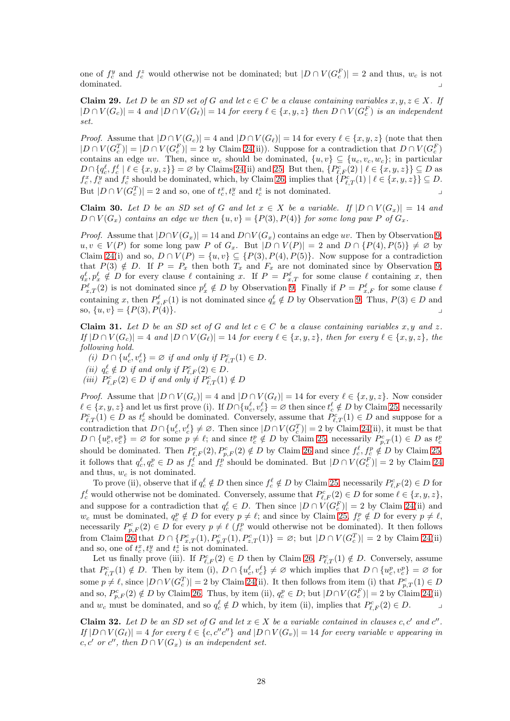one of  $f_c^y$  and  $f_c^z$  would otherwise not be dominated; but  $|D \cap V(G_c^F)| = 2$  and thus,  $w_c$  is not dominated.

<span id="page-27-2"></span>Claim 29. Let D be an SD set of G and let  $c \in C$  be a clause containing variables  $x, y, z \in X$ . If  $|D \cap V(G_c)| = 4$  and  $|D \cap V(G_{\ell})| = 14$  for every  $\ell \in \{x, y, z\}$  then  $D \cap V(G_c^F)$  is an independent *set.*

*Proof.* Assume that  $|D \cap V(G_c)| = 4$  and  $|D \cap V(G_{\ell})| = 14$  for every  $\ell \in \{x, y, z\}$  (note that then  $|D \cap V(G_c^T)| = |D \cap V(G_c^F)| = 2$  by Claim [24\(](#page-25-1)ii)). Suppose for a contradiction that  $D \cap V(G_c^F)$ contains an edge uv. Then, since  $w_c$  should be dominated,  $\{u, v\} \subseteq \{u_c, v_c, w_c\}$ ; in particular  $D \cap \{q_c^{\ell}, f_c^{\ell} \mid \ell \in \{x, y, z\}\} = \varnothing$  by Claims [24\(](#page-25-1)ii) and [25.](#page-26-0) But then,  $\{P_{\ell,F}^c(2) \mid \ell \in \{x, y, z\}\} \subseteq D$  as  $f_c^x, f_c^y$  and  $f_c^z$  should be dominated, which, by Claim [26,](#page-26-1) implies that  $\{P_{\ell,T}^c(1) \mid \ell \in \{x, y, z\}\} \subseteq D$ . But  $|D \cap V(G_c^T)| = 2$  and so, one of  $t_c^x, t_c^y$  and  $t_c^z$  is not dominated.

<span id="page-27-0"></span>Claim 30. Let D be an SD set of G and let  $x \in X$  be a variable. If  $|D \cap V(G_x)| = 14$  and  $D \cap V(G_x)$  *contains an edge uv then*  $\{u, v\} = \{P(3), P(4)\}$  *for some long paw* P *of*  $G_x$ .

*Proof.* Assume that  $|D \cap V(G_x)| = 14$  and  $D \cap V(G_x)$  contains an edge uv. Then by Observation [9,](#page-25-2)  $u, v \in V(P)$  for some long paw P of  $G_x$ . But  $|D \cap V(P)| = 2$  and  $D \cap \{P(4), P(5)\} \neq \emptyset$  by Claim [24\(](#page-25-1)i) and so,  $D \cap V(P) = \{u, v\} \subseteq \{P(3), P(4), P(5)\}\.$  Now suppose for a contradiction that  $P(3) \notin D$ . If  $P = P_x$  then both  $T_x$  and  $F_x$  are not dominated since by Observation [9,](#page-25-2)  $q_x^{\ell}, p_x^{\ell} \notin D$  for every clause  $\ell$  containing x. If  $P = P_{x,T}^{\ell}$  for some clause  $\ell$  containing x, then  $P_{x,T}^{\ell}(2)$  is not dominated since  $p_x^{\ell} \notin D$  by Observation [9.](#page-25-2) Finally if  $P = P_{x,F}^{\ell}$  for some clause  $\ell$ containing x, then  $P_{x,F}^{\ell}(1)$  is not dominated since  $q_x^{\ell} \notin D$  by Observation [9.](#page-25-2) Thus,  $P(3) \in D$  and so,  $\{u, v\} = \{P(3), P(4)\}.$ 

<span id="page-27-1"></span>Claim 31. Let D be an SD set of G and let  $c \in C$  be a clause containing variables x, y and z.  $If |D \cap V(G_c)| = 4$  *and*  $|D \cap V(G_{\ell})| = 14$  *for every*  $\ell \in \{x, y, z\}$ *, then for every*  $\ell \in \{x, y, z\}$ *, the following hold.*

(*i*)  $D \cap \{u_c^{\ell}, v_c^{\ell}\} = \emptyset$  *if and only if*  $P_{\ell,T}^c(1) \in D$ .

- (*ii*)  $q_c^{\ell} \notin D$  *if and only if*  $P_{\ell,F}^c(2) \in D$ *.*
- (*iii*)  $P_{\ell,F}^c(2) \in D$  *if and only if*  $P_{\ell,T}^c(1) \notin D$

*Proof.* Assume that  $|D \cap V(G_c)| = 4$  and  $|D \cap V(G_{\ell})| = 14$  for every  $\ell \in \{x, y, z\}$ . Now consider  $\ell \in \{x, y, z\}$  and let us first prove (i). If  $D \cap \{u_c^{\ell}, v_c^{\ell}\} = \emptyset$  then since  $t_c^{\ell} \notin D$  by Claim [25,](#page-26-0) necessarily  $P_{\ell,T}^c(1) \in D$  as  $t_c^{\ell}$  should be dominated. Conversely, assume that  $P_{\ell,T}^c(1) \in D$  and suppose for a contradiction that  $D \cap \{u_c^{\ell}, v_c^{\ell}\}\neq \emptyset$ . Then since  $|D \cap V(G_c^T)| = 2$  by Claim [24\(](#page-25-1)ii), it must be that  $D \cap \{u_c^p, v_c^p\} = \emptyset$  for some  $p \neq \ell$ ; and since  $t_c^p \notin D$  by Claim [25,](#page-26-0) necessarily  $P_{p,T}^c(1) \in D$  as  $t_c^p$ should be dominated. Then  $P_{\ell,F}^c(2), P_{p,F}^c(2) \notin D$  by Claim [26](#page-26-1) and since  $f_c^{\ell}, f_c^p \notin D$  by Claim [25,](#page-26-0) it follows that  $q_c^{\ell}, q_c^p \in D$  as  $f_c^{\ell}$  and  $f_c^p$  should be dominated. But  $|D \cap V(G_c^F)| = 2$  by Claim [24](#page-25-1) and thus,  $w_c$  is not dominated.

To prove (ii), observe that if  $q_c^{\ell} \notin D$  then since  $f_c^{\ell} \notin D$  by Claim [25,](#page-26-0) necessarily  $P_{\ell,F}^c(2) \in D$  for  $f_c^{\ell}$  would otherwise not be dominated. Conversely, assume that  $P_{\ell,F}^c(2) \in D$  for some  $\ell \in \{x, y, z\}$ , and suppose for a contradiction that  $q_c^{\ell} \in D$ . Then since  $|D \cap V(G_c^F)| = 2$  by Claim [24\(](#page-25-1)ii) and  $w_c$  must be dominated,  $q_c^p \notin D$  for every  $p \neq \ell$ ; and since by Claim [25,](#page-26-0)  $f_c^p \notin D$  for every  $p \neq \ell$ , necessarily  $P_{p,F}^c(2) \in D$  for every  $p \neq \ell$  ( $f_c^p$  would otherwise not be dominated). It then follows from Claim [26](#page-26-1) that  $D \cap \{P_{x,T}^c(1), P_{y,T}^c(1), P_{z,T}^c(1)\} = \emptyset$ ; but  $|D \cap V(G_c^T)| = 2$  by Claim [24\(](#page-25-1)ii) and so, one of  $t_c^x, t_c^y$  and  $t_c^z$  is not dominated.

Let us finally prove (iii). If  $P_{\ell,F}^c(2) \in D$  then by Claim [26,](#page-26-1)  $P_{\ell,T}^c(1) \notin D$ . Conversely, assume that  $P_{\ell,T}^c(1) \notin D$ . Then by item (i),  $D \cap \{u_c^{\ell}, v_c^{\ell}\} \neq \emptyset$  which implies that  $D \cap \{u_c^p, v_c^p\} = \emptyset$  for some  $p \neq \ell$ , since  $|D \cap V(G_c^T)| = 2$  by Claim [24\(](#page-25-1)ii). It then follows from item (i) that  $P_{p,T}^c(1) \in D$ and so,  $P_{p,F}^c(2) \notin D$  by Claim [26.](#page-26-1) Thus, by item (ii),  $q_c^p \in D$ ; but  $|D \cap V(G_c^F)| = 2$  by Claim [24\(](#page-25-1)ii) and  $w_c$  must be dominated, and so  $q_c^{\ell} \notin D$  which, by item (ii), implies that  $P_{\ell,F}^c(2) \in D$ .

<span id="page-27-3"></span>Claim 32. Let D be an SD set of G and let  $x \in X$  be a variable contained in clauses c, c' and c''.  $I_f |D \cap V(G_\ell)| = 4$  *for every*  $\ell \in \{c, c''c''\}$  and  $|D \cap V(G_v)| = 14$  *for every variable* v appearing in  $c, c'$  *or*  $c''$ , then  $D \cap V(G_x)$  *is an independent set.*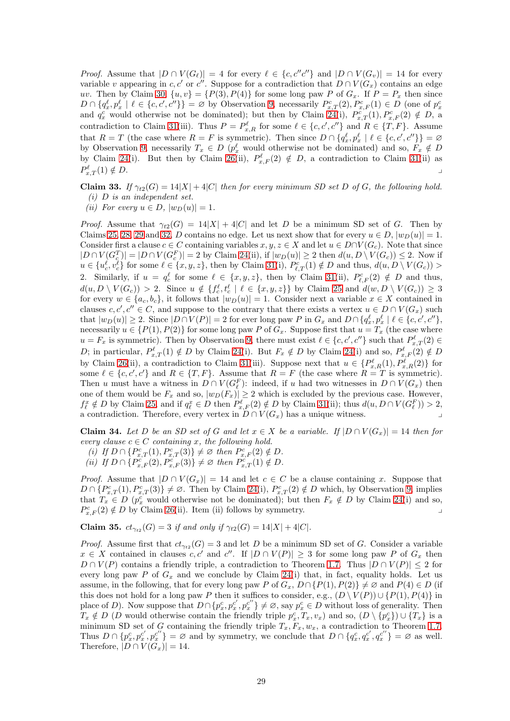*Proof.* Assume that  $|D \cap V(G_{\ell})| = 4$  for every  $\ell \in \{c, c''c''\}$  and  $|D \cap V(G_v)| = 14$  for every variable v appearing in c, c' or c''. Suppose for a contradiction that  $D \cap V(G_x)$  contains an edge uv. Then by Claim [30,](#page-27-0)  $\{u, v\} = \{P(3), P(4)\}$  for some long paw P of  $G_x$ . If  $P = P_x$  then since  $D \cap \{q_x^{\ell}, p_x^{\ell} \mid \ell \in \{c, c', c''\}\} = \emptyset$  by Observation [9,](#page-25-2) necessarily  $P_{x,T}^c(2), P_{x,F}^c(1) \in D$  (one of  $p_x^c$  and  $q_x^c$  would otherwise not be dominated); but then by Claim [24\(](#page-25-1)i),  $P_{x,T}^c(1), P_{x,F}^c(2) \notin D$ , a contradiction to Claim [31\(](#page-27-1)iii). Thus  $P = P_{x,R}^{\ell}$  for some  $\ell \in \{c, c', c''\}$  and  $R \in \{T, F\}$ . Assume that  $R = T$  (the case where  $R = F$  is symmetric). Then since  $D \cap \{q_x^{\ell}, p_x^{\ell} \mid \ell \in \{c, c', c''\}\} = \emptyset$ by Observation [9,](#page-25-2) necessarily  $T_x \in D$  ( $p_x^{\ell}$  would otherwise not be dominated) and so,  $F_x \notin D$ by Claim [24\(](#page-25-1)i). But then by Claim [26\(](#page-26-1)ii),  $P_{x,F}^{\ell}(2) \notin D$ , a contradiction to Claim [31\(](#page-27-1)ii) as  $P_x^\ell$  $x,_{x,T}(1) \notin D.$ 

<span id="page-28-0"></span>**Claim 33.** If  $\gamma_{t2}(G) = 14|X| + 4|C|$  then for every minimum SD set D of G, the following hold.

*(i)* D *is an independent set.*

*(ii)* For every  $u \in D$ ,  $|w_D(u)| = 1$ .

*Proof.* Assume that  $\gamma_{t2}(G) = 14|X| + 4|C|$  and let D be a minimum SD set of G. Then by Claims [25,](#page-26-0) [28,](#page-26-2) [29](#page-27-2) and [32,](#page-27-3) D contains no edge. Let us next show that for every  $u \in D$ ,  $|w_D(u)| = 1$ . Consider first a clause  $c \in C$  containing variables  $x, y, z \in X$  and let  $u \in D \cap V(G_c)$ . Note that since  $|D \cap V(G_c^T)| = |D \cap V(G_c^F)| = 2$  by Claim [24\(](#page-25-1)ii), if  $|w_D(u)| \ge 2$  then  $d(u, D \setminus V(G_c)) \le 2$ . Now if  $u \in \{u_c^{\ell}, v_c^{\ell}\}\$ for some  $\ell \in \{x, y, z\}$ , then by Claim [31\(](#page-27-1)i),  $P_{\ell,T}^c(1) \notin D$  and thus,  $d(u, D \setminus V(G_c)) >$ 2. Similarly, if  $u = q_c^{\ell}$  for some  $\ell \in \{x, y, z\}$ , then by Claim [31\(](#page-27-1)ii),  $P_{\ell,F}^c(2) \notin D$  and thus,  $d(u, D \setminus V(G_c)) > 2$ . Since  $u \notin \{f_c^{\ell}, t_c^{\ell} \mid \ell \in \{x, y, z\}\}\$  by Claim [25](#page-26-0) and  $d(w, D \setminus V(G_c)) \geq 3$ for every  $w \in \{a_c, b_c\}$ , it follows that  $|w_D(u)| = 1$ . Consider next a variable  $x \in X$  contained in clauses  $c, c', c'' \in C$ , and suppose to the contrary that there exists a vertex  $u \in D \cap V(G_x)$  such that  $|w_D(u)| \geq 2$ . Since  $|D \cap V(P)| = 2$  for ever long paw P in  $G_x$  and  $D \cap \{q_x^{\ell}, p_x^{\ell} \mid \ell \in \{c, c', c''\},\}$ necessarily  $u \in \{P(1), P(2)\}$  for some long paw P of  $G_x$ . Suppose first that  $u = T_x$  (the case where  $u = F_x$  is symmetric). Then by Observation [9,](#page-25-2) there must exist  $\ell \in \{c, c', c''\}$  such that  $P_{x,T}^{\ell}(2) \in$ D; in particular,  $P_{x,T}^{\ell}(1) \notin D$  by Claim [24\(](#page-25-1)i). But  $F_x \notin D$  by Claim 24(i) and so,  $P_{x,F}^{\ell}(2) \notin D$ by Claim [26\(](#page-26-1)ii), a contradiction to Claim [31\(](#page-27-1)iii). Suppose next that  $u \in \{P_{x,R}^{\ell}(1), P_{x,R}^{\ell}(2)\}\)$  for some  $\ell \in \{c, c', c'\}$  and  $R \in \{T, F\}$ . Assume that  $R = F$  (the case where  $R = T$  is symmetric). Then u must have a witness in  $D \cap V(G_{\ell}^F)$ : indeed, if u had two witnesses in  $D \cap V(G_x)$  then one of them would be  $F_x$  and so,  $|w_D(F_x)| \geq 2$  which is excluded by the previous case. However,  $f_{\ell}^x \notin D$  by Claim [25,](#page-26-0) and if  $q_{\ell}^x \in D$  then  $P_{x,F}^{\ell}(2) \notin D$  by Claim [31\(](#page-27-1)ii); thus  $d(u, D \cap V(G_{\ell}^F)) > 2$ , a contradiction. Therefore, every vertex in  $D \cap V(G_x)$  has a unique witness.

<span id="page-28-1"></span>Claim 34. Let D be an SD set of G and let  $x \in X$  be a variable. If  $|D \cap V(G_x)| = 14$  then for *every clause*  $c \in C$  *containing* x, the following hold.

*(i) If*  $D \cap \{P_{x,T}^c(1), P_{x,T}^c(3)\}\neq \emptyset$  *then*  $P_{x,F}^c(2) \notin D$ *.* 

*(ii) If*  $D \cap \{P_{x,F}^{c}(2), P_{x,F}^{c}(3)\}\neq \emptyset$  *then*  $P_{x,T}^{c}(1) \notin D$ *.* 

*Proof.* Assume that  $|D \cap V(G_x)| = 14$  and let  $c \in C$  be a clause containing x. Suppose that  $D \cap \{P_{x,T}^c(1), P_{x,T}^c(3)\}\neq \emptyset$ . Then by Claim [24\(](#page-25-1)i),  $P_{x,T}^c(2) \notin D$  which, by Observation [9,](#page-25-2) implies that  $T_x \in D$  ( $p_x^c$  would otherwise not be dominated); but then  $F_x \notin D$  by Claim [24\(](#page-25-1)i) and so,  $P_{x,F}^c(2) \notin D$  by Claim [26\(](#page-26-1)ii). Item (ii) follows by symmetry.

<span id="page-28-2"></span>**Claim 35.**  $ct_{\gamma_{t2}}(G) = 3$  *if and only if*  $\gamma_{t2}(G) = 14|X| + 4|C|$ *.* 

*Proof.* Assume first that  $ct_{\gamma_{t2}}(G) = 3$  and let D be a minimum SD set of G. Consider a variable  $x \in X$  contained in clauses c, c' and c''. If  $|D \cap V(P)| \geq 3$  for some long paw P of  $G_x$  then  $D \cap V(P)$  contains a friendly triple, a contradiction to Theorem [1.7.](#page-1-3) Thus  $|D \cap V(P)| \leq 2$  for every long paw P of  $G_x$  and we conclude by Claim [24\(](#page-25-1)i) that, in fact, equality holds. Let us assume, in the following, that for every long paw P of  $G_x$ ,  $D \cap \{P(1), P(2)\} \neq \emptyset$  and  $P(4) \in D$  (if this does not hold for a long paw P then it suffices to consider, e.g.,  $(D \setminus V(P)) \cup \{P(1), P(4)\}$  in place of D). Now suppose that  $D \cap \{p_x^c, p_x^{c'}\}$  $x'_{x}, p_{x}^{c''}\}\neq\emptyset$ , say  $p_{x}^{c}\in D$  without loss of generality. Then  $T_x \notin D$  (D would otherwise contain the friendly triple  $p_x^c, T_x, v_x$ ) and so,  $(D \setminus \{p_x^c\}) \cup \{T_x\}$  is a minimum SD set of G containing the friendly triple  $T_x, F_x, w_x$ , a contradiction to Theorem [1.7.](#page-1-3) Thus  $D \cap \{p_x^c, p_x^{c'}\}$  $x^{\prime},p_{x}^{c^{\prime\prime}}$  $\langle c'' \rangle = \emptyset$  and by symmetry, we conclude that  $D \cap \{q_x^c, q_x^{c'}\}$  $x^{c^{\prime}},q_{x}^{c^{\prime\prime}}$  $x^{c''}_x$  =  $\varnothing$  as well. Therefore,  $|D \cap V(G_x)| = 14$ .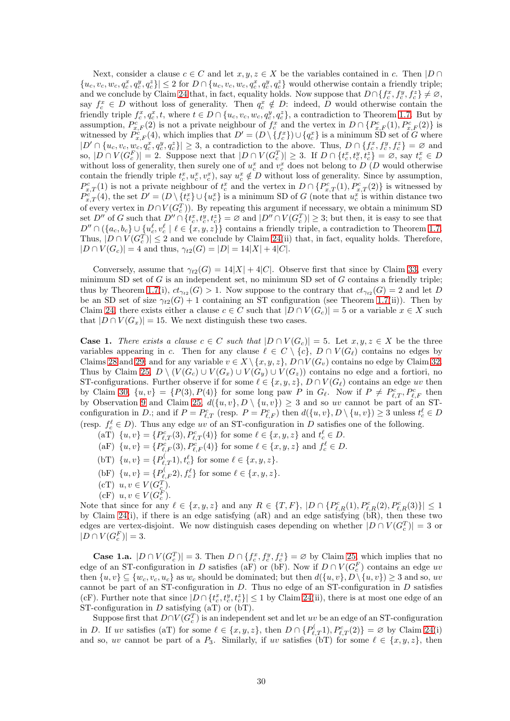Next, consider a clause  $c \in C$  and let  $x, y, z \in X$  be the variables contained in c. Then  $|D \cap \overline{C}|$  $\{u_c, v_c, w_c, q_c^x, q_c^y, q_c^z\} \leq 2$  for  $D \cap \{u_c, v_c, w_c, q_c^x, q_c^y, q_c^z\}$  would otherwise contain a friendly triple; and we conclude by Claim [24](#page-25-1) that, in fact, equality holds. Now suppose that  $D \cap \{f_c^x, f_c^y, f_c^z\} \neq \emptyset$ , say  $f_c^x \in D$  without loss of generality. Then  $q_c^x \notin D$ : indeed, D would otherwise contain the friendly triple  $f_c^x, q_c^x, t$ , where  $t \in D \cap \{u_c, v_c, w_c, q_c^y, q_c^z\}$ , a contradiction to Theorem [1.7.](#page-1-3) But by assumption,  $P_{x,F}^c(2)$  is not a private neighbour of  $f_c^x$  and the vertex in  $D \cap \{P_{x,F}^c(1), P_{x,F}^c(2)\}$  is witnessed by  $P_{x,F}^c(4)$ , which implies that  $D' = (D \setminus \{f_c^x\}) \cup \{q_c^x\}$  is a minimum SD set of G where  $|D' \cap \{u_c, v_c, w_c, q_c^x, q_c^y, q_c^z\}| \geq 3$ , a contradiction to the above. Thus,  $D \cap \{f_c^x, f_c^y, f_c^z\} = \emptyset$  and so,  $|D \cap V(G_c^F)| = 2$ . Suppose next that  $|D \cap V(G_c^T)| \geq 3$ . If  $D \cap \{t_c^x, t_c^y, t_c^z\} = \emptyset$ , say  $t_c^x \in D$ without loss of generality, then surely one of  $u_c^x$  and  $v_c^x$  does not belong to  $D(D)$  would otherwise contain the friendly triple  $t_c^x, u_c^x, v_c^x$ , say  $u_c^x \notin D$  without loss of generality. Since by assumption,  $P_{x,T}^c(1)$  is not a private neighbour of  $t_c^x$  and the vertex in  $D \cap \{P_{x,T}^c(1), P_{x,T}^c(2)\}$  is witnessed by  $P_{x,T}^{c'}(4)$ , the set  $D' = (D \setminus \{t_c^x\} \cup \{u_c^x\})$  is a minimum SD of G (note that  $u_c^x$  is within distance two of every vertex in  $D \cap V(G_c^T)$ ). By repeating this argument if necessary, we obtain a minimum SD set  $D''$  of G such that  $D'' \cap \{t_c^x, t_c^y, t_c^z\} = \emptyset$  and  $|D'' \cap V(G_c^T)| \geq 3$ ; but then, it is easy to see that  $D'' \cap (\{a_c, b_c\} \cup \{u_c^{\ell}, v_c^{\ell} \mid \ell \in \{x, y, z\})\}$  contains a friendly triple, a contradiction to Theorem [1.7.](#page-1-3) Thus,  $|D \cap V(G_c^T)| \leq 2$  and we conclude by Claim [24\(](#page-25-1)ii) that, in fact, equality holds. Therefore,  $|D \cap V(G_c)| = 4$  and thus,  $\gamma_{t2}(G) = |D| = 14|X| + 4|C|$ .

Conversely, assume that  $\gamma_{t2}(G) = 14|X| + 4|C|$ . Observe first that since by Claim [33,](#page-28-0) every minimum SD set of  $G$  is an independent set, no minimum SD set of  $G$  contains a friendly triple; thus by Theorem [1.7\(](#page-1-3)i),  $ct_{\gamma_{t2}}(G) > 1$ . Now suppose to the contrary that  $ct_{\gamma_{t2}}(G) = 2$  and let D be an SD set of size  $\gamma_{t2}(G) + 1$  containing an ST configuration (see Theorem [1.7\(](#page-1-3)ii)). Then by Claim [24,](#page-25-1) there exists either a clause  $c \in C$  such that  $|D \cap V(G_c)| = 5$  or a variable  $x \in X$  such that  $|D \cap V(G_x)| = 15$ . We next distinguish these two cases.

**Case 1.** *There exists a clause*  $c \in C$  *such that*  $|D \cap V(G_c)| = 5$ . Let  $x, y, z \in X$  be the three variables appearing in c. Then for any clause  $\ell \in C \setminus \{c\}$ ,  $D \cap V(G_{\ell})$  contains no edges by Claims [28](#page-26-2) and [29;](#page-27-2) and for any variable  $v \in X \setminus \{x, y, z\}$ ,  $D \cap V(G_v)$  contains no edge by Claim [32.](#page-27-3) Thus by Claim [25,](#page-26-0)  $D \setminus (V(G_c) \cup V(G_x) \cup V(G_y) \cup V(G_z))$  contains no edge and a fortiori, no ST-configurations. Further observe if for some  $\ell \in \{x, y, z\}$ ,  $D \cap V(G_{\ell})$  contains an edge uv then by Claim [30,](#page-27-0)  $\{u, v\} = \{P(3), P(4)\}\$ for some long paw P in  $G_{\ell}$ . Now if  $P \neq P_{\ell, T}^c, P_{\ell, F}^c$  then by Observation [9](#page-25-2) and Claim [25,](#page-26-0)  $d({u, v}, D \setminus {u, v}) \geq 3$  and so uv cannot be part of an STconfiguration in D.; and if  $P = P_{\ell,T}^c$  (resp.  $P = P_{\ell,F}^c$ ) then  $d(\{u, v\}, D \setminus \{u, v\}) \ge 3$  unless  $t_c^{\ell} \in D$ (resp.  $f_c^{\ell} \in D$ ). Thus any edge uv of an ST-configuration in D satisfies one of the following.

- (aT)  $\{u, v\} = \{P_{\ell,T}^c(3), P_{\ell,T}^c(4)\}\$ for some  $\ell \in \{x, y, z\}$  and  $t_c^{\ell} \in D$ .
- (aF)  $\{u, v\} = \{P_{\ell, F}^{c}(3), P_{\ell, F}^{c}(4)\}\$ for some  $\ell \in \{x, y, z\}$  and  $f_{c}^{\ell} \in D$ .
- (bT)  $\{u, v\} = \{P_{\ell,T}^{(1)}, t_c^{\ell}\}\$  for some  $\ell \in \{x, y, z\}.$
- (bF)  $\{u, v\} = \{P_{\ell, F}^{(1)}(x), f_{c}^{\ell}\}\$  for some  $\ell \in \{x, y, z\}.$
- (cT)  $u, v \in V(G_c^T)$ .
- (cF)  $u, v \in V(G_c^F)$ .

Note that since for any  $\ell \in \{x, y, z\}$  and any  $R \in \{T, F\}$ ,  $|D \cap \{P_{\ell,R}^c(1), P_{\ell,R}^c(2), P_{\ell,R}^c(3)\}| \leq 1$ by Claim [24\(](#page-25-1)i), if there is an edge satisfying (aR) and an edge satisfying (bR), then these two edges are vertex-disjoint. We now distinguish cases depending on whether  $|D \cap V(G_c^T)| = 3$  or  $|D \cap V(G_c^F)| = 3.$ 

**Case 1.a.**  $|D \cap V(G_c^T)| = 3$ . Then  $D \cap \{f_c^x, f_c^y, f_c^z\} = \emptyset$  by Claim [25,](#page-26-0) which implies that no edge of an ST-configuration in D satisfies (aF) or (bF). Now if  $D \cap V(G_c^F)$  contains an edge uv then  $\{u, v\} \subseteq \{w_c, v_c, u_c\}$  as  $w_c$  should be dominated; but then  $d(\{u, v\}, D \setminus \{u, v\}) \ge 3$  and so, uv cannot be part of an ST-configuration in  $D$ . Thus no edge of an ST-configuration in  $D$  satisfies (cF). Further note that since  $|D \cap \{t_c^x, t_c^y, t_c^z\}| \leq 1$  by Claim [24\(](#page-25-1)ii), there is at most one edge of an ST-configuration in  $D$  satisfying  $(aT)$  or  $(bT)$ .

Suppose first that  $D \cap V(G_c^T)$  is an independent set and let uv be an edge of an ST-configuration in D. If uv satisfies (aT) for some  $\ell \in \{x, y, z\}$ , then  $D \cap \{P_{\ell,T}^{(1)}, P_{\ell,T}^{c}(2)\} = \emptyset$  by Claim [24\(](#page-25-1)i) and so, uv cannot be part of a  $P_3$ . Similarly, if uv satisfies (bT) for some  $\ell \in \{x, y, z\}$ , then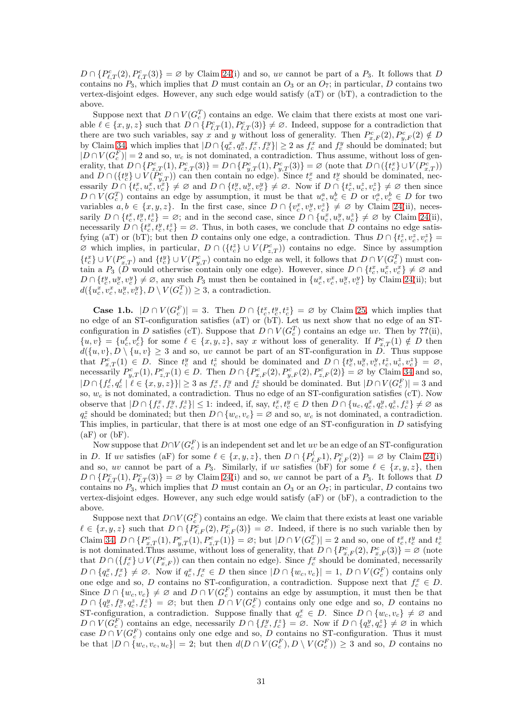$D \cap \{P_{\ell,T}^c(2), P_{\ell,T}^c(3)\} = \emptyset$  by Claim [24\(](#page-25-1)i) and so, uv cannot be part of a  $P_3$ . It follows that D contains no  $P_3$ , which implies that D must contain an  $O_3$  or an  $O_7$ ; in particular, D contains two vertex-disjoint edges. However, any such edge would satisfy (aT) or (bT), a contradiction to the above.

Suppose next that  $D \cap V(G_{c}^{T})$  contains an edge. We claim that there exists at most one variable  $\ell \in \{x, y, z\}$  such that  $D \cap \{P_{\ell,T}^c(1), P_{\ell,T}^c(3)\}\neq \emptyset$ . Indeed, suppose for a contradiction that there are two such variables, say x and y without loss of generality. Then  $P_{x,F}^c(2), P_{y,F}^c(2) \notin D$ by Claim [34,](#page-28-1) which implies that  $|D \cap (q_c^x, q_c^y, f_c^x, f_c^y)| \ge 2$  as  $f_c^x$  and  $f_c^y$  should be dominated; but  $|D \cap V(G_c^F)| = 2$  and so,  $w_c$  is not dominated, a contradiction. Thus assume, without loss of generality, that  $D \cap \{P_{x,T}^c(1), P_{x,T}^c(3)\} = D \cap \{P_{y,T}^c(1), P_{y,T}^c(3)\} = \varnothing$  (note that  $D \cap (\{t_c^x\} \cup V(P_{x,T}^c))$ and  $D \cap (\{t_c^y\} \cup V(\hat{P}_{y,T}^c))$  can then contain no edge). Since  $t_c^x$  and  $t_c^y$  should be dominated, necessarily  $D \cap \{t_c^x, u_c^x, v_c^x\} \neq \emptyset$  and  $D \cap \{t_c^y, u_c^y, v_c^y\} \neq \emptyset$ . Now if  $D \cap \{t_c^z, u_c^z, v_c^z\} \neq \emptyset$  then since  $D \cap V(G_c^T)$  contains an edge by assumption, it must be that  $u_c^a, u_c^b \in D$  or  $v_c^a, v_c^b \in D$  for two variables  $a, b \in \{x, y, z\}$ . In the first case, since  $D \cap \{v_c^x, v_c^y, v_c^z\} \neq \emptyset$  by Claim [24\(](#page-25-1)ii), necessarily  $D \cap \{t_c^x, t_c^y, t_c^z\} = \emptyset$ ; and in the second case, since  $D \cap \{u_c^x, u_c^y, u_c^z\} \neq \emptyset$  by Claim [24\(](#page-25-1)ii), necessarily  $D \cap \{t_c^x, t_c^y, t_c^z\} = \emptyset$ . Thus, in both cases, we conclude that D contains no edge satisfying (aT) or (bT); but then D contains only one edge, a contradiction. Thus  $D \cap \{t_c^z, v_c^z, v_c^z\} =$  $\varnothing$  which implies, in particular,  $D \cap (\{t_c^z\} \cup V(P_{z,T}^c))$  contains no edge. Since by assumption  ${t_c^x\} \cup V(P_{x,T}^c)$  and  ${t_c^y\} \cup V(P_{y,T}^c)$  contain no edge as well, it follows that  $D \cap V(G_c^T)$  must contain a  $P_3$  (D would otherwise contain only one edge). However, since  $D \cap \{t_c^x, u_c^x, v_c^x\} \neq \emptyset$  and  $D \cap \{t_c^y, u_c^y, v_c^y\} \neq \emptyset$ , any such  $P_3$  must then be contained in  $\{u_c^x, v_c^x, u_c^y, v_c^y\}$  by Claim [24\(](#page-25-1)ii); but  $d({u_c^x, v_c^x, u_c^y, v_c^y}, D \setminus V(G_c^T)) \geq 3$ , a contradiction.

**Case 1.b.**  $|D \cap V(G_c^F)| = 3$ . Then  $D \cap \{t_c^x, t_c^y, t_c^z\} = \emptyset$  by Claim [25,](#page-26-0) which implies that no edge of an ST-configuration satisfies (aT) or (bT). Let us next show that no edge of an STconfiguration in D satisfies (cT). Suppose that  $D \cap V(G_c^T)$  contains an edge uv. Then by ??(ii),  ${u, v} = {u_c^{\ell}, v_c^{\ell}}$  for some  $\ell \in \{x, y, z\}$ , say x without loss of generality. If  $P_{x,T}^c(1) \notin D$  then  $d({u, v}, D \setminus {u, v}) \geq 3$  and so, uv cannot be part of an ST-configuration in D. Thus suppose that  $P_{x,T}^c(1) \in D$ . Since  $t_c^y$  and  $t_c^z$  should be dominated and  $D \cap \{t_c^y, u_c^y, v_c^y, t_c^z, u_c^z, v_c^z\} = \varnothing$ , necessarily  $P_{y,T}^c(1), P_{z,T}^c(1) \in D$ . Then  $D \cap \{P_{x,F}^c(2), P_{y,F}^c(2), P_{z,F}^c(2)\} = \varnothing$  by Claim [34](#page-28-1) and so,  $|D \cap {f_c^{\ell}, q_c^{\ell}} \mid \ell \in \{x, y, z\}\}| \ge 3$  as  $f_c^x, f_c^y$  and  $f_c^z$  should be dominated. But  $|D \cap V(G_c^F)| = 3$  and so,  $w_c$  is not dominated, a contradiction. Thus no edge of an ST-configuration satisfies (cT). Now observe that  $|D \cap \{f_c^x, f_c^y, f_c^z\}| \leq 1$ : indeed, if, say,  $t_c^x, t_c^y \in D$  then  $D \cap \{u_c, q_c^x, q_c^y, q_c^z, f_c^z\} \neq \emptyset$  as  $q_c^z$  should be dominated; but then  $D \cap \{w_c, v_c\} = \emptyset$  and so,  $w_c$  is not dominated, a contradiction. This implies, in particular, that there is at most one edge of an ST-configuration in  $D$  satisfying  $(aF)$  or  $(bF)$ .

Now suppose that  $D \cap V(G_c^F)$  is an independent set and let  $uv$  be an edge of an ST-configuration in D. If uv satisfies (aF) for some  $\ell \in \{x, y, z\}$ , then  $D \cap \{P_{\ell,F}^{(1)}, P_{\ell,F}^{c}(2)\} = \emptyset$  by Claim [24\(](#page-25-1)i) and so, uv cannot be part of a  $P_3$ . Similarly, if uv satisfies (bF) for some  $\ell \in \{x, y, z\}$ , then  $D \cap \{P_{\ell,T}^c(1), P_{\ell,T}^c(3)\} = \emptyset$  by Claim [24\(](#page-25-1)i) and so, uv cannot be part of a  $P_3$ . It follows that D contains no  $P_3$ , which implies that D must contain an  $O_3$  or an  $O_7$ ; in particular, D contains two vertex-disjoint edges. However, any such edge would satisfy (aF) or (bF), a contradiction to the above.

Suppose next that  $D \cap V(G_c^F)$  contains an edge. We claim that there exists at least one variable  $\ell \in \{x, y, z\}$  such that  $D \cap \{P_{\ell,F}^c(2), P_{\ell,F}^c(3)\} = \emptyset$ . Indeed, if there is no such variable then by Claim [34,](#page-28-1)  $D \cap \{P_{x,T}^c(1), P_{y,T}^c(1), P_{z,T}^c(1)\} = \varnothing$ ; but  $|D \cap V(G_c^T)| = 2$  and so, one of  $t_c^x, t_c^y$  and  $t_c^z$ is not dominated. Thus assume, without loss of generality, that  $D \cap \{P_{x,F}^c(2), P_{x,F}^c(3)\} = \emptyset$  (note that  $D \cap (\{f_c^x\} \cup V(P_{x,F}^c))$  can then contain no edge). Since  $f_c^x$  should be dominated, necessarily  $D \cap \{q_c^x, f_c^x\} \neq \emptyset$ . Now if  $q_c^x, f_c^x \in D$  then since  $|D \cap \{w_c, v_c\}| = 1$ ,  $D \cap V(G_c^F)$  contains only one edge and so, D contains no ST-configuration, a contradiction. Suppose next that  $f_c^x \in D$ . Since  $D \cap \{w_c, v_c\} \neq \emptyset$  and  $D \cap V(G_c^F)$  contains an edge by assumption, it must then be that  $D \cap \{q_c^y, f_c^y, q_c^z, f_c^z\} = \emptyset$ ; but then  $D \cap V(G_c^F)$  contains only one edge and so, D contains no ST-configuration, a contradiction. Suppose finally that  $q_c^x \in D$ . Since  $D \cap \{w_c, v_c\} \neq \emptyset$  and  $D \cap V(G_c^F)$  contains an edge, necessarily  $D \cap \{f_c^y, f_c^z\} = \emptyset$ . Now if  $D \cap \{q_c^y, q_c^z\} \neq \emptyset$  in which case  $D \cap V(G_c^F)$  contains only one edge and so, D contains no ST-configuration. Thus it must be that  $|D \cap \{w_c, v_c, u_c\}| = 2$ ; but then  $d(D \cap V(G_c^F), D \setminus V(G_c^F)) \geq 3$  and so, D contains no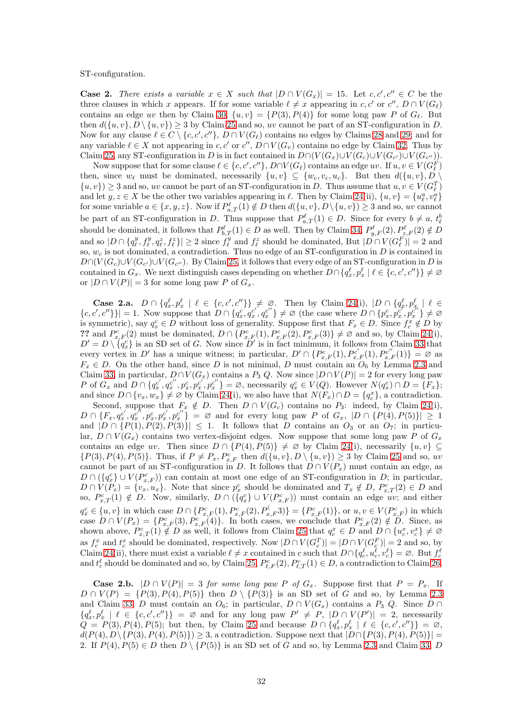ST-configuration.

**Case 2.** There exists a variable  $x \in X$  such that  $|D \cap V(G_x)| = 15$ . Let  $c, c', c'' \in C$  be the three clauses in which x appears. If for some variable  $\ell \neq x$  appearing in c, c' or c'',  $D \cap V(G_{\ell})$ contains an edge uv then by Claim [30,](#page-27-0)  $\{u, v\} = \{P(3), P(4)\}\$ for some long paw P of  $G_{\ell}$ . But then  $d({u, v}, D \setminus {u, v}) \ge 3$  by Claim [25](#page-26-0) and so, uv cannot be part of an ST-configuration in D. Now for any clause  $\ell \in C \setminus \{c, c', c''\}, D \cap V(G_{\ell})$  contains no edges by Claims [28](#page-26-2) and [29;](#page-27-2) and for any variable  $\ell \in X$  not appearing in c, c' or c'',  $D \cap V(G_v)$  contains no edge by Claim [32.](#page-27-3) Thus by Claim [25,](#page-26-0) any ST-configuration in D is in fact contained in  $D \cap (V(G_x) \cup V(G_c) \cup V(G_{c'}) \cup V(G_{c''}))$ .

Now suppose that for some clause  $\ell \in \{c, c', c''\}, D \cap V(G_{\ell})$  contains an edge  $uv$ . If  $u, v \in V(G_{\ell}^F)$ then, since  $w_{\ell}$  must be dominated, necessarily  $\{u, v\} \subseteq \{w_c, v_c, u_c\}$ . But then  $d(\{u, v\}, D \setminus$  $\{u, v\}$   $\geq$  3 and so, uv cannot be part of an ST-configuration in D. Thus assume that  $u, v \in V(G_{\ell}^T)$ and let  $y, z \in X$  be the other two variables appearing in  $\ell$ . Then by Claim [24\(](#page-25-1)ii),  $\{u, v\} = \{u_{\ell}^a, v_{\ell}^a\}$ for some variable  $a \in \{x, y, z\}$ . Now if  $P_{a,T}^{\ell}(1) \notin D$  then  $d(\{u, v\}, D \setminus \{u, v\}) \ge 3$  and so, uv cannot be part of an ST-configuration in D. Thus suppose that  $P_{a,T}^{\ell}(1) \in D$ . Since for every  $b \neq a$ ,  $t_{\ell}^{b}$ should be dominated, it follows that  $P_{b,T}^{\ell}(1) \in D$  as well. Then by Claim [34,](#page-28-1)  $P_{y,F}^{\ell}(2), P_{z,F}^{\ell}(2) \notin D$ and so  $|D \cap \{q_\ell^y, f_\ell^y, q_\ell^z, f_\ell^z\}| \ge 2$  since  $f_\ell^y$  and  $f_\ell^z$  should be dominated, But  $|D \cap V(G_\ell^F)| = 2$  and so,  $w_c$  is not dominated, a contradiction. Thus no edge of an ST-configuration in D is contained in  $D\cap (V(G_c)\cup V(G_{c'})\cup V(G_{c''})$ . By Claim [25,](#page-26-0) it follows that every edge of an ST-configuration in D is contained in  $G_x$ . We next distinguish cases depending on whether  $D \cap \{q_x^{\ell}, p_x^{\ell} \mid \ell \in \{c, c', c''\}\}\neq \emptyset$ or  $|D \cap V(P)| = 3$  for some long paw P of  $G_x$ .

**Case 2.a.**  $D \cap \{q_x^{\ell}, p_x^{\ell} \mid \ell \in \{c, c', c''\}\}\neq \emptyset$ . Then by Claim [24\(](#page-25-1)i),  $|D \cap \{q_x^{\ell}, p_{x_i}^{\ell} \mid \ell \in \{c, c', c''\}\}\neq \emptyset$ .  $\{c, c', c''\}\}| = 1$ . Now suppose that  $D \cap \{q_x^c, q_x^{c'}\}$  $\overline{x}^{\prime^{\prime}},\overline{q}_{x}^{c^{\prime\prime}}$  $\{x^{c'}\}\neq\emptyset$  (the case where  $D\cap\{p_x^c,p_x^{c'}\}$  $x^c, p_x^{c^{\prime\prime}}$  $\begin{bmatrix} c'' \\ x \end{bmatrix} \neq \varnothing$ is symmetric), say  $q_x^c \in D$  without loss of generality. Suppose first that  $F_x \in D$ . Since  $f_c^x \notin D$  by ?? and  $P_{x,F}^c(2)$  must be dominated,  $D \cap \{P_{x,F}^c(1), P_{x,F}^c(2), P_{x,F}^c(3)\}\neq \emptyset$  and so, by Claim [24\(](#page-25-1)i),  $D' = D \setminus \{q_x^c\}$  is an SD set of G. Now since  $D'$  is in fact minimum, it follows from Claim [33](#page-28-0) that every vertex in D' has a unique witness; in particular,  $D' \cap \{P_{x,F}^{c'}(1), P_{x,F}^{c'}(1), P_{x,F}^{c''}(1)\} = \emptyset$  as  $F_x \in D$ . On the other hand, since D is not minimal, D must contain an  $O_6$  by Lemma [2.3](#page-3-3) and Claim [33;](#page-28-0) in particular,  $D \cap V(G_x)$  contains a  $P_3$  Q. Now since  $|D \cap V(P)| = 2$  for every long paw P of  $G_x$  and  $D \cap \{q_x^{c'}\}$  $x^{\prime},q_{x}^{c^{\prime\prime}}$  $x^{c^{\prime\prime}},p_x^c,p_x^{c^{\prime\prime}}$  $x'_{x}, p_{x}^{c''}\} = \varnothing$ , necessarily  $q_{x}^{c} \in V(Q)$ . However  $N(q_{x}^{c}) \cap D = \{F_{x}\};$ and since  $D \cap \{v_x, w_x\} \neq \emptyset$  by Claim [24\(](#page-25-1)i), we also have that  $N(F_x) \cap D = \{q_c^x\}$ , a contradiction. Second, suppose that  $F_x \notin D$ . Then  $D \cap V(G_c)$  contains no  $P_3$ : indeed, by Claim [24\(](#page-25-1)i),  $D \cap \{F_x,q^{c'}_x$  $x^{c'}, q_x^{c''}$  $\vec{x}^{c''}, p_x^c, p_x^{c'}$  $x'_x, p_x^{c''}$  = Ø and for every long paw P of  $G_x$ ,  $|D \cap \{P(4), P(5)\}| \geq 1$ and  $|D \cap \{P(1), P(2), P(3)\}| \leq 1$ . It follows that D contains an  $O_3$  or an  $O_7$ ; in particular,  $D \cap V(G_x)$  contains two vertex-disjoint edges. Now suppose that some long paw P of  $G_x$ contains an edge uv. Then since  $D \cap \{P(4), P(5)\} \neq \emptyset$  by Claim [24\(](#page-25-1)i), necessarily  $\{u, v\} \subseteq$  $\{P(3), P(4), P(5)\}.$  Thus, if  $P \neq P_x, P_{x,F}^c$  then  $d(\{u, v\}, D \setminus \{u, v\}) \geq 3$  by Claim [25](#page-26-0) and so, uv cannot be part of an ST-configuration in D. It follows that  $D \cap V(P_x)$  must contain an edge, as  $D \cap (\lbrace q_x^c \rbrace \cup V(P_{x,F}^c))$  can contain at most one edge of an ST-configuration in D; in particular,  $D \cap V(P_x) = \{v_x, u_x\}.$  Note that since  $p_x^c$  should be dominated and  $T_x \notin D$ ,  $P_{x,T}^c(2) \in D$  and so,  $P_{x,T}^c(1) \notin D$ . Now, similarly,  $D \cap (\lbrace q_x^c \rbrace \cup V(P_{x,F}^c))$  must contain an edge uv; and either  $q_x^c \in \{u, v\}$  in which case  $D \cap \{P_{x,F}^c(1), P_{x,F}^c(2), P_{x,F}^{\langle}(3), P_{x,F}^c(1)\},\$  or  $u, v \in V(P_{x,F}^c)$  in which case  $D \cap V(P_x) = \{P_{x,F}^c(3), P_{x,F}^c(4)\}\.$  In both cases, we conclude that  $P_{x,F}^c(2) \notin D$ . Since, as shown above,  $P_{x,T}^c(1) \notin D$  as well, it follows from Claim [25](#page-26-0) that  $q_c^x \in D$  and  $D \cap \{u_c^x, v_c^x\} \neq \emptyset$ as  $f_c^x$  and  $t_c^x$  should be dominated, respectively. Now  $|D \cap V(G_c^T)| = |D \cap V(G_c^F)| = 2$  and so, by Claim [24\(](#page-25-1)ii), there must exist a variable  $\ell \neq x$  contained in c such that  $D \cap \{q_c^{\ell}, u_c^{\ell}, v_c^{\ell}\} = \emptyset$ . But  $f_c^{\ell}$ and  $t_c^{\ell}$  should be dominated and so, by Claim [25,](#page-26-0)  $P_{\ell,F}^c(2), P_{\ell,T}^c(1) \in D$ , a contradiction to Claim [26.](#page-26-1)

**Case 2.b.**  $|D \cap V(P)| = 3$  *for some long paw* P *of*  $G_x$ . Suppose first that  $P = P_x$ . If  $D \cap V(P) = \{P(3), P(4), P(5)\}\$ then  $D \setminus \{P(3)\}\$ is an SD set of G and so, by Lemma [2.3](#page-3-3) and Claim [33,](#page-28-0) D must contain an  $O_6$ ; in particular,  $D \cap V(G_x)$  contains a  $P_3$  Q. Since D ∩  ${q_x^{\ell}, p_x^{\ell} \mid \ell \in \{c, c', c''\}\}\ = \varnothing$  and for any long paw  $P' \neq P$ ,  $|D \cap V(P')| = 2$ , necessarily  $Q = P(3), P(4), P(5)$ ; but then, by Claim [25](#page-26-0) and because  $D \cap \{q_x^{\ell}, p_x^{\ell} \mid \ell \in \{c, c', c''\}\} = \emptyset$ ,  $d(P(4), D \setminus \{P(3), P(4), P(5)\}) \geq 3$ , a contradiction. Suppose next that  $|D \cap \{P(3), P(4), P(5)\}|$  = 2. If  $P(4), P(5) \in D$  then  $D \setminus \{P(5)\}\$ is an SD set of G and so, by Lemma [2.3](#page-3-3) and Claim [33,](#page-28-0) D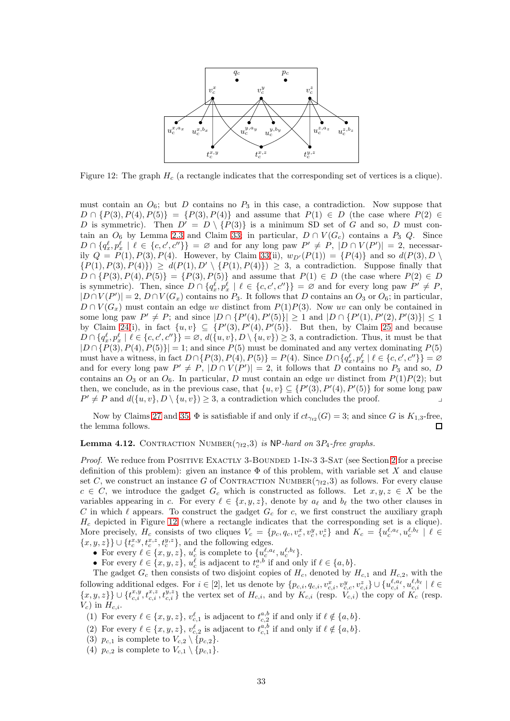<span id="page-32-0"></span>

Figure 12: The graph  $H_c$  (a rectangle indicates that the corresponding set of vertices is a clique).

must contain an  $O_6$ ; but D contains no  $P_3$  in this case, a contradiction. Now suppose that  $D \cap \{P(3), P(4), P(5)\} = \{P(3), P(4)\}$  and assume that  $P(1) \in D$  (the case where  $P(2) \in$ D is symmetric). Then  $D' = D \setminus \{P(3)\}\$ is a minimum SD set of G and so, D must contain an  $O_6$  by Lemma [2.3](#page-3-3) and Claim [33;](#page-28-0) in particular,  $D \cap V(G_c)$  contains a  $P_3$  Q. Since  $D \cap \{q_x^{\ell}, p_x^{\ell} \mid \ell \in \{c, c', c''\}\} = \emptyset$  and for any long paw  $P' \neq P$ ,  $|D \cap V(P')| = 2$ , necessarily  $Q = P(1), P(3), P(4)$ . However, by Claim [33\(](#page-28-0)ii),  $w_{D'}(P(1)) = {P(4)}$  and so  $d(P(3), D \setminus$  $\{P(1), P(3), P(4)\}\geq d(P(1), D' \setminus \{P(1), P(4)\})\geq 3$ , a contradiction. Suppose finally that  $D \cap \{P(3), P(4), P(5)\} = \{P(3), P(5)\}$  and assume that  $P(1) \in D$  (the case where  $P(2) \in D$ is symmetric). Then, since  $D \cap \{q_x^{\ell}, p_x^{\ell} \mid \ell \in \{c, c', c''\}\} = \emptyset$  and for every long paw  $P' \neq P$ ,  $|D \cap V(P')| = 2, D \cap V(G_x)$  contains no  $P_3$ . It follows that D contains an  $O_3$  or  $O_6$ ; in particular,  $D \cap V(G<sub>x</sub>)$  must contain an edge uv distinct from  $P(1)P(3)$ . Now uv can only be contained in some long paw  $P' \neq P$ ; and since  $|D \cap {P'(4), P'(5)}| \geq 1$  and  $|D \cap {P'(1), P'(2), P'(3)}| \leq 1$ by Claim [24\(](#page-25-1)i), in fact  $\{u, v\} \subseteq \{P'(3), P'(4), P'(5)\}.$  But then, by Claim [25](#page-26-0) and because  $D \cap \{q_x^{\ell}, p_x^{\ell} \mid \ell \in \{c, c', c''\}\} = \varnothing, d(\{u, v\}, D \setminus \{u, v\}) \geq 3$ , a contradiction. Thus, it must be that  $|D \cap {P(3), P(4), P(5)}| = 1$ ; and since  $P(5)$  must be dominated and any vertex dominating  $P(5)$ must have a witness, in fact  $D \cap \{P(3), P(4), P(5)\}=P(4)$ . Since  $D \cap \{q_x^{\ell}, p_x^{\ell} \mid \ell \in \{c, c', c''\}\}=\emptyset$ and for every long paw  $P' \neq P$ ,  $|D \cap V(P')| = 2$ , it follows that D contains no  $P_3$  and so, D contains an  $O_3$  or an  $O_6$ . In particular, D must contain an edge uv distinct from  $P(1)P(2)$ ; but then, we conclude, as in the previous case, that  $\{u, v\} \subseteq \{P'(3), P'(4), P'(5)\}$  for some long paw  $P' \neq P$  and  $d({u, v}, D \setminus {u, v}) \geq 3$ , a contradiction which concludes the proof.

Now by Claims [27](#page-26-3) and [35,](#page-28-2)  $\Phi$  is satisfiable if and only if  $ct_{\gamma_{t2}}(G) = 3$ ; and since G is  $K_{1,3}$ -free, the lemma follows.  $\Box$ 

#### Lemma 4.12. CONTRACTION NUMBER $(\gamma_{t2},3)$  is NP-hard on  $3P_4$ -free graphs.

*Proof.* We reduce from POSITIVE EXACTLY 3-BOUNDED 1-IN-3 3-SAT (see Section [2](#page-2-0) for a precise definition of this problem): given an instance  $\Phi$  of this problem, with variable set X and clause set C, we construct an instance G of CONTRACTION NUMBER( $\gamma_{t2}$ , 3) as follows. For every clause  $c \in C$ , we introduce the gadget  $G_c$  which is constructed as follows. Let  $x, y, z \in X$  be the variables appearing in c. For every  $\ell \in \{x, y, z\}$ , denote by  $a_{\ell}$  and  $b_{\ell}$  the two other clauses in C in which  $\ell$  appears. To construct the gadget  $G_c$  for c, we first construct the auxiliary graph  $H_c$  depicted in Figure [12](#page-32-0) (where a rectangle indicates that the corresponding set is a clique). More precisely,  $H_c$  consists of two cliques  $V_c = \{p_c, q_c, v_c^x, v_c^y, v_c^z\}$  and  $K_c = \{u_c^{\ell, a_{\ell}}, u_c^{\ell, b_{\ell}} \mid \ell \in$  $\{x,y,z\}$   $\} \cup$   $\{t_c^{x,y},t_c^{x,z},t_c^{y,z}\}$ , and the following edges.

- For every  $\ell \in \{x, y, z\}, u_{c}^{\ell}$  is complete to  $\{u_{c}^{\ell, a_{\ell}}, u_{c}^{\ell, b_{\ell}}\}.$
- For every  $\ell \in \{x, y, z\}$ ,  $u_c^{\overline{\ell}}$  is adjacent to  $t_c^{a,b}$  if and only if  $\ell \in \{a, b\}$ .

The gadget  $G_c$  then consists of two disjoint copies of  $H_c$ , denoted by  $H_{c,1}$  and  $H_{c,2}$ , with the following additional edges. For  $i \in [2]$ , let us denote by  $\{p_{c,i}, q_{c,i}, v_{c,i}^x, v_{c,c}^y, v_{c,i}^z\} \cup \{u_{c,i}^{\ell, a_{\ell}}, u_{c,i}^{\ell, b_{\ell}} \mid \ell \in$  $\{x, y, z\}$   $\} \cup \{t_{c,i}^{x,y}, t_{c,i}^{x,z}, t_{c,i}^{y,z}\}$  the vertex set of  $H_{c,i}$ , and by  $K_{c,i}$  (resp.  $V_{c,i}$ ) the copy of  $K_c$  (resp.  $V_c$ ) in  $H_{c,i}$ .

- (1) For every  $\ell \in \{x, y, z\}$ ,  $v_{c,1}^{\ell}$  is adjacent to  $t_{c,2}^{a,b}$  if and only if  $\ell \notin \{a, b\}$ .
- (2) For every  $\ell \in \{x, y, z\}, v_{c,2}^{\ell}$  is adjacent to  $t_{c,1}^{a,b}$  if and only if  $\ell \notin \{a, b\}.$
- (3)  $p_{c,1}$  is complete to  $V_{c,2} \setminus \{p_{c,2}\}.$
- (4)  $p_{c,2}$  is complete to  $V_{c,1} \setminus \{p_{c,1}\}.$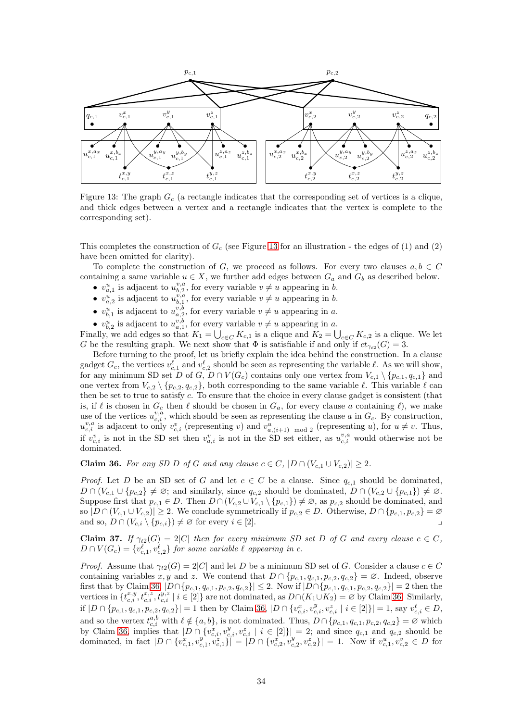<span id="page-33-0"></span>

Figure 13: The graph  $G_c$  (a rectangle indicates that the corresponding set of vertices is a clique, and thick edges between a vertex and a rectangle indicates that the vertex is complete to the corresponding set).

This completes the construction of  $G_c$  (see Figure [13](#page-33-0) for an illustration - the edges of (1) and (2) have been omitted for clarity).

To complete the construction of G, we proceed as follows. For every two clauses  $a, b \in C$ containing a same variable  $u \in X$ , we further add edges between  $G_a$  and  $G_b$  as described below.

- $v_{a,1}^u$  is adjacent to  $u_{b,2}^{v,a}$ , for every variable  $v \neq u$  appearing in b.
- $v_{a,2}^u$  is adjacent to  $u_{b,1}^{v,a}$ , for every variable  $v \neq u$  appearing in b.
- $v_{b,1}^u$  is adjacent to  $u_{a,2}^{v,b}$ , for every variable  $v \neq u$  appearing in a.
- $v_{b,2}^u$  is adjacent to  $u_{a,1}^{v,b}$ , for every variable  $v \neq u$  appearing in a.

Finally, we add edges so that  $K_1 = \bigcup_{c \in C} K_{c,1}$  is a clique and  $K_2 = \bigcup_{c \in C} K_{c,2}$  is a clique. We let G be the resulting graph. We next show that  $\Phi$  is satisfiable if and only if  $ct_{\gamma_{t2}}(G) = 3$ .

Before turning to the proof, let us briefly explain the idea behind the construction. In a clause gadget  $G_c$ , the vertices  $v_{c,1}^{\ell}$  and  $v_{c,2}^{\ell}$  should be seen as representing the variable  $\ell$ . As we will show, for any minimum SD set D of G,  $D \cap V(G_c)$  contains only one vertex from  $V_{c,1} \setminus \{p_{c,1}, q_{c,1}\}\$ and one vertex from  $V_{c,2} \setminus \{p_{c,2}, q_{c,2}\}\$ , both corresponding to the same variable  $\ell$ . This variable  $\ell$  can then be set to true to satisfy c. To ensure that the choice in every clause gadget is consistent (that is, if  $\ell$  is chosen in  $G_c$  then  $\ell$  should be chosen in  $G_a$ , for every clause a containing  $\ell$ ), we make use of the vertices  $u_{c,i}^{v,a}$ , which should be seen as representing the clause a in  $G_c$ . By construction,  $u_{c,i}^{v,a}$  is adjacent to only  $v_{c,i}^v$  (representing v) and  $v_{a,(i+1) \mod 2}^u$  (representing u), for  $u \neq v$ . Thus, if  $v_{c,i}^v$  is not in the SD set then  $v_{a,i}^v$  is not in the SD set either, as  $u_{c,i}^{v,a}$  would otherwise not be dominated.

<span id="page-33-1"></span>Claim 36. For any SD D of G and any clause  $c \in C$ ,  $|D \cap (V_{c,1} \cup V_{c,2})| \geq 2$ .

*Proof.* Let D be an SD set of G and let  $c \in C$  be a clause. Since  $q_{c,1}$  should be dominated,  $D \cap (V_{c,1} \cup \{p_{c,2}\} \neq \emptyset;$  and similarly, since  $q_{c,2}$  should be dominated,  $D \cap (V_{c,2} \cup \{p_{c,1}\}) \neq \emptyset$ . Suppose first that  $p_{c,1} \in D$ . Then  $D \cap (V_{c,2} \cup V_{c,1} \setminus \{p_{c,1}\}) \neq \emptyset$ , as  $p_{c,2}$  should be dominated, and so  $|D \cap (V_{c,1} \cup V_{c,2})| \geq 2$ . We conclude symmetrically if  $p_{c,2} \in D$ . Otherwise,  $D \cap \{p_{c,1}, p_{c,2}\} = \emptyset$ and so,  $D \cap (V_{c,i} \setminus \{p_{c,i}\}) \neq \emptyset$  for every  $i \in [2]$ .

<span id="page-33-2"></span>**Claim 37.** If  $\gamma_{t2}(G) = 2|C|$  then for every minimum SD set D of G and every clause  $c \in C$ ,  $D \cap V(G_c) = \{v_{c,1}^{\ell}, v_{c,2}^{\ell}\}\$  for some variable  $\ell$  appearing in  $c$ .

*Proof.* Assume that  $\gamma_{t2}(G) = 2|C|$  and let D be a minimum SD set of G. Consider a clause  $c \in C$ containing variables x, y and z. We contend that  $D \cap \{p_{c,1}, q_{c,1}, p_{c,2}, q_{c,2}\} = \emptyset$ . Indeed, observe first that by Claim [36,](#page-33-1)  $|D \cap \{p_{c,1}, q_{c,1}, p_{c,2}, q_{c,2}\}| \leq 2$ . Now if  $|D \cap \{p_{c,1}, q_{c,1}, p_{c,2}, q_{c,2}\}| = 2$  then the vertices in  $\{t_{c,i}^{x,y}, t_{c,i}^{x,z}, t_{c,i}^{y,z} \mid i \in [2]\}$  are not dominated, as  $D \cap (K_1 \cup K_2) = \emptyset$  by Claim [36.](#page-33-1) Similarly, if  $|D \cap \{p_{c,1}, q_{c,1}, p_{c,2}, q_{c,2}\}| = 1$  then by Claim [36,](#page-33-1)  $|D \cap \{v_{c,i}^x, v_{c,i}^y, v_{c,i}^z \mid i \in [2]\}| = 1$ , say  $v_{c,i}^{\ell} \in D$ , and so the vertex  $t_{c,i}^{a,b}$  with  $\ell \notin \{a,b\}$ , is not dominated. Thus,  $D \cap \{p_{c,1}, q_{c,1}, p_{c,2}, q_{c,2}\} = \varnothing$  which by Claim [36,](#page-33-1) implies that  $|D \cap \{v_{c,i}^x, v_{c,i}^y, v_{c,i}^z \mid i \in [2]\}| = 2$ ; and since  $q_{c,1}$  and  $q_{c,2}$  should be dominated, in fact  $|D \cap \{v_{c,1}^x, v_{c,1}^y\}| = |D \cap \{v_{c,2}^x, v_{c,2}^y, v_{c,2}^z\}| = 1$ . Now if  $v_{c,1}^u, v_{c,2}^v \in D$  for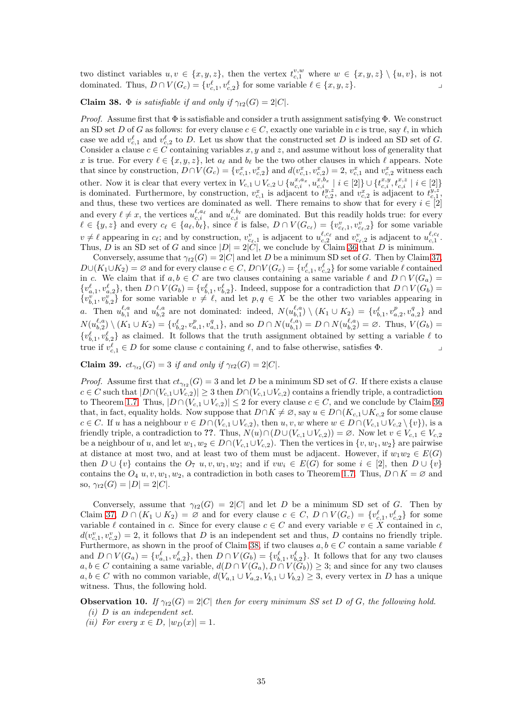two distinct variables  $u, v \in \{x, y, z\}$ , then the vertex  $t_{c,1}^{v,w}$  where  $w \in \{x, y, z\} \setminus \{u, v\}$ , is not dominated. Thus,  $D \cap V(G_c) = \{v_{c,1}^{\ell}, v_{c,2}^{\ell}\}$  for some variable  $\ell \in \{x, y, z\}$ .

<span id="page-34-0"></span>Claim 38.  $\Phi$  *is satisfiable if and only if*  $\gamma_{t2}(G) = 2|C|$ *.* 

*Proof.* Assume first that  $\Phi$  is satisfiable and consider a truth assignment satisfying  $\Phi$ . We construct an SD set D of G as follows: for every clause  $c \in C$ , exactly one variable in c is true, say  $\ell$ , in which case we add  $v_{c,1}^{\ell}$  and  $v_{c,2}^{\ell}$  to D. Let us show that the constructed set D is indeed an SD set of G. Consider a clause  $c \in \overrightarrow{C}$  containing variables x, y and z, and assume without loss of generality that x is true. For every  $\ell \in \{x, y, z\}$ , let  $a_{\ell}$  and  $b_{\ell}$  be the two other clauses in which  $\ell$  appears. Note that since by construction,  $D \cap V(G_c) = \{v_{c,1}^x, v_{c,2}^x\}$  and  $d(v_{c,1}^x, v_{c,2}^x) = 2$ ,  $v_{c,1}^x$  and  $v_{c,2}^x$  witness each other. Now it is clear that every vertex in  $V_{c,1} \cup V_{c,2} \cup \{u_{c,i}^{x,a_x}, u_{c,i}^{x,b_x} \mid i \in [2]\} \cup \{t_{c,i}^{x,y}, t_{c,i}^{x,z} \mid i \in [2]\}$ is dominated. Furthermore, by construction,  $v_{c,1}^x$  is adjacent to  $t_{c,2}^{y,z}$ , and  $v_{c,2}^x$  is adjacent to  $t_{c,1}^{y,z}$ , and thus, these two vertices are dominated as well. There remains to show that for every  $i \in [2]$ and every  $\ell \neq x$ , the vertices  $u_{c,i}^{\ell,a_{\ell}}$  and  $u_{c,i}^{\ell,b_{\ell}}$  are dominated. But this readily holds true: for every  $\ell \in \{y, z\}$  and every  $c_{\ell} \in \{a_{\ell}, b_{\ell}\}\$ , since  $\ell$  is false,  $D \cap V(G_{c_{\ell}}) = \{v_{c_{\ell},1}^v, v_{c_{\ell},2}^v\}$  for some variable  $v \neq \ell$  appearing in  $c_{\ell}$ ; and by construction,  $v_{c_{\ell},1}^{v}$  is adjacent to  $u_{c,2}^{\ell,c_{\ell}}$  and  $v_{c_{\ell},2}^{v}$  is adjacent to  $u_{c,1}^{\ell,c_{\ell}}$ . Thus, D is an SD set of G and since  $|D| = 2|\tilde{C}|$ , we conclude by Claim [36](#page-33-1) that D is minimum.

Conversely, assume that  $\gamma_{t2}(G) = 2|C|$  and let D be a minimum SD set of G. Then by Claim [37,](#page-33-2)  $D\cup (K_1\cup K_2)=\emptyset$  and for every clause  $c\in C, D\cap V(G_c)=\{v_{c,1}^{\ell},v_{c,2}^{\ell}\}$  for some variable  $\ell$  contained in c. We claim that if  $a, b \in C$  are two clauses containing a same variable  $\ell$  and  $D \cap V(G_a)$  $\{v_{a,1}^{\ell}, v_{a,2}^{\ell}\}\$ , then  $D \cap V(G_b) = \{v_{b,1}^{\ell}, v_{b,2}^{\ell}\}\$ . Indeed, suppose for a contradiction that  $D \cap V(G_b) =$  $\{v_{b,1}^{v}, v_{b,2}^{v}\}\$  for some variable  $v \neq \ell$ , and let  $p, q \in X$  be the other two variables appearing in a. Then  $u_{b,1}^{\ell,a}$  and  $u_{b,2}^{\ell,a}$  are not dominated: indeed,  $N(u_{b,1}^{\ell,a}) \setminus (K_1 \cup K_2) = \{v_{b,1}^{\ell}, v_{a,2}^p, v_{a,2}^q\}$  and  $N(u_{b,2}^{\ell,a}) \setminus (K_1 \cup K_2) = \{v_{b,2}^{\ell}, v_{a,1}^p, v_{a,1}^q\}$ , and so  $D \cap N(u_{b,1}^{\ell,a}) = D \cap N(u_{b,2}^{\ell,a}) = \emptyset$ . Thus,  $V(G_b) =$  $\{v_{b,1}^{\ell}, v_{b,2}^{\ell}\}\$ as claimed. It follows that the truth assignment obtained by setting a variable  $\ell$  to true if  $v_{c,1}^{\ell} \in D$  for some clause c containing  $\ell$ , and to false otherwise, satisfies  $\Phi$ .

<span id="page-34-2"></span>**Claim 39.**  $ct_{\gamma_{t2}}(G) = 3$  *if and only if*  $\gamma_{t2}(G) = 2|C|$ *.* 

*Proof.* Assume first that  $ct_{\gamma_{t2}}(G) = 3$  and let D be a minimum SD set of G. If there exists a clause  $c \in C$  such that  $|D \cap (V_{c,1} \cup V_{c,2})| \geq 3$  then  $D \cap (V_{c,1} \cup V_{c,2})$  contains a friendly triple, a contradiction to Theorem [1.7.](#page-1-3) Thus,  $|D \cap (V_{c,1} \cup V_{c,2})| \leq 2$  for every clause  $c \in C$ , and we conclude by Claim [36](#page-33-1) that, in fact, equality holds. Now suppose that  $D \cap K \neq \emptyset$ , say  $u \in D \cap (K_{c,1} \cup K_{c,2}$  for some clause  $c \in C$ . If u has a neighbour  $v \in D \cap (V_{c,1} \cup V_{c,2})$ , then  $u, v, w$  where  $w \in D \cap (V_{c,1} \cup V_{c,2} \setminus \{v\})$ , is a friendly triple, a contradiction to ??. Thus,  $N(u) \cap (D \cup (V_{c,1} \cup V_{c,2})) = \emptyset$ . Now let  $v \in V_{c,1} \in V_{c,2}$ be a neighbour of u, and let  $w_1, w_2 \in D \cap (V_{c,1} \cup V_{c,2})$ . Then the vertices in  $\{v, w_1, w_2\}$  are pairwise at distance at most two, and at least two of them must be adjacent. However, if  $w_1w_2 \in E(G)$ then  $D \cup \{v\}$  contains the  $O_7$  u, v,  $w_1, w_2$ ; and if  $vw_i \in E(G)$  for some  $i \in [2]$ , then  $D \cup \{v\}$ contains the  $O_4$  u, v,  $w_1, w_2$ , a contradiction in both cases to Theorem [1.7.](#page-1-3) Thus,  $D \cap K = \emptyset$  and so,  $\gamma_{t2}(G) = |D| = 2|C|$ .

Conversely, assume that  $\gamma_{t2}(G) = 2|C|$  and let D be a minimum SD set of G. Then by Claim [37,](#page-33-2)  $D \cap (K_1 \cup K_2) = \emptyset$  and for every clause  $c \in C$ ,  $D \cap V(G_c) = \{v_{c,1}^{\ell}, v_{c,2}^{\ell}\}\)$  for some variable  $\ell$  contained in c. Since for every clause  $c \in C$  and every variable  $v \in X$  contained in c,  $d(v_{c,1}^v, v_{c,2}^v) = 2$ , it follows that D is an independent set and thus, D contains no friendly triple. Furthermore, as shown in the proof of Claim [38,](#page-34-0) if two clauses  $a, b \in C$  contain a same variable  $\ell$ and  $D \cap V(G_a) = \{v_{a,1}^{\ell}, v_{a,2}^{\ell}\},\$  then  $D \cap V(G_b) = \{v_{b,1}^{\ell}, v_{b,2}^{\ell}\}.$  It follows that for any two clauses  $a, b \in C$  containing a same variable,  $d(D \cap V(G_a), D \cap V(G_b)) \geq 3$ ; and since for any two clauses  $a, b \in C$  with no common variable,  $d(V_{a,1} \cup V_{a,2}, V_{b,1} \cup V_{b,2}) \geq 3$ , every vertex in D has a unique witness. Thus, the following hold.

<span id="page-34-1"></span>**Observation 10.** *If*  $\gamma_{t2}(G) = 2|C|$  *then for every minimum SS set* D *of* G, the following hold. *(i)* D *is an independent set.*

*(ii)* For every  $x \in D$ ,  $|w_D(x)| = 1$ .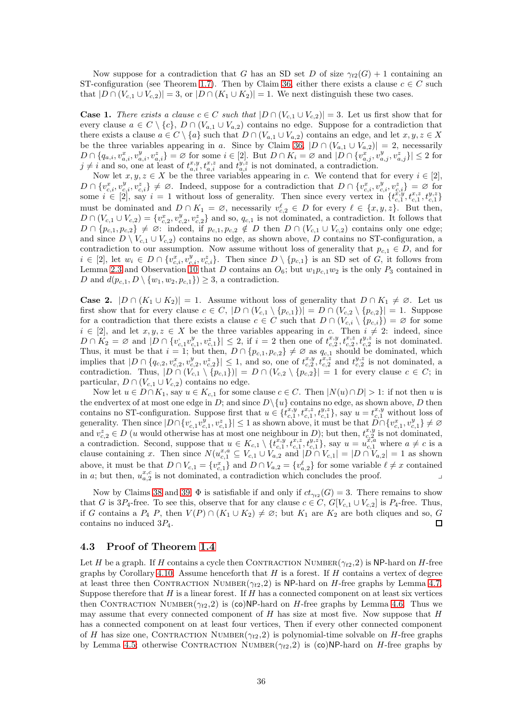Now suppose for a contradiction that G has an SD set D of size  $\gamma_{t2}(G) + 1$  containing an ST-configuration (see Theorem [1.7\)](#page-1-3). Then by Claim [36,](#page-33-1) either there exists a clause  $c \in C$  such that  $|D \cap (V_{c,1} \cup V_{c,2})| = 3$ , or  $|D \cap (K_1 \cup K_2)| = 1$ . We next distinguish these two cases.

**Case 1.** There exists a clause  $c \in C$  such that  $|D \cap (V_{c,1} \cup V_{c,2})| = 3$ . Let us first show that for every clause  $a \in C \setminus \{c\}, D \cap (V_{a,1} \cup V_{a,2})$  contains no edge. Suppose for a contradiction that there exists a clause  $a \in C \setminus \{a\}$  such that  $D \cap (V_{a,1} \cup V_{a,2})$  contains an edge, and let  $x, y, z \in X$ be the three variables appearing in a. Since by Claim [36,](#page-33-1)  $|D \cap (V_{a,1} \cup V_{a,2})| = 2$ , necessarily  $D \cap \{q_{a,i}, v_{a,i}^x, v_{a,i}^y\} = \varnothing$  for some  $i \in [2]$ . But  $D \cap K_i = \varnothing$  and  $|D \cap \{v_{a,j}^x, v_{a,j}^y, v_{a,j}^z\}| \leq 2$  for  $j \neq i$  and so, one at least of  $t_{a,i}^{x,y}, t_{a,i}^{x,z}$  and  $t_{a,i}^{y,z}$  is not dominated, a contradiction.

Now let  $x, y, z \in X$  be the three variables appearing in c. We contend that for every  $i \in [2]$ ,  $D \cap \{v_{c,i}^x, v_{c,i}^y, v_{c,i}^z\} \neq \emptyset$ . Indeed, suppose for a contradiction that  $D \cap \{v_{c,i}^x, v_{c,i}^y, v_{c,i}^z\} = \emptyset$  for some  $i \in [2]$ , say  $i = 1$  without loss of generality. Then since every vertex in  $\{t_{c,1}^{x,y}, t_{c,1}^{x,z}, t_{c,1}^{y,z}\}$ must be dominated and  $D \cap K_1 = \emptyset$ , necessarily  $v_{c,2}^{\ell} \in D$  for every  $\ell \in \{x, y, z\}$ . But then,  $D \cap (V_{c,1} \cup V_{c,2}) = \{v_{c,2}^x, v_{c,2}^y, v_{c,2}^z\}$  and so,  $q_{c,1}$  is not dominated, a contradiction. It follows that  $D \cap \{p_{c,1}, p_{c,2}\} \neq \emptyset$ : indeed, if  $p_{c,1}, p_{c,2} \notin D$  then  $D \cap (V_{c,1} \cup V_{c,2})$  contains only one edge; and since  $D \setminus V_{c,1} \cup V_{c,2}$  contains no edge, as shown above, D contains no ST-configuration, a contradiction to our assumption. Now assume without loss of generality that  $p_{c,1} \in D$ , and for  $i \in [2]$ , let  $w_i \in D \cap \{v_{c,i}^x, v_{c,i}^y, v_{c,i}^z\}$ . Then since  $D \setminus \{p_{c,1}\}$  is an SD set of  $G$ , it follows from Lemma [2.3](#page-3-3) and Observation [10](#page-34-1) that D contains an  $O_6$ ; but  $w_1p_{c,1}w_2$  is the only  $P_3$  contained in D and  $d(p_{c,1}, D \setminus \{w_1, w_2, p_{c,1}\}) \geq 3$ , a contradiction.

**Case 2.**  $|D \cap (K_1 \cup K_2)| = 1$ . Assume without loss of generality that  $D \cap K_1 \neq \emptyset$ . Let us first show that for every clause  $c \in C$ ,  $|D \cap (V_{c,1} \setminus \{p_{c,1}\})| = D \cap (V_{c,2} \setminus \{p_{c,2}\}| = 1$ . Suppose for a contradiction that there exists a clause  $c \in C$  such that  $D \cap (V_{c,i} \setminus \{p_{c,i}\}) = \varnothing$  for some  $i \in [2]$ , and let  $x, y, z \in X$  be the three variables appearing in c. Then  $i \neq 2$ : indeed, since  $D \cap K_2 = \emptyset$  and  $|D \cap \{v_{c,1}^v v_{c,1}^y, v_{c,1}^z\}| \leq 2$ , if  $i = 2$  then one of  $t_{c,2}^{x,y}, t_{c,2}^{x,z}, t_{c,2}^{y,z}$  is not dominated. Thus, it must be that  $i = 1$ ; but then,  $D \cap \{p_{c,1}, p_{c,2}\} \neq \emptyset$  as  $q_{c,1}$  should be dominated, which implies that  $|D \cap \{q_{c,2}, v_{c,2}^x, v_{c,2}^y, v_{c,2}^z\}| \leq 1$ , and so, one of  $t_{c,2}^{x,y}, t_{c,2}^{x,z}$  and  $t_{c,2}^{y,z}$  is not dominated, a contradiction. Thus,  $|D \cap (V_{c,1} \setminus \{p_{c,1}\})| = D \cap (V_{c,2} \setminus \{p_{c,2}\}| = 1$  for every clause  $c \in C$ ; in particular,  $D \cap (V_{c,1} \cup V_{c,2})$  contains no edge.

Now let  $u \in D \cap K_1$ , say  $u \in K_{c,1}$  for some clause  $c \in C$ . Then  $|N(u) \cap D| > 1$ : if not then u is the endvertex of at most one edge in D; and since  $D\setminus\{u\}$  contains no edge, as shown above, D then contains no ST-configuration. Suppose first that  $u \in \{t_{c,1}^{x,y}, t_{c,1}^{x,z}, t_{c,1}^{y,z}\}$ , say  $u = t_{c,1}^{x,y}$  without loss of generality. Then since  $|D \cap \{v_{c,1}^v, v_{c,1}^v\}|\leq 1$  as shown above, it must be that  $D \cap \{v_{c,1}^v, v_{c,1}^v\} \neq \emptyset$ and  $v_{c,2}^z \in D$  (u would otherwise has at most one neighbour in D); but then,  $t_{c,2}^{x,y}$  is not dominated, a contradiction. Second, suppose that  $u \in K_{c,1} \setminus \{t_{c,1}^{x,y}, t_{c,1}^{x,z}, t_{c,1}^{y,z}\}$ , say  $u = u_{c,1}^{x,a}$  where  $a \neq c$  is a clause containing x. Then since  $N(u_{c,1}^{x,a} \subseteq V_{c,1} \cup V_{a,2}$  and  $|D \cap V_{c,1}| = |D \cap V_{a,2}| = 1$  as shown above, it must be that  $D \cap V_{c,1} = \{v_{c,1}^x\}$  and  $D \cap V_{a,2} = \{v_{a,2}^{\ell}\}$  for some variable  $\ell \neq x$  contained in a; but then,  $u_{a,2}^{x,c}$  is not dominated, a contradiction which concludes the proof.

Now by Claims [38](#page-34-0) and [39,](#page-34-2)  $\Phi$  is satisfiable if and only if  $ct_{\gamma_{t2}}(G) = 3$ . There remains to show that G is 3P<sub>4</sub>-free. To see this, observe that for any clause  $c \in C$ ,  $G[V_{c,1} \cup V_{c,2}]$  is P<sub>4</sub>-free. Thus, if G contains a  $P_4$  P, then  $V(P) \cap (K_1 \cup K_2) \neq \emptyset$ ; but  $K_1$  are  $K_2$  are both cliques and so, G contains no induced  $3P_4$ .  $\Box$ 

### <span id="page-35-0"></span>4.3 Proof of Theorem [1.4](#page-1-1)

Let H be a graph. If H contains a cycle then CONTRACTION NUMBER( $\gamma_{t2}$ , 2) is NP-hard on H-free graphs by Corollary [4.10.](#page-25-3) Assume henceforth that  $H$  is a forest. If  $H$  contains a vertex of degree at least three then CONTRACTION NUMBER $(\gamma_{t2}, 2)$  is NP-hard on H-free graphs by Lemma [4.7.](#page-21-2) Suppose therefore that  $H$  is a linear forest. If  $H$  has a connected component on at least six vertices then CONTRACTION NUMBER( $\gamma_{t2}$ , 2) is (co)NP-hard on H-free graphs by Lemma [4.6.](#page-21-3) Thus we may assume that every connected component of  $H$  has size at most five. Now suppose that  $H$ has a connected component on at least four vertices, Then if every other connected component of H has size one, CONTRACTION NUMBER $(\gamma_{t2}, 2)$  is polynomial-time solvable on H-free graphs by Lemma [4.5;](#page-21-4) otherwise CONTRACTION NUMBER $(\gamma_{t2}, 2)$  is  $(co)$ NP-hard on H-free graphs by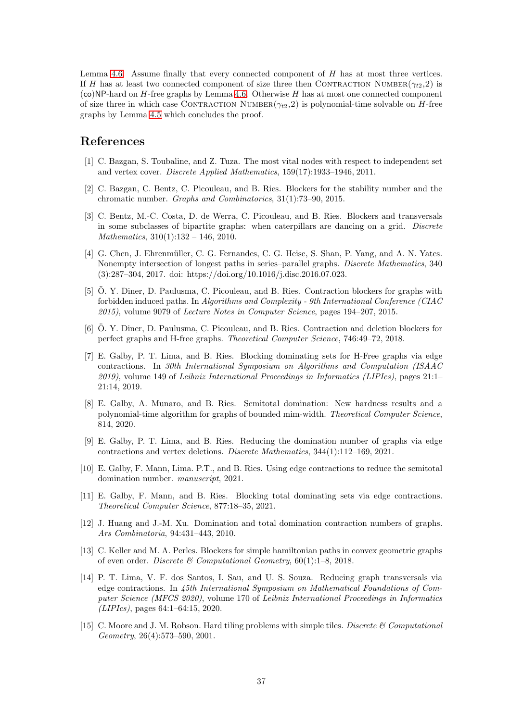Lemma [4.6.](#page-21-3) Assume finally that every connected component of H has at most three vertices. If H has at least two connected component of size three then CONTRACTION NUMBER( $\gamma_{t2}$ ,2) is  $(co)NP$ -hard on H-free graphs by Lemma [4.6.](#page-21-3) Otherwise H has at most one connected component of size three in which case CONTRACTION NUMBER $(\gamma_{t2}, 2)$  is polynomial-time solvable on H-free graphs by Lemma [4.5](#page-21-4) which concludes the proof.

### References

- <span id="page-36-3"></span>[1] C. Bazgan, S. Toubaline, and Z. Tuza. The most vital nodes with respect to independent set and vertex cover. *Discrete Applied Mathematics*, 159(17):1933–1946, 2011.
- <span id="page-36-0"></span>[2] C. Bazgan, C. Bentz, C. Picouleau, and B. Ries. Blockers for the stability number and the chromatic number. *Graphs and Combinatorics*, 31(1):73–90, 2015.
- <span id="page-36-4"></span>[3] C. Bentz, M.-C. Costa, D. de Werra, C. Picouleau, and B. Ries. Blockers and transversals in some subclasses of bipartite graphs: when caterpillars are dancing on a grid. *Discrete Mathematics*, 310(1):132 – 146, 2010.
- <span id="page-36-10"></span>[4] G. Chen, J. Ehrenmüller, C. G. Fernandes, C. G. Heise, S. Shan, P. Yang, and A. N. Yates. Nonempty intersection of longest paths in series–parallel graphs. *Discrete Mathematics*, 340 (3):287–304, 2017. doi: https://doi.org/10.1016/j.disc.2016.07.023.
- <span id="page-36-1"></span>[5] O. Y. Diner, D. Paulusma, C. Picouleau, and B. Ries. Contraction blockers for graphs with forbidden induced paths. In *Algorithms and Complexity - 9th International Conference (CIAC 2015)*, volume 9079 of *Lecture Notes in Computer Science*, pages 194–207, 2015.
- <span id="page-36-2"></span>[6] O. Y. Diner, D. Paulusma, C. Picouleau, and B. Ries. Contraction and deletion blockers for perfect graphs and H-free graphs. *Theoretical Computer Science*, 746:49–72, 2018.
- <span id="page-36-5"></span>[7] E. Galby, P. T. Lima, and B. Ries. Blocking dominating sets for H-Free graphs via edge contractions. In *30th International Symposium on Algorithms and Computation (ISAAC 2019)*, volume 149 of *Leibniz International Proceedings in Informatics (LIPIcs)*, pages 21:1– 21:14, 2019.
- <span id="page-36-13"></span>[8] E. Galby, A. Munaro, and B. Ries. Semitotal domination: New hardness results and a polynomial-time algorithm for graphs of bounded mim-width. *Theoretical Computer Science*, 814, 2020.
- <span id="page-36-6"></span>[9] E. Galby, P. T. Lima, and B. Ries. Reducing the domination number of graphs via edge contractions and vertex deletions. *Discrete Mathematics*, 344(1):112–169, 2021.
- <span id="page-36-7"></span>[10] E. Galby, F. Mann, Lima. P.T., and B. Ries. Using edge contractions to reduce the semitotal domination number. *manuscript*, 2021.
- <span id="page-36-8"></span>[11] E. Galby, F. Mann, and B. Ries. Blocking total dominating sets via edge contractions. *Theoretical Computer Science*, 877:18–35, 2021.
- <span id="page-36-9"></span>[12] J. Huang and J.-M. Xu. Domination and total domination contraction numbers of graphs. *Ars Combinatoria*, 94:431–443, 2010.
- <span id="page-36-11"></span>[13] C. Keller and M. A. Perles. Blockers for simple hamiltonian paths in convex geometric graphs of even order. *Discrete & Computational Geometry*, 60(1):1–8, 2018.
- <span id="page-36-12"></span>[14] P. T. Lima, V. F. dos Santos, I. Sau, and U. S. Souza. Reducing graph transversals via edge contractions. In *45th International Symposium on Mathematical Foundations of Computer Science (MFCS 2020)*, volume 170 of *Leibniz International Proceedings in Informatics (LIPIcs)*, pages 64:1–64:15, 2020.
- <span id="page-36-14"></span>[15] C. Moore and J. M. Robson. Hard tiling problems with simple tiles. *Discrete & Computational Geometry*, 26(4):573–590, 2001.